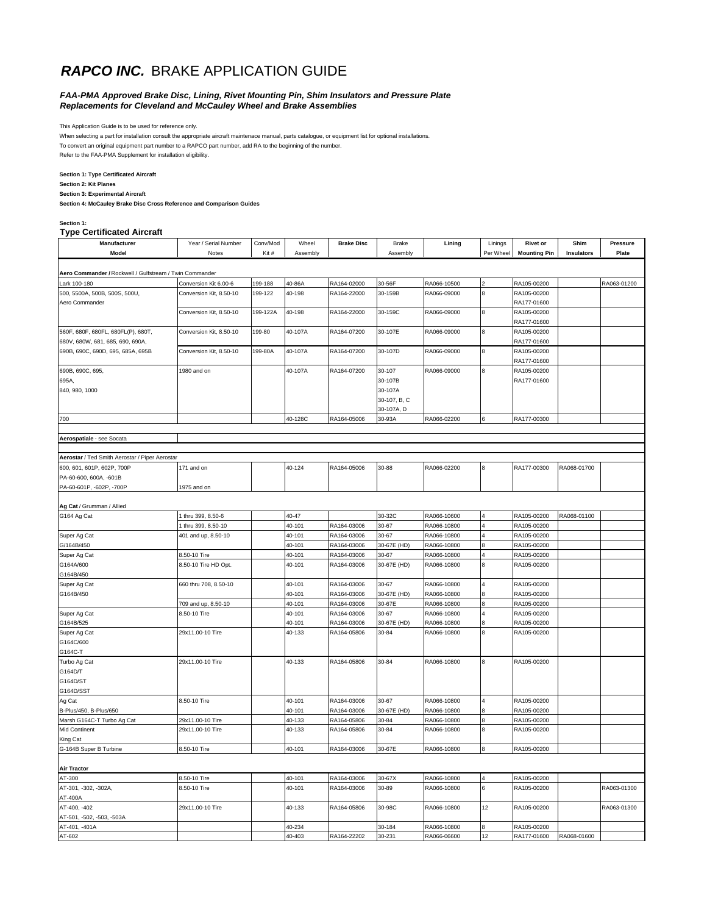## **RAPCO INC.** BRAKE APPLICATION GUIDE

#### *FAA-PMA Approved Brake Disc, Lining, Rivet Mounting Pin, Shim Insulators and Pressure Plate Replacements for Cleveland and McCauley Wheel and Brake Assemblies*

This Application Guide is to be used for reference only.

When selecting a part for installation consult the appropriate aircraft maintenace manual, parts catalogue, or equipment list for optional installations.

To convert an original equipment part number to a RAPCO part number, add RA to the beginning of the number.

Refer to the FAA-PMA Supplement for installation eligibility.

#### **Section 1: Type Certificated Aircraft**

**Section 2: Kit Planes**

**Section 3: Experimental Aircraft**

**Section 4: McCauley Brake Disc Cross Reference and Comparison Guides**

#### **Section 1:**

|  | <b>Type Certificated Aircraft</b> |  |
|--|-----------------------------------|--|
|--|-----------------------------------|--|

| Manufacturer                                                            | Year / Serial Number                             | Conv/Mod | Wheel    | <b>Brake Disc</b> | Brake        | Lining      | Linings   | <b>Rivet or</b>            | Shim        | <b>Pressure</b> |
|-------------------------------------------------------------------------|--------------------------------------------------|----------|----------|-------------------|--------------|-------------|-----------|----------------------------|-------------|-----------------|
| Model                                                                   | Notes                                            | Kit#     | Assembly |                   | Assembly     |             | Per Wheel | <b>Mounting Pin</b>        | Insulators  | Plate           |
|                                                                         |                                                  |          |          |                   |              |             |           |                            |             |                 |
|                                                                         |                                                  |          |          |                   |              |             |           |                            |             |                 |
| Aero Commander / Rockwell / Gulfstream / Twin Commander<br>Lark 100-180 |                                                  |          | 40-86A   |                   |              |             |           |                            |             |                 |
| 500, 5500A, 500B, 500S, 500U,                                           | Conversion Kit 6.00-6<br>Conversion Kit, 8.50-10 | 199-188  |          | RA164-02000       | 30-56F       | RA066-10500 | 8         | RA105-00200                |             | RA063-01200     |
| Aero Commander                                                          |                                                  | 199-122  | 40-198   | RA164-22000       | 30-159B      | RA066-09000 |           | RA105-00200<br>RA177-01600 |             |                 |
|                                                                         | Conversion Kit, 8.50-10                          | 199-122A | 40-198   | RA164-22000       | 30-159C      | RA066-09000 | 8         | RA105-00200                |             |                 |
|                                                                         |                                                  |          |          |                   |              |             |           | RA177-01600                |             |                 |
| 560F, 680F, 680FL, 680FL(P), 680T,                                      | Conversion Kit, 8.50-10                          | 199-80   | 40-107A  | RA164-07200       | 30-107E      | RA066-09000 | 8         | RA105-00200                |             |                 |
| 680V, 680W, 681, 685, 690, 690A,                                        |                                                  |          |          |                   |              |             |           | RA177-01600                |             |                 |
| 690B, 690C, 690D, 695, 685A, 695B                                       | Conversion Kit, 8.50-10                          | 199-80A  | 40-107A  | RA164-07200       | 30-107D      | RA066-09000 | 8         | RA105-00200                |             |                 |
|                                                                         |                                                  |          |          |                   |              |             |           | RA177-01600                |             |                 |
| 690B, 690C, 695,                                                        | 1980 and on                                      |          | 40-107A  | RA164-07200       | 30-107       | RA066-09000 | 8         | RA105-00200                |             |                 |
| 695A,                                                                   |                                                  |          |          |                   | 30-107B      |             |           | RA177-01600                |             |                 |
| 840, 980, 1000                                                          |                                                  |          |          |                   | 30-107A      |             |           |                            |             |                 |
|                                                                         |                                                  |          |          |                   | 30-107, B, C |             |           |                            |             |                 |
|                                                                         |                                                  |          |          |                   | 30-107A, D   |             |           |                            |             |                 |
| 700                                                                     |                                                  |          | 40-128C  | RA164-05006       | 30-93A       | RA066-02200 |           | RA177-00300                |             |                 |
|                                                                         |                                                  |          |          |                   |              |             |           |                            |             |                 |
| Aerospatiale - see Socata                                               |                                                  |          |          |                   |              |             |           |                            |             |                 |
|                                                                         |                                                  |          |          |                   |              |             |           |                            |             |                 |
| Aerostar / Ted Smith Aerostar / Piper Aerostar                          |                                                  |          |          |                   |              |             |           |                            |             |                 |
| 600, 601, 601P, 602P, 700P                                              | 171 and on                                       |          | 40-124   | RA164-05006       | 30-88        | RA066-02200 | 8         | RA177-00300                | RA068-01700 |                 |
| PA-60-600, 600A, -601B                                                  |                                                  |          |          |                   |              |             |           |                            |             |                 |
| PA-60-601P, -602P, -700P                                                | 1975 and on                                      |          |          |                   |              |             |           |                            |             |                 |
|                                                                         |                                                  |          |          |                   |              |             |           |                            |             |                 |
| Ag Cat / Grumman / Allied                                               |                                                  |          |          |                   |              |             |           |                            |             |                 |
| G164 Ag Cat                                                             | thru 399, 8.50-6                                 |          | 40-47    |                   | 30-32C       | RA066-10600 |           | RA105-00200                | RA068-01100 |                 |
|                                                                         | thru 399, 8.50-10                                |          | 40-101   | RA164-03006       | 30-67        | RA066-10800 |           | RA105-00200                |             |                 |
| Super Ag Cat                                                            | 401 and up, 8.50-10                              |          | 40-101   | RA164-03006       | 30-67        | RA066-10800 |           | RA105-00200                |             |                 |
| G/164B/450                                                              |                                                  |          | 40-101   | RA164-03006       | 30-67E (HD)  | RA066-10800 |           | RA105-00200                |             |                 |
| Super Ag Cat                                                            | 8.50-10 Tire                                     |          | 40-101   | RA164-03006       | 30-67        | RA066-10800 |           | RA105-00200                |             |                 |
| G164A/600                                                               | 8.50-10 Tire HD Opt.                             |          | 40-101   | RA164-03006       | 30-67E (HD)  | RA066-10800 |           | RA105-00200                |             |                 |
| G164B/450                                                               |                                                  |          |          |                   |              |             |           |                            |             |                 |
| Super Ag Cat                                                            | 660 thru 708, 8.50-10                            |          | 40-101   | RA164-03006       | 30-67        | RA066-10800 |           | RA105-00200                |             |                 |
| G164B/450                                                               |                                                  |          | 40-101   | RA164-03006       | 30-67E (HD)  | RA066-10800 |           | RA105-00200                |             |                 |
|                                                                         | 709 and up, 8.50-10                              |          | 40-101   | RA164-03006       | 30-67E       | RA066-10800 |           | RA105-00200                |             |                 |
| Super Ag Cat                                                            | 8.50-10 Tire                                     |          | 40-101   | RA164-03006       | 30-67        | RA066-10800 |           | RA105-00200                |             |                 |
| G164B/525                                                               |                                                  |          | 40-101   | RA164-03006       | 30-67E (HD)  | RA066-10800 |           | RA105-00200                |             |                 |
| Super Ag Cat                                                            | 29x11.00-10 Tire                                 |          | 40-133   | RA164-05806       | 30-84        | RA066-10800 |           | RA105-00200                |             |                 |
| G164C/600                                                               |                                                  |          |          |                   |              |             |           |                            |             |                 |
| G164C-T                                                                 |                                                  |          |          |                   |              |             |           |                            |             |                 |
| Turbo Ag Cat                                                            | 29x11.00-10 Tire                                 |          | 40-133   | RA164-05806       | 30-84        | RA066-10800 | 8         | RA105-00200                |             |                 |
| G164D/T                                                                 |                                                  |          |          |                   |              |             |           |                            |             |                 |
| G164D/ST<br>G164D/SST                                                   |                                                  |          |          |                   |              |             |           |                            |             |                 |
|                                                                         | 8.50-10 Tire                                     |          | 40-101   | RA164-03006       | 30-67        | RA066-10800 | 4         | RA105-00200                |             |                 |
| Ag Cat<br>B-Plus/450, B-Plus/650                                        |                                                  |          | 40-101   | RA164-03006       | 30-67E (HD)  | RA066-10800 |           | RA105-00200                |             |                 |
| Marsh G164C-T Turbo Ag Cat                                              | 29x11.00-10 Tire                                 |          | 40-133   | RA164-05806       | 30-84        | RA066-10800 |           | RA105-00200                |             |                 |
| Mid Continent                                                           | 29x11.00-10 Tire                                 |          | 40-133   | RA164-05806       | 30-84        | RA066-10800 |           | RA105-00200                |             |                 |
| King Cat                                                                |                                                  |          |          |                   |              |             |           |                            |             |                 |
| G-164B Super B Turbine                                                  | 8.50-10 Tire                                     |          | 40-101   | RA164-03006       | 30-67E       | RA066-10800 | 8         | RA105-00200                |             |                 |
|                                                                         |                                                  |          |          |                   |              |             |           |                            |             |                 |
| <b>Air Tractor</b>                                                      |                                                  |          |          |                   |              |             |           |                            |             |                 |
| AT-300                                                                  | .50-10 Tire                                      |          | 40-101   | RA164-03006       | 30-67X       | RA066-10800 |           | RA105-00200                |             |                 |
| AT-301, -302, -302A,                                                    | 8.50-10 Tire                                     |          | 40-101   | RA164-03006       | 30-89        | RA066-10800 | 6         | RA105-00200                |             | RA063-01300     |
| AT-400A                                                                 |                                                  |          |          |                   |              |             |           |                            |             |                 |
| AT-400, -402                                                            | 29x11.00-10 Tire                                 |          | 40-133   | RA164-05806       | 30-98C       | RA066-10800 | 12        | RA105-00200                |             | RA063-01300     |
| AT-501, -502, -503, -503A                                               |                                                  |          |          |                   |              |             |           |                            |             |                 |
| AT-401, -401A                                                           |                                                  |          | 40-234   |                   | 30-184       | RA066-10800 |           | RA105-00200                |             |                 |
| AT-602                                                                  |                                                  |          | 40-403   | RA164-22202       | 30-231       | RA066-06600 | 12        | RA177-01600                | RA068-01600 |                 |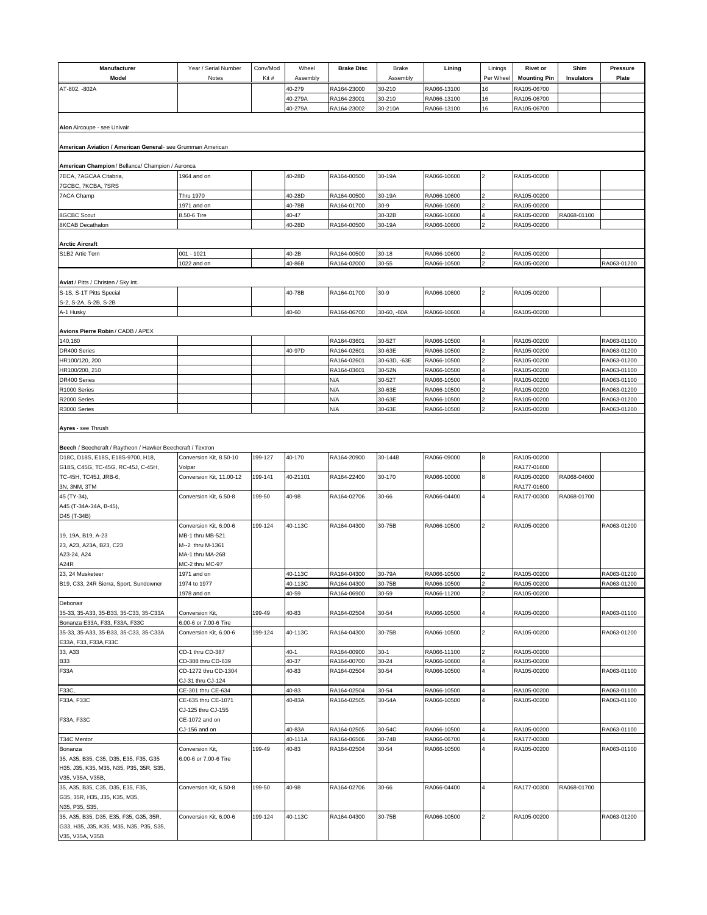| Manufacturer<br>Model                                                             | Year / Serial Number<br>Notes            | Conv/Mod<br>Kit# | Wheel<br>Assembly  | <b>Brake Disc</b>          | Brake<br>Assembly      | Lining                     | Linings<br>Per Wheel | <b>Rivet or</b><br><b>Mounting Pin</b> | Shim<br>Insulators | <b>Pressure</b><br>Plate   |
|-----------------------------------------------------------------------------------|------------------------------------------|------------------|--------------------|----------------------------|------------------------|----------------------------|----------------------|----------------------------------------|--------------------|----------------------------|
| AT-802, -802A                                                                     |                                          |                  | 40-279             | RA164-23000                | 30-210                 | RA066-13100                | 16                   | RA105-06700                            |                    |                            |
|                                                                                   |                                          |                  | 40-279A            | RA164-23001                | 30-210                 | RA066-13100                | 16                   | RA105-06700                            |                    |                            |
|                                                                                   |                                          |                  | 40-279A            | RA164-23002                | 30-210A                | RA066-13100                | 16                   | RA105-06700                            |                    |                            |
| Alon Aircoupe - see Univair                                                       |                                          |                  |                    |                            |                        |                            |                      |                                        |                    |                            |
|                                                                                   |                                          |                  |                    |                            |                        |                            |                      |                                        |                    |                            |
| American Aviation / American General- see Grumman American                        |                                          |                  |                    |                            |                        |                            |                      |                                        |                    |                            |
| American Champion / Bellanca/ Champion / Aeronca                                  |                                          |                  |                    |                            |                        |                            |                      |                                        |                    |                            |
| 7ECA, 7AGCAA Citabria,<br>7GCBC, 7KCBA, 7SRS                                      | 1964 and on                              |                  | 40-28D             | RA164-00500                | 30-19A                 | RA066-10600                | 2                    | RA105-00200                            |                    |                            |
| 7ACA Champ                                                                        | Thru 1970<br>1971 and on                 |                  | 40-28D<br>40-78B   | RA164-00500<br>RA164-01700 | 30-19A<br>30-9         | RA066-10600<br>RA066-10600 |                      | RA105-00200<br>RA105-00200             |                    |                            |
| <b>8GCBC Scout</b>                                                                | 8.50-6 Tire                              |                  | 40-47              |                            | 30-32B                 | RA066-10600                | 4                    | RA105-00200                            | RA068-01100        |                            |
| 8KCAB Decathalon                                                                  |                                          |                  | 40-28D             | RA164-00500                | 30-19A                 | RA066-10600                |                      | RA105-00200                            |                    |                            |
|                                                                                   |                                          |                  |                    |                            |                        |                            |                      |                                        |                    |                            |
| <b>Arctic Aircraft</b><br>S1B2 Artic Tern                                         | 001 - 1021                               |                  | 40-2B              | RA164-00500                | $30 - 18$              | RA066-10600                |                      | RA105-00200                            |                    |                            |
|                                                                                   | 1022 and on                              |                  | 40-86B             | RA164-02000                | 30-55                  | RA066-10500                | l2                   | RA105-00200                            |                    | RA063-01200                |
| Aviat / Pitts / Christen / Sky Int.                                               |                                          |                  |                    |                            |                        |                            |                      |                                        |                    |                            |
| S-1S, S-1T Pitts Special                                                          |                                          |                  | 40-78B             | RA164-01700                | $30-9$                 | RA066-10600                | 2                    | RA105-00200                            |                    |                            |
| S-2, S-2A, S-2B, S-2B                                                             |                                          |                  |                    |                            |                        |                            |                      |                                        |                    |                            |
| A-1 Husky                                                                         |                                          |                  | 40-60              | RA164-06700                | 30-60, -60A            | RA066-10600                | $\overline{4}$       | RA105-00200                            |                    |                            |
| Avions Pierre Robin / CADB / APEX                                                 |                                          |                  |                    |                            |                        |                            |                      |                                        |                    |                            |
| 140,160                                                                           |                                          |                  |                    | RA164-03601                | 30-52T                 | RA066-10500                |                      | RA105-00200                            |                    | RA063-01100                |
| DR400 Series                                                                      |                                          |                  | 40-97D             | RA164-02601                | 30-63E                 | RA066-10500                |                      | RA105-00200                            |                    | RA063-01200<br>RA063-01200 |
| HR100/120, 200<br>HR100/200, 210                                                  |                                          |                  |                    | RA164-02601<br>RA164-03601 | 30-63D, -63E<br>30-52N | RA066-10500<br>RA066-10500 |                      | RA105-00200<br>RA105-00200             |                    | RA063-01100                |
| DR400 Series                                                                      |                                          |                  |                    | N/A                        | 30-52T                 | RA066-10500                |                      | RA105-00200                            |                    | RA063-01100                |
| R1000 Series                                                                      |                                          |                  |                    | N/A                        | 30-63E                 | RA066-10500                |                      | RA105-00200                            |                    | RA063-01200                |
| R2000 Series                                                                      |                                          |                  |                    | N/A                        | 30-63E                 | RA066-10500                |                      | RA105-00200                            |                    | RA063-01200                |
| R3000 Series                                                                      |                                          |                  |                    | N/A                        | 30-63E                 | RA066-10500                | l2                   | RA105-00200                            |                    | RA063-01200                |
| Ayres - see Thrush<br>Beech / Beechcraft / Raytheon / Hawker Beechcraft / Textron |                                          |                  |                    |                            |                        |                            |                      |                                        |                    |                            |
| D18C, D18S, E18S, E18S-9700, H18,<br>G18S, C45G, TC-45G, RC-45J, C-45H,           | Conversion Kit, 8.50-10<br>Volpar        | 199-127          | 40-170             | RA164-20900                | 30-144B                | RA066-09000                | 8                    | RA105-00200<br>RA177-01600             |                    |                            |
| TC-45H, TC45J, JRB-6,                                                             | Conversion Kit, 11.00-12                 | 199-141          | 40-21101           | RA164-22400                | 30-170                 | RA066-10000                | 8                    | RA105-00200                            | RA068-04600        |                            |
| 3N, 3NM, 3TM<br>45 (TY-34),                                                       | Conversion Kit, 6.50-8                   | 199-50           | 40-98              | RA164-02706                | 30-66                  | RA066-04400                | 4                    | RA177-01600<br>RA177-00300             | RA068-01700        |                            |
| A45 (T-34A-34A, B-45),<br>D45 (T-34B)                                             |                                          |                  |                    |                            |                        |                            |                      |                                        |                    |                            |
|                                                                                   | Conversion Kit, 6.00-6                   | 199-124          | 40-113C            | RA164-04300                | 30-75B                 | RA066-10500                | $\overline{2}$       | RA105-00200                            |                    | RA063-01200                |
| 19, 19A, B19, A-23                                                                | MB-1 thru MB-521                         |                  |                    |                            |                        |                            |                      |                                        |                    |                            |
| 23, A23, A23A, B23, C23                                                           | M--2 thru M-1361                         |                  |                    |                            |                        |                            |                      |                                        |                    |                            |
| A23-24, A24                                                                       | MA-1 thru MA-268                         |                  |                    |                            |                        |                            |                      |                                        |                    |                            |
| A24R<br>23. 24 Musketeer                                                          | MC-2 thru MC-97                          |                  |                    |                            |                        |                            |                      |                                        |                    |                            |
| B19, C33, 24R Sierra, Sport, Sundowner                                            | 1971 and on<br>1974 to 1977              |                  | 40-113C<br>40-113C | RA164-04300<br>RA164-04300 | 30-79A<br>30-75B       | RA066-10500<br>RA066-10500 | 2<br>$\overline{2}$  | RA105-00200<br>RA105-00200             |                    | RA063-01200<br>RA063-01200 |
|                                                                                   | 1978 and on                              |                  | 40-59              | RA164-06900                | 30-59                  | RA066-11200                |                      | RA105-00200                            |                    |                            |
| Debonair                                                                          |                                          |                  |                    |                            |                        |                            |                      |                                        |                    |                            |
| 35-33, 35-A33, 35-B33, 35-C33, 35-C33A<br>Bonanza E33A, F33, F33A, F33C           | Conversion Kit,<br>6.00-6 or 7.00-6 Tire | 199-49           | 40-83              | RA164-02504                | 30-54                  | RA066-10500                |                      | RA105-00200                            |                    | RA063-01100                |
| 35-33, 35-A33, 35-B33, 35-C33, 35-C33A                                            | Conversion Kit, 6.00-6                   | 199-124          | 40-113C            | RA164-04300                | 30-75B                 | RA066-10500                | $\overline{2}$       | RA105-00200                            |                    | RA063-01200                |
| E33A, F33, F33A, F33C<br>33, A33                                                  | CD-1 thru CD-387                         |                  | $40 - 1$           | RA164-00900                | $30-1$                 | RA066-11100                | l2                   | RA105-00200                            |                    |                            |
| <b>B33</b>                                                                        | CD-388 thru CD-639                       |                  | 40-37              | RA164-00700                | 30-24                  | RA066-10600                |                      | RA105-00200                            |                    |                            |
| F33A                                                                              | CD-1272 thru CD-1304                     |                  | 40-83              | RA164-02504                | 30-54                  | RA066-10500                | $\overline{4}$       | RA105-00200                            |                    | RA063-01100                |
| F33C,                                                                             | CJ-31 thru CJ-124<br>CE-301 thru CE-634  |                  | 40-83              | RA164-02504                | 30-54                  | RA066-10500                |                      | RA105-00200                            |                    | RA063-01100                |
| F33A, F33C                                                                        | CE-635 thru CE-1071                      |                  | 40-83A             | RA164-02505                | 30-54A                 | RA066-10500                | 4                    | RA105-00200                            |                    | RA063-01100                |
|                                                                                   | CJ-125 thru CJ-155                       |                  |                    |                            |                        |                            |                      |                                        |                    |                            |
| F33A, F33C                                                                        | CE-1072 and on<br>CJ-156 and on          |                  | 40-83A             | RA164-02505                | 30-54C                 | RA066-10500                |                      | RA105-00200                            |                    | RA063-01100                |
| T34C Mentor                                                                       |                                          |                  | 40-111A            | RA164-06506                | 30-74B                 | RA066-06700                |                      | RA177-00300                            |                    |                            |
| Bonanza                                                                           | Conversion Kit,                          | 199-49           | 40-83              | RA164-02504                | 30-54                  | RA066-10500                | $\overline{4}$       | RA105-00200                            |                    | RA063-01100                |
| 35, A35, B35, C35, D35, E35, F35, G35                                             | 6.00-6 or 7.00-6 Tire                    |                  |                    |                            |                        |                            |                      |                                        |                    |                            |
| H35, J35, K35, M35, N35, P35, 35R, S35,                                           |                                          |                  |                    |                            |                        |                            |                      |                                        |                    |                            |
| V35, V35A, V35B,                                                                  |                                          |                  |                    |                            |                        |                            |                      |                                        |                    |                            |
| 35, A35, B35, C35, D35, E35, F35,<br>G35, 35R, H35, J35, K35, M35,                | Conversion Kit, 6.50-8                   | 199-50           | 40-98              | RA164-02706                | 30-66                  | RA066-04400                | 4                    | RA177-00300                            | RA068-01700        |                            |
| N35, P35, S35,                                                                    |                                          |                  |                    |                            |                        |                            |                      |                                        |                    |                            |
| 35, A35, B35, D35, E35, F35, G35, 35R,                                            | Conversion Kit, 6.00-6                   | 199-124          | 40-113C            | RA164-04300                | 30-75B                 | RA066-10500                | $\overline{2}$       | RA105-00200                            |                    | RA063-01200                |
| G33, H35, J35, K35, M35, N35, P35, S35,                                           |                                          |                  |                    |                            |                        |                            |                      |                                        |                    |                            |
| V35, V35A, V35B                                                                   |                                          |                  |                    |                            |                        |                            |                      |                                        |                    |                            |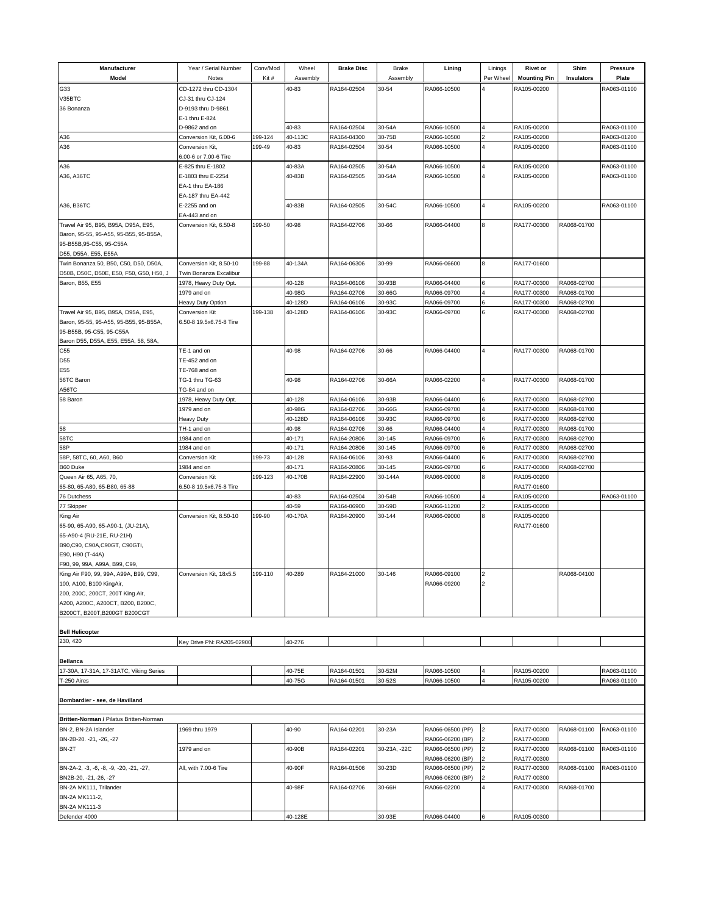| Manufacturer                            | Year / Serial Number                 | Conv/Mod | Wheel    | <b>Brake Disc</b> | <b>Brake</b> | Lining           | Linings        | <b>Rivet or</b>     | Shim        | <b>Pressure</b> |
|-----------------------------------------|--------------------------------------|----------|----------|-------------------|--------------|------------------|----------------|---------------------|-------------|-----------------|
| Model                                   | Notes                                | Kit#     | Assembly |                   | Assembly     |                  | Per Wheel      | <b>Mounting Pin</b> | Insulators  | Plate           |
| G33                                     | CD-1272 thru CD-1304                 |          | 40-83    | RA164-02504       | 30-54        | RA066-10500      | 4              | RA105-00200         |             | RA063-01100     |
| V35BTC                                  | CJ-31 thru CJ-124                    |          |          |                   |              |                  |                |                     |             |                 |
| 36 Bonanza                              | D-9193 thru D-9861                   |          |          |                   |              |                  |                |                     |             |                 |
|                                         | E-1 thru E-824                       |          |          |                   |              |                  |                |                     |             |                 |
|                                         | D-9862 and on                        |          | 40-83    | RA164-02504       | 30-54A       | RA066-10500      |                | RA105-00200         |             | RA063-01100     |
| A36                                     | Conversion Kit, 6.00-6               | 199-124  | 40-113C  | RA164-04300       | 30-75B       | RA066-10500      |                | RA105-00200         |             | RA063-01200     |
| A36                                     | Conversion Kit,                      | 199-49   | 40-83    | RA164-02504       | 30-54        | RA066-10500      | <b>A</b>       | RA105-00200         |             | RA063-01100     |
|                                         | 6.00-6 or 7.00-6 Tire                |          |          |                   |              |                  |                |                     |             |                 |
| A36                                     | E-825 thru E-1802                    |          | 40-83A   | RA164-02505       | 30-54A       | RA066-10500      | $\overline{4}$ | RA105-00200         |             | RA063-01100     |
| A36, A36TC                              | E-1803 thru E-2254                   |          | 40-83B   | RA164-02505       | 30-54A       | RA066-10500      |                | RA105-00200         |             | RA063-01100     |
|                                         | EA-1 thru EA-186                     |          |          |                   |              |                  |                |                     |             |                 |
|                                         | EA-187 thru EA-442                   |          |          |                   |              |                  |                |                     |             |                 |
| A36, B36TC                              | E-2255 and on                        |          | 40-83B   | RA164-02505       | 30-54C       | RA066-10500      | $\overline{4}$ | RA105-00200         |             | RA063-01100     |
|                                         | EA-443 and on                        |          |          |                   |              |                  |                |                     |             |                 |
| Travel Air 95, B95, B95A, D95A, E95,    | Conversion Kit, 6.50-8               | 199-50   | 40-98    | RA164-02706       | 30-66        | RA066-04400      | 8              | RA177-00300         | RA068-01700 |                 |
| Baron, 95-55, 95-A55, 95-B55, 95-B55A,  |                                      |          |          |                   |              |                  |                |                     |             |                 |
| 95-B55B, 95-C55, 95-C55A                |                                      |          |          |                   |              |                  |                |                     |             |                 |
| D55, D55A, E55, E55A                    |                                      |          |          |                   |              |                  |                |                     |             |                 |
| Twin Bonanza 50, B50, C50, D50, D50A,   | Conversion Kit, 8.50-10              | 199-88   | 40-134A  | RA164-06306       | 30-99        | RA066-06600      | 8              | RA177-01600         |             |                 |
| D50B, D50C, D50E, E50, F50, G50, H50, J | Twin Bonanza Excalibur               |          |          |                   |              |                  |                |                     |             |                 |
| Baron, B55, E55                         | 1978, Heavy Duty Opt.                |          | 40-128   | RA164-06106       | 30-93B       | RA066-04400      | 6              | RA177-00300         | RA068-02700 |                 |
|                                         | 1979 and on                          |          | 40-98G   | RA164-02706       | 30-66G       | RA066-09700      |                | RA177-00300         | RA068-01700 |                 |
|                                         | Heavy Duty Option                    |          | 40-128D  | RA164-06106       | 30-93C       | RA066-09700      |                | RA177-00300         | RA068-02700 |                 |
| Travel Air 95, B95, B95A, D95A, E95,    | Conversion Kit                       | 199-138  | 40-128D  | RA164-06106       | 30-93C       | RA066-09700      | 6              | RA177-00300         | RA068-02700 |                 |
| Baron, 95-55, 95-A55, 95-B55, 95-B55A,  | 6.50-8 19.5x6.75-8 Tire              |          |          |                   |              |                  |                |                     |             |                 |
| 95-B55B, 95-C55, 95-C55A                |                                      |          |          |                   |              |                  |                |                     |             |                 |
| Baron D55, D55A, E55, E55A, 58, 58A,    |                                      |          |          |                   |              |                  |                |                     |             |                 |
| C55                                     | TE-1 and on                          |          | 40-98    | RA164-02706       | 30-66        | RA066-04400      |                | RA177-00300         | RA068-01700 |                 |
| D55                                     | TE-452 and on                        |          |          |                   |              |                  |                |                     |             |                 |
| E55                                     | TE-768 and on                        |          |          |                   |              |                  | 14             |                     |             |                 |
| 56TC Baron                              | TG-1 thru TG-63                      |          | 40-98    | RA164-02706       | 30-66A       | RA066-02200      |                | RA177-00300         | RA068-01700 |                 |
| A56TC<br>58 Baron                       | TG-84 and on                         |          | 40-128   | RA164-06106       | 30-93B       | RA066-04400      |                | RA177-00300         | RA068-02700 |                 |
|                                         | 1978, Heavy Duty Opt.<br>1979 and on |          | 40-98G   | RA164-02706       | 30-66G       | RA066-09700      |                | RA177-00300         | RA068-01700 |                 |
|                                         | Heavy Duty                           |          | 40-128D  | RA164-06106       | 30-93C       | RA066-09700      |                | RA177-00300         | RA068-02700 |                 |
| 58                                      | TH-1 and on                          |          | 40-98    | RA164-02706       | 30-66        | RA066-04400      |                | RA177-00300         | RA068-01700 |                 |
| 58TC                                    | 1984 and on                          |          | 40-171   | RA164-20806       | 30-145       | RA066-09700      |                | RA177-00300         | RA068-02700 |                 |
| 58P                                     | 984 and on                           |          | 40-171   | RA164-20806       | 30-145       | RA066-09700      |                | RA177-00300         | RA068-02700 |                 |
| 58P, 58TC, 60, A60, B60                 | Conversion Kit                       | 199-73   | 40-128   | RA164-06106       | 30-93        | RA066-04400      | 6              | RA177-00300         | RA068-02700 |                 |
| B60 Duke                                | 984 and on                           |          | 40-171   | RA164-20806       | 30-145       | RA066-09700      |                | RA177-00300         | RA068-02700 |                 |
| Queen Air 65, A65, 70,                  | Conversion Kit                       | 199-123  | 40-170B  | RA164-22900       | 30-144A      | RA066-09000      | 8              | RA105-00200         |             |                 |
| 65-80, 65-A80, 65-B80, 65-88            | 6.50-8 19.5x6.75-8 Tire              |          |          |                   |              |                  |                | RA177-01600         |             |                 |
| 76 Dutchess                             |                                      |          | 40-83    | RA164-02504       | 30-54B       | RA066-10500      |                | RA105-00200         |             | RA063-01100     |
| 77 Skipper                              |                                      |          | 40-59    | RA164-06900       | 30-59D       | RA066-11200      |                | RA105-00200         |             |                 |
| King Air                                | Conversion Kit, 8.50-10              | 199-90   | 40-170A  | RA164-20900       | 30-144       | RA066-09000      | R              | RA105-00200         |             |                 |
| 65-90, 65-A90, 65-A90-1, (JU-21A),      |                                      |          |          |                   |              |                  |                | RA177-01600         |             |                 |
| 65-A90-4 (RU-21E, RU-21H)               |                                      |          |          |                   |              |                  |                |                     |             |                 |
| B90,C90, C90A,C90GT, C90GTi,            |                                      |          |          |                   |              |                  |                |                     |             |                 |
| E90, H90 (T-44A)                        |                                      |          |          |                   |              |                  |                |                     |             |                 |
| F90, 99, 99A, A99A, B99, C99,           |                                      |          |          |                   |              |                  |                |                     |             |                 |
| King Air F90, 99, 99A, A99A, B99, C99,  | Conversion Kit, 18x5.5               | 199-110  | 40-289   | RA164-21000       | 30-146       | RA066-09100      | 2              |                     | RA068-04100 |                 |
| 100, A100, B100 KingAir,                |                                      |          |          |                   |              | RA066-09200      | 12             |                     |             |                 |
| 200, 200C, 200CT, 200T King Air,        |                                      |          |          |                   |              |                  |                |                     |             |                 |
| A200, A200C, A200CT, B200, B200C,       |                                      |          |          |                   |              |                  |                |                     |             |                 |
| B200CT, B200T, B200GT B200CGT           |                                      |          |          |                   |              |                  |                |                     |             |                 |
|                                         |                                      |          |          |                   |              |                  |                |                     |             |                 |
| <b>Bell Helicopter</b><br>230, 420      | Key Drive PN: RA205-02900            |          | 40-276   |                   |              |                  |                |                     |             |                 |
|                                         |                                      |          |          |                   |              |                  |                |                     |             |                 |
| <b>Bellanca</b>                         |                                      |          |          |                   |              |                  |                |                     |             |                 |
| 17-30A, 17-31A, 17-31ATC, Viking Series |                                      |          | 40-75E   | RA164-01501       | 30-52M       | RA066-10500      | 4              | RA105-00200         |             | RA063-01100     |
| T-250 Aires                             |                                      |          | 40-75G   | RA164-01501       | 30-52S       | RA066-10500      | $\overline{4}$ | RA105-00200         |             | RA063-01100     |
|                                         |                                      |          |          |                   |              |                  |                |                     |             |                 |
| Bombardier - see, de Havilland          |                                      |          |          |                   |              |                  |                |                     |             |                 |
|                                         |                                      |          |          |                   |              |                  |                |                     |             |                 |
| Britten-Norman / Pilatus Britten-Norman |                                      |          |          |                   |              |                  |                |                     |             |                 |
| BN-2, BN-2A Islander                    | 1969 thru 1979                       |          | 40-90    | RA164-02201       | 30-23A       | RA066-06500 (PP) | 2              | RA177-00300         | RA068-01100 | RA063-01100     |
| BN-2B-20. -21, -26, -27                 |                                      |          |          |                   |              | RA066-06200 (BP) |                | RA177-00300         |             |                 |
| BN-2T                                   | 1979 and on                          |          | 40-90B   | RA164-02201       | 30-23A, -22C | RA066-06500 (PP) | 2              | RA177-00300         | RA068-01100 | RA063-01100     |
|                                         |                                      |          |          |                   |              | RA066-06200 (BP) |                | RA177-00300         |             |                 |
| BN-2A-2, -3, -6, -8, -9, -20, -21, -27, | All, with 7.00-6 Tire                |          | 40-90F   | RA164-01506       | 30-23D       | RA066-06500 (PP) | 2              | RA177-00300         | RA068-01100 | RA063-01100     |
| BN2B-20, -21, -26, -27                  |                                      |          |          |                   |              | RA066-06200 (BP) |                | RA177-00300         |             |                 |
| BN-2A MK111, Trilander                  |                                      |          | 40-98F   | RA164-02706       | 30-66H       | RA066-02200      | $\overline{4}$ | RA177-00300         | RA068-01700 |                 |
| BN-2A MK111-2,                          |                                      |          |          |                   |              |                  |                |                     |             |                 |
| BN-2A MK111-3                           |                                      |          |          |                   |              |                  |                |                     |             |                 |
| Defender 4000                           |                                      |          | 40-128E  |                   | 30-93E       | RA066-04400      |                | RA105-00300         |             |                 |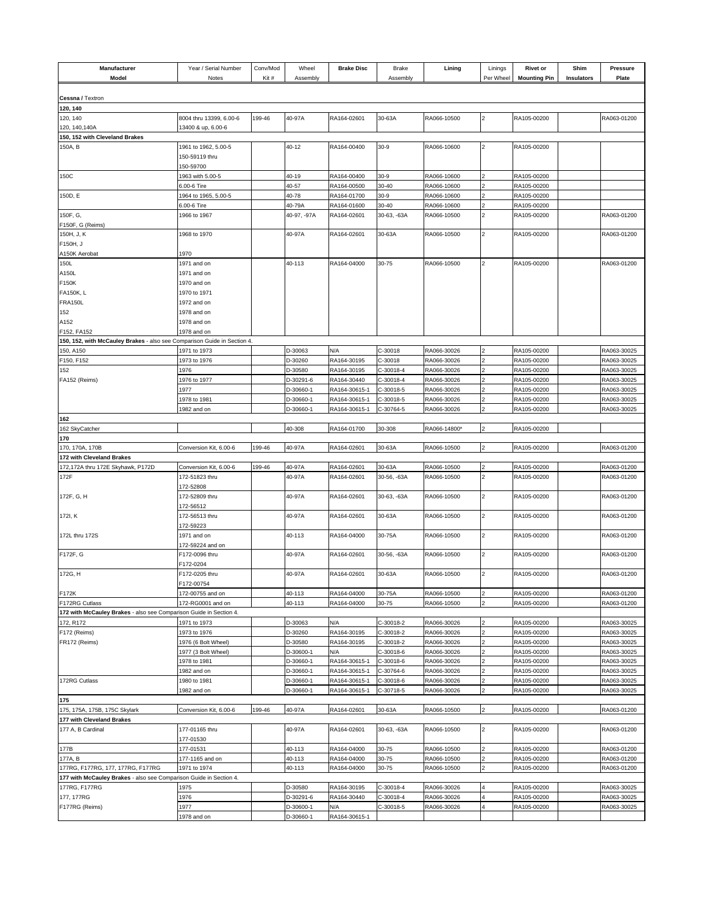| Manufacturer<br>Model                                                    | Year / Serial Number<br>Notes          | Conv/Mod<br>Kit# | Wheel<br>Assembly    | <b>Brake Disc</b>          | <b>Brake</b><br>Assembly | Lining                     | Linings<br>Per Wheel | <b>Rivet or</b><br><b>Mounting Pin</b> | Shim<br>Insulators | Pressure<br>Plate          |
|--------------------------------------------------------------------------|----------------------------------------|------------------|----------------------|----------------------------|--------------------------|----------------------------|----------------------|----------------------------------------|--------------------|----------------------------|
| Cessna / Textron                                                         |                                        |                  |                      |                            |                          |                            |                      |                                        |                    |                            |
| 120, 140                                                                 |                                        |                  |                      |                            |                          |                            |                      |                                        |                    |                            |
| 120, 140                                                                 | 8004 thru 13399, 6.00-6                | 199-46           | 40-97A               | RA164-02601                | 30-63A                   | RA066-10500                | $\overline{2}$       | RA105-00200                            |                    | RA063-01200                |
| 120, 140, 140A                                                           | 3400 & up, 6.00-6                      |                  |                      |                            |                          |                            |                      |                                        |                    |                            |
| 150, 152 with Cleveland Brakes                                           |                                        |                  |                      |                            |                          |                            |                      |                                        |                    |                            |
| 150A, B                                                                  | 1961 to 1962, 5.00-5<br>150-59119 thru |                  | 40-12                | RA164-00400                | $30-9$                   | RA066-10600                | $\overline{2}$       | RA105-00200                            |                    |                            |
|                                                                          | 150-59700                              |                  |                      |                            |                          |                            |                      |                                        |                    |                            |
| 150C                                                                     | 963 with 5.00-5                        |                  | 40-19                | RA164-00400                | 30-9                     | RA066-10600                |                      | RA105-00200                            |                    |                            |
| 150D, E                                                                  | 6.00-6 Tire<br>1964 to 1965, 5.00-5    |                  | 40-57<br>40-78       | RA164-00500<br>RA164-01700 | 30-40<br>$30-9$          | RA066-10600<br>RA066-10600 |                      | RA105-00200<br>RA105-00200             |                    |                            |
|                                                                          | 6.00-6 Tire                            |                  | 40-79A               | RA164-01600                | 30-40                    | RA066-10600                | $\overline{a}$       | RA105-00200                            |                    |                            |
| 150F, G,                                                                 | 1966 to 1967                           |                  | 40-97, -97A          | RA164-02601                | 30-63, -63A              | RA066-10500                | $\overline{2}$       | RA105-00200                            |                    | RA063-01200                |
| F150F, G (Reims)                                                         |                                        |                  |                      |                            |                          |                            |                      |                                        |                    |                            |
| 150H, J, K                                                               | 1968 to 1970                           |                  | 40-97A               | RA164-02601                | 30-63A                   | RA066-10500                | $\overline{2}$       | RA105-00200                            |                    | RA063-01200                |
| F150H, J                                                                 |                                        |                  |                      |                            |                          |                            |                      |                                        |                    |                            |
| A150K Aerobat                                                            | 1970                                   |                  |                      |                            |                          |                            |                      |                                        |                    |                            |
| 150L                                                                     | 1971 and on                            |                  | 40-113               | RA164-04000                | 30-75                    | RA066-10500                | $\overline{2}$       | RA105-00200                            |                    | RA063-01200                |
| A150L                                                                    | 1971 and on                            |                  |                      |                            |                          |                            |                      |                                        |                    |                            |
| F150K                                                                    | 1970 and on                            |                  |                      |                            |                          |                            |                      |                                        |                    |                            |
| <b>FA150K, L</b><br><b>FRA150L</b>                                       | 1970 to 1971                           |                  |                      |                            |                          |                            |                      |                                        |                    |                            |
| 152                                                                      | 1972 and on<br>1978 and on             |                  |                      |                            |                          |                            |                      |                                        |                    |                            |
| A152                                                                     | 1978 and on                            |                  |                      |                            |                          |                            |                      |                                        |                    |                            |
| F152, FA152                                                              | 1978 and on                            |                  |                      |                            |                          |                            |                      |                                        |                    |                            |
| 150, 152, with McCauley Brakes - also see Comparison Guide in Section 4. |                                        |                  |                      |                            |                          |                            |                      |                                        |                    |                            |
| 150, A150                                                                | 1971 to 1973                           |                  | D-30063              | N/A                        | C-30018                  | RA066-30026                | 2                    | RA105-00200                            |                    | RA063-30025                |
| F150, F152                                                               | 1973 to 1976                           |                  | D-30260              | RA164-30195                | C-30018                  | RA066-30026                |                      | RA105-00200                            |                    | RA063-30025                |
| 152                                                                      | 1976                                   |                  | D-30580              | RA164-30195                | C-30018-4                | RA066-30026                |                      | RA105-00200                            |                    | RA063-30025                |
| FA152 (Reims)                                                            | 1976 to 1977                           |                  | D-30291-6            | RA164-30440                | C-30018-4                | RA066-30026                |                      | RA105-00200                            |                    | RA063-30025                |
|                                                                          | 977                                    |                  | D-30660-1            | RA164-30615-1              | C-30018-5                | RA066-30026                |                      | RA105-00200                            |                    | RA063-30025                |
|                                                                          | 1978 to 1981                           |                  | D-30660-1            | RA164-30615-1              | C-30018-5                | RA066-30026                | 2                    | RA105-00200                            |                    | RA063-30025                |
|                                                                          | 1982 and on                            |                  | D-30660-1            | RA164-30615-1              | C-30764-5                | RA066-30026                |                      | RA105-00200                            |                    | RA063-30025                |
| 162<br>162 SkyCatcher                                                    |                                        |                  | 40-308               | RA164-01700                | 30-308                   | RA066-14800*               |                      | RA105-00200                            |                    |                            |
| 170                                                                      |                                        |                  |                      |                            |                          |                            |                      |                                        |                    |                            |
| 170, 170A, 170B                                                          | Conversion Kit, 6.00-6                 | 199-46           | 40-97A               | RA164-02601                | 30-63A                   | RA066-10500                | $\overline{2}$       | RA105-00200                            |                    | RA063-01200                |
| 172 with Cleveland Brakes                                                |                                        |                  |                      |                            |                          |                            |                      |                                        |                    |                            |
| 172,172A thru 172E Skyhawk, P172D                                        | Conversion Kit, 6.00-6                 | 199-46           | 40-97A               | RA164-02601                | 30-63A                   | RA066-10500                |                      | RA105-00200                            |                    | RA063-01200                |
| 172F                                                                     | 172-51823 thru                         |                  | 40-97A               | RA164-02601                | 30-56, -63A              | RA066-10500                | $\overline{2}$       | RA105-00200                            |                    | RA063-01200                |
|                                                                          | 172-52808                              |                  |                      |                            |                          |                            |                      |                                        |                    |                            |
| 172F, G, H                                                               | 172-52809 thru<br>172-56512            |                  | 40-97A               | RA164-02601                | 30-63, -63A              | RA066-10500                | $\overline{2}$       | RA105-00200                            |                    | RA063-01200                |
| 172I, K                                                                  | 172-56513 thru                         |                  | 40-97A               | RA164-02601                | 30-63A                   | RA066-10500                | $\overline{a}$       | RA105-00200                            |                    | RA063-01200                |
|                                                                          | 172-59223                              |                  |                      |                            |                          |                            |                      |                                        |                    |                            |
| 172L thru 172S                                                           | 1971 and on                            |                  | 40-113               | RA164-04000                | 30-75A                   | RA066-10500                | $\overline{2}$       | RA105-00200                            |                    | RA063-01200                |
|                                                                          | 172-59224 and on                       |                  |                      |                            |                          |                            |                      |                                        |                    |                            |
| F172F, G                                                                 | F172-0096 thru<br>F172-0204            |                  | 40-97A               | RA164-02601                | 30-56, -63A              | RA066-10500                | $\overline{2}$       | RA105-00200                            |                    | RA063-01200                |
| 172G, H                                                                  | F172-0205 thru                         |                  | 40-97A               | RA164-02601                | 30-63A                   | RA066-10500                | $\overline{c}$       | RA105-00200                            |                    | RA063-01200                |
|                                                                          | F172-00754                             |                  |                      |                            |                          |                            |                      |                                        |                    |                            |
| F172K                                                                    | 172-00755 and on                       |                  | 40-113               | RA164-04000                | 30-75A                   | RA066-10500                |                      | RA105-00200                            |                    | RA063-01200                |
| F172RG Cutlass                                                           | 172-RG0001 and on                      |                  | 40-113               | RA164-04000                | 30-75                    | RA066-10500                |                      | RA105-00200                            |                    | RA063-01200                |
| 172 with McCauley Brakes - also see Comparison Guide in Section 4.       |                                        |                  |                      |                            |                          |                            |                      |                                        |                    |                            |
| 172, R172<br>F172 (Reims)                                                | 1971 to 1973<br>1973 to 1976           |                  | D-30063<br>D-30260   | N/A<br>RA164-30195         | C-30018-2<br>C-30018-2   | RA066-30026<br>RA066-30026 |                      | RA105-00200<br>RA105-00200             |                    | RA063-30025<br>RA063-30025 |
| FR172 (Reims)                                                            | 1976 (6 Bolt Wheel)                    |                  | D-30580              | RA164-30195                | C-30018-2                | RA066-30026                |                      | RA105-00200                            |                    | RA063-30025                |
|                                                                          | 1977 (3 Bolt Wheel)                    |                  | D-30600-1            | N/A                        | C-30018-6                | RA066-30026                |                      | RA105-00200                            |                    | RA063-30025                |
|                                                                          | 978 to 1981                            |                  | D-30660-1            | RA164-30615-1              | C-30018-6                | RA066-30026                |                      | RA105-00200                            |                    | RA063-30025                |
|                                                                          | 982 and on                             |                  | D-30660-1            | RA164-30615-1              | C-30764-6                | RA066-30026                |                      | RA105-00200                            |                    | RA063-30025                |
| 172RG Cutlass                                                            | 1980 to 1981                           |                  | D-30660-1            | RA164-30615-1              | C-30018-6                | RA066-30026                |                      | RA105-00200                            |                    | RA063-30025                |
|                                                                          | 1982 and on                            |                  | D-30660-1            | RA164-30615-1              | C-30718-5                | RA066-30026                |                      | RA105-00200                            |                    | RA063-30025                |
| 175                                                                      |                                        |                  |                      |                            |                          |                            |                      |                                        |                    |                            |
| 175, 175A, 175B, 175C Skylark                                            | Conversion Kit, 6.00-6                 | 199-46           | 40-97A               | RA164-02601                | 30-63A                   | RA066-10500                |                      | RA105-00200                            |                    | RA063-01200                |
| 177 with Cleveland Brakes<br>177 A, B Cardinal                           | 177-01165 thru                         |                  | 40-97A               | RA164-02601                | 30-63, -63A              | RA066-10500                | $\overline{2}$       | RA105-00200                            |                    | RA063-01200                |
|                                                                          | 177-01530                              |                  |                      |                            |                          |                            |                      |                                        |                    |                            |
| 177B                                                                     | 177-01531                              |                  | 40-113               | RA164-04000                | 30-75                    | RA066-10500                | $\overline{a}$       | RA105-00200                            |                    | RA063-01200                |
| 177A, B                                                                  | 77-1165 and on                         |                  | 40-113               | RA164-04000                | 30-75                    | RA066-10500                |                      | RA105-00200                            |                    | RA063-01200                |
| 177RG, F177RG, 177, 177RG, F177RG                                        | 1971 to 1974                           |                  | 40-113               | RA164-04000                | 30-75                    | RA066-10500                |                      | RA105-00200                            |                    | RA063-01200                |
| 177 with McCauley Brakes - also see Comparison Guide in Section 4.       |                                        |                  |                      |                            |                          |                            |                      |                                        |                    |                            |
| 177RG, F177RG<br>177, 177RG                                              | 1975<br>1976                           |                  | D-30580<br>D-30291-6 | RA164-30195<br>RA164-30440 | C-30018-4<br>C-30018-4   | RA066-30026<br>RA066-30026 |                      | RA105-00200<br>RA105-00200             |                    | RA063-30025<br>RA063-30025 |
| F177RG (Reims)                                                           | 977                                    |                  | D-30600-1            | N/A                        | C-30018-5                | RA066-30026                |                      | RA105-00200                            |                    | RA063-30025                |
|                                                                          | 1978 and on                            |                  | D-30660-1            | RA164-30615-1              |                          |                            |                      |                                        |                    |                            |
|                                                                          |                                        |                  |                      |                            |                          |                            |                      |                                        |                    |                            |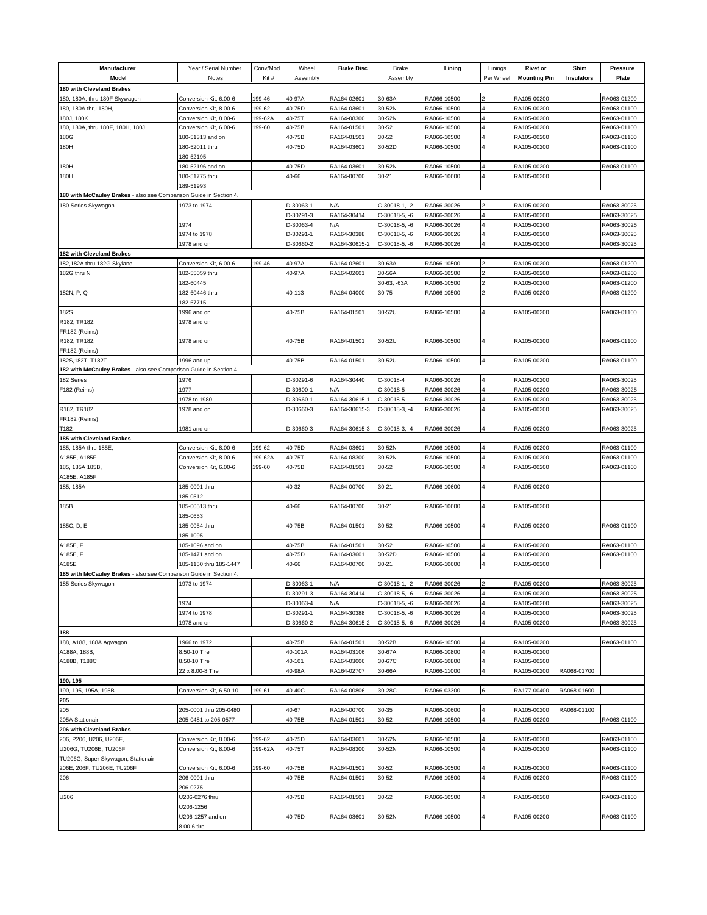| Manufacturer<br>Model                                              | Year / Serial Number<br>Notes | Conv/Mod<br>Kit# | Wheel<br>Assembly      | <b>Brake Disc</b>          | <b>Brake</b><br>Assembly       | Lining                     | Linings<br>Per Wheel | <b>Rivet or</b><br><b>Mounting Pin</b> | Shim<br>Insulators | <b>Pressure</b><br>Plate   |
|--------------------------------------------------------------------|-------------------------------|------------------|------------------------|----------------------------|--------------------------------|----------------------------|----------------------|----------------------------------------|--------------------|----------------------------|
| 180 with Cleveland Brakes                                          |                               |                  |                        |                            |                                |                            |                      |                                        |                    |                            |
| 180, 180A, thru 180F Skywagon                                      | Conversion Kit, 6.00-6        | 199-46           | 40-97A                 | RA164-02601                | 30-63A                         | RA066-10500                |                      | RA105-00200                            |                    | RA063-01200                |
| 180, 180A thru 180H,                                               | Conversion Kit, 8.00-6        | 199-62           | 40-75D                 | RA164-03601                | 30-52N                         | RA066-10500                |                      | RA105-00200                            |                    | RA063-01100                |
| 180J, 180K                                                         | Conversion Kit, 8.00-6        | 199-62A          | 40-75T                 | RA164-08300                | 30-52N                         | RA066-10500                |                      | RA105-00200                            |                    | RA063-01100                |
| 180, 180A, thru 180F, 180H, 180J                                   | Conversion Kit, 6.00-6        | 199-60           | 40-75B                 | RA164-01501                | 30-52                          | RA066-10500                |                      | RA105-00200                            |                    | RA063-01100                |
| 180G                                                               | 180-51313 and on              |                  | 40-75B                 | RA164-01501                | 30-52                          | RA066-10500                |                      | RA105-00200                            |                    | RA063-01100                |
| 180H                                                               | 180-52011 thru                |                  | 40-75D                 | RA164-03601                | 30-52D                         | RA066-10500                |                      | RA105-00200                            |                    | RA063-01100                |
|                                                                    | 180-52195                     |                  |                        |                            |                                |                            |                      |                                        |                    |                            |
| 180H                                                               | 180-52196 and on              |                  | 40-75D                 | RA164-03601                | 30-52N                         | RA066-10500                |                      | RA105-00200                            |                    | RA063-01100                |
| 180H                                                               | 180-51775 thru                |                  | 40-66                  | RA164-00700                | $30 - 21$                      | RA066-10600                |                      | RA105-00200                            |                    |                            |
|                                                                    | 189-51993                     |                  |                        |                            |                                |                            |                      |                                        |                    |                            |
| 180 with McCauley Brakes - also see Comparison Guide in Section 4. |                               |                  |                        |                            |                                |                            |                      |                                        |                    |                            |
| 180 Series Skywagon                                                | 1973 to 1974                  |                  | D-30063-1              | N/A                        | C-30018-1, -2                  | RA066-30026                |                      | RA105-00200                            |                    | RA063-30025                |
|                                                                    |                               |                  | D-30291-3              | RA164-30414                | C-30018-5, -6                  | RA066-30026                |                      | RA105-00200                            |                    | RA063-30025                |
|                                                                    | 1974                          |                  | D-30063-4              | N/A                        | C-30018-5, -6                  | RA066-30026                |                      | RA105-00200                            |                    | RA063-30025                |
|                                                                    | 1974 to 1978                  |                  | D-30291-1              | RA164-30388                | C-30018-5, -6                  | RA066-30026                |                      | RA105-00200                            |                    | RA063-30025                |
| 182 with Cleveland Brakes                                          | 1978 and on                   |                  | D-30660-2              | RA164-30615-2              | C-30018-5, -6                  | RA066-30026                |                      | RA105-00200                            |                    | RA063-30025                |
| 182,182A thru 182G Skylane                                         | Conversion Kit, 6.00-6        | 199-46           | 40-97A                 | RA164-02601                | 30-63A                         | RA066-10500                |                      | RA105-00200                            |                    | RA063-01200                |
| 182G thru N                                                        | 182-55059 thru                |                  | 40-97A                 | RA164-02601                | 30-56A                         | RA066-10500                |                      | RA105-00200                            |                    | RA063-01200                |
|                                                                    | 182-60445                     |                  |                        |                            | 30-63, -63A                    | RA066-10500                |                      | RA105-00200                            |                    | RA063-01200                |
| 182N, P, Q                                                         | 182-60446 thru                |                  | 40-113                 | RA164-04000                | 30-75                          | RA066-10500                |                      | RA105-00200                            |                    | RA063-01200                |
|                                                                    | 82-67715                      |                  |                        |                            |                                |                            |                      |                                        |                    |                            |
| 182S                                                               | 1996 and on                   |                  | 40-75B                 | RA164-01501                | 30-52U                         | RA066-10500                | 4                    | RA105-00200                            |                    | RA063-01100                |
| R182, TR182,                                                       | 1978 and on                   |                  |                        |                            |                                |                            |                      |                                        |                    |                            |
| FR182 (Reims)                                                      |                               |                  |                        |                            |                                |                            |                      |                                        |                    |                            |
| R182, TR182,                                                       | 1978 and on                   |                  | 40-75B                 | RA164-01501                | 30-52U                         | RA066-10500                |                      | RA105-00200                            |                    | RA063-01100                |
| FR182 (Reims)                                                      |                               |                  |                        |                            |                                |                            |                      |                                        |                    |                            |
| 182S, 182T, T182T                                                  | 1996 and up                   |                  | 40-75B                 | RA164-01501                | 30-52U                         | RA066-10500                |                      | RA105-00200                            |                    | RA063-01100                |
| 182 with McCauley Brakes - also see Comparison Guide in Section 4. |                               |                  |                        |                            |                                |                            |                      |                                        |                    |                            |
| 182 Series                                                         | 1976                          |                  | D-30291-6              | RA164-30440                | C-30018-4                      | RA066-30026                |                      | RA105-00200                            |                    | RA063-30025                |
| F182 (Reims)                                                       | 1977                          |                  | D-30600-1              | N/A                        | C-30018-5                      | RA066-30026                |                      | RA105-00200                            |                    | RA063-30025                |
|                                                                    | 1978 to 1980                  |                  | D-30660-1              | RA164-30615-1              | C-30018-5                      | RA066-30026                |                      | RA105-00200                            |                    | RA063-30025                |
| R182, TR182,                                                       | 1978 and on                   |                  | D-30660-3              | RA164-30615-3              | C-30018-3, -4                  | RA066-30026                |                      | RA105-00200                            |                    | RA063-30025                |
| FR182 (Reims)<br>T182                                              | 1981 and on                   |                  | D-30660-3              | RA164-30615-3              | C-30018-3, -4                  | RA066-30026                |                      | RA105-00200                            |                    | RA063-30025                |
| 185 with Cleveland Brakes                                          |                               |                  |                        |                            |                                |                            |                      |                                        |                    |                            |
| 185, 185A thru 185E,                                               | Conversion Kit, 8.00-6        | 199-62           | 40-75D                 | RA164-03601                | 30-52N                         | RA066-10500                |                      | RA105-00200                            |                    | RA063-01100                |
| A185E, A185F                                                       | Conversion Kit, 8.00-6        | 199-62A          | 40-75T                 | RA164-08300                | 30-52N                         | RA066-10500                |                      | RA105-00200                            |                    | RA063-01100                |
| 185, 185A 185B,                                                    | Conversion Kit, 6.00-6        | 199-60           | 40-75B                 | RA164-01501                | 30-52                          | RA066-10500                |                      | RA105-00200                            |                    | RA063-01100                |
| A185E, A185F                                                       |                               |                  |                        |                            |                                |                            |                      |                                        |                    |                            |
| 185, 185A                                                          | 185-0001 thru                 |                  | 40-32                  | RA164-00700                | $30 - 21$                      | RA066-10600                |                      | RA105-00200                            |                    |                            |
|                                                                    | 85-0512                       |                  |                        |                            |                                |                            |                      |                                        |                    |                            |
| 185B                                                               | 185-00513 thru                |                  | 40-66                  | RA164-00700                | $30 - 21$                      | RA066-10600                | 4                    | RA105-00200                            |                    |                            |
|                                                                    | 85-0653                       |                  |                        |                            |                                |                            |                      |                                        |                    |                            |
| 185C, D, E                                                         | 185-0054 thru                 |                  | 40-75B                 | RA164-01501                | 30-52                          | RA066-10500                |                      | RA105-00200                            |                    | RA063-01100                |
|                                                                    | 185-1095                      |                  |                        |                            |                                |                            |                      |                                        |                    |                            |
| A185E, F                                                           | 185-1096 and on               |                  | 40-75B                 | RA164-01501                | 30-52                          | RA066-10500                |                      | RA105-00200                            |                    | RA063-01100                |
| A185E, F                                                           | 185-1471 and on               |                  | 40-75D                 | RA164-03601                | 30-52D                         | RA066-10500                |                      | RA105-00200                            |                    | RA063-01100                |
| A185E                                                              | 185-1150 thru 185-1447        |                  | 40-66                  | RA164-00700                | 30-21                          | RA066-10600                |                      | RA105-00200                            |                    |                            |
| 185 with McCauley Brakes - also see Comparison Guide in Section 4. |                               |                  |                        |                            |                                |                            |                      |                                        |                    |                            |
| 185 Series Skywagon                                                | 1973 to 1974                  |                  | D-30063-1              | N/A                        | C-30018-1, -2                  | RA066-30026                | $\overline{2}$       | RA105-00200<br>RA105-00200             |                    | RA063-30025<br>RA063-30025 |
|                                                                    | 1974                          |                  | D-30291-3<br>D-30063-4 | RA164-30414<br>N/A         | C-30018-5, -6<br>C-30018-5, -6 | RA066-30026<br>RA066-30026 |                      | RA105-00200                            |                    | RA063-30025                |
|                                                                    | 1974 to 1978                  |                  | D-30291-1              | RA164-30388                | C-30018-5, -6                  | RA066-30026                |                      | RA105-00200                            |                    | RA063-30025                |
|                                                                    | 1978 and on                   |                  | D-30660-2              | RA164-30615-2              | C-30018-5, -6                  | RA066-30026                |                      | RA105-00200                            |                    | RA063-30025                |
| 188                                                                |                               |                  |                        |                            |                                |                            |                      |                                        |                    |                            |
| 188, A188, 188A Agwagon                                            | 966 to 1972                   |                  | 40-75B                 | RA164-01501                | 30-52B                         | RA066-10500                |                      | RA105-00200                            |                    | RA063-01100                |
| A188A, 188B,                                                       | 8.50-10 Tire                  |                  | 40-101A                | RA164-03106                | 30-67A                         | RA066-10800                |                      | RA105-00200                            |                    |                            |
| A188B, T188C                                                       | 3.50-10 Tire                  |                  | 40-101                 | RA164-03006                | 30-67C                         | RA066-10800                |                      | RA105-00200                            |                    |                            |
|                                                                    | 22 x 8.00-8 Tire              |                  | 40-98A                 | RA164-02707                | 30-66A                         | RA066-11000                |                      | RA105-00200                            | RA068-01700        |                            |
| 190, 195                                                           |                               |                  |                        |                            |                                |                            |                      |                                        |                    |                            |
| 190, 195, 195A, 195B                                               | Conversion Kit, 6.50-10       | 199-61           | 40-40C                 | RA164-00806                | 30-28C                         | RA066-03300                | 6                    | RA177-00400                            | RA068-01600        |                            |
| 205                                                                |                               |                  |                        |                            |                                |                            |                      |                                        |                    |                            |
| 205                                                                | 205-0001 thru 205-0480        |                  | 40-67                  | RA164-00700                | 30-35                          | RA066-10600                |                      | RA105-00200                            | RA068-01100        |                            |
| 205A Stationair                                                    | 205-0481 to 205-0577          |                  | 40-75B                 | RA164-01501                | 30-52                          | RA066-10500                |                      | RA105-00200                            |                    | RA063-01100                |
| 206 with Cleveland Brakes                                          |                               |                  |                        |                            |                                |                            |                      |                                        |                    |                            |
| 206, P206, U206, U206F,                                            | Conversion Kit, 8.00-6        | 199-62           | 40-75D                 | RA164-03601                | 30-52N                         | RA066-10500                |                      | RA105-00200                            |                    | RA063-01100                |
| U206G, TU206E, TU206F,                                             | Conversion Kit, 8.00-6        | 199-62A          | 40-75T                 | RA164-08300                | 30-52N                         | RA066-10500                |                      | RA105-00200                            |                    | RA063-01100                |
| TU206G, Super Skywagon, Stationair                                 |                               |                  |                        |                            |                                |                            |                      |                                        |                    |                            |
| 206E, 206F, TU206E, TU206F<br>206                                  | Conversion Kit, 6.00-6        | 199-60           | 40-75B<br>40-75B       | RA164-01501<br>RA164-01501 | 30-52<br>30-52                 | RA066-10500<br>RA066-10500 |                      | RA105-00200<br>RA105-00200             |                    | RA063-01100<br>RA063-01100 |
|                                                                    | 206-0001 thru<br>206-0275     |                  |                        |                            |                                |                            |                      |                                        |                    |                            |
| U206                                                               | U206-0276 thru                |                  | 40-75B                 | RA164-01501                | 30-52                          | RA066-10500                | 4                    | RA105-00200                            |                    | RA063-01100                |
|                                                                    | U206-1256                     |                  |                        |                            |                                |                            |                      |                                        |                    |                            |
|                                                                    | U206-1257 and on              |                  | 40-75D                 | RA164-03601                | 30-52N                         | RA066-10500                | 4                    | RA105-00200                            |                    | RA063-01100                |
|                                                                    | 8.00-6 tire                   |                  |                        |                            |                                |                            |                      |                                        |                    |                            |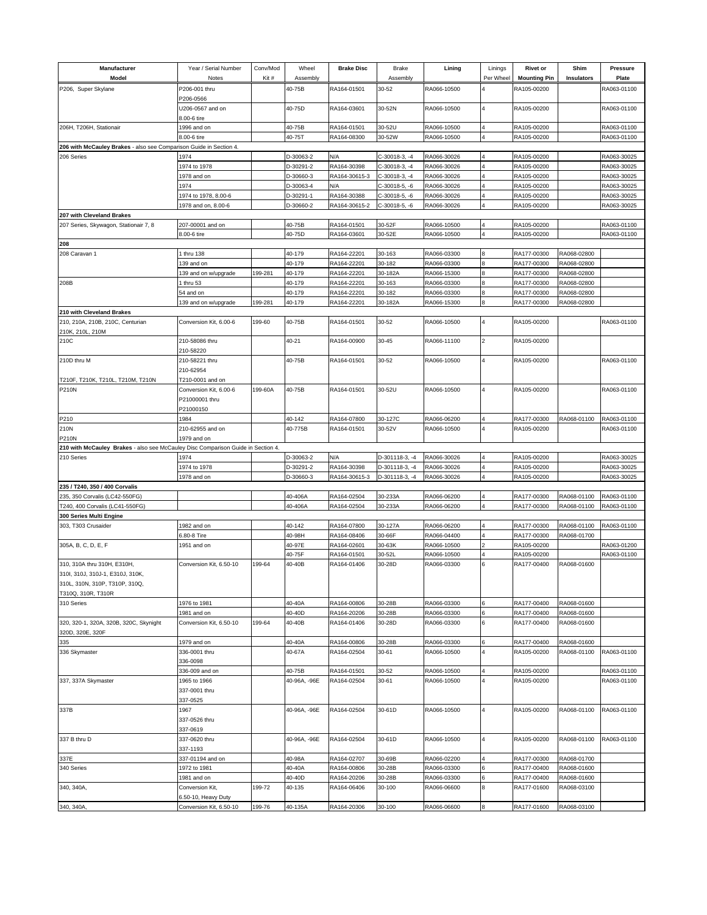| Manufacturer<br>Model                                                            | Year / Serial Number<br>Notes   | Conv/Mod<br>Kit# | Wheel<br>Assembly      | <b>Brake Disc</b>          | <b>Brake</b><br>Assembly       | Lining                     | Linings<br>Per Wheel    | <b>Rivet or</b><br><b>Mounting Pin</b> | Shim<br><b>Insulators</b> | <b>Pressure</b><br>Plate   |
|----------------------------------------------------------------------------------|---------------------------------|------------------|------------------------|----------------------------|--------------------------------|----------------------------|-------------------------|----------------------------------------|---------------------------|----------------------------|
| P206, Super Skylane                                                              | P206-001 thru                   |                  | 40-75B                 | RA164-01501                | 30-52                          | RA066-10500                |                         | RA105-00200                            |                           | RA063-01100                |
|                                                                                  | P206-0566                       |                  |                        |                            |                                |                            |                         |                                        |                           |                            |
|                                                                                  | J206-0567 and on<br>8.00-6 tire |                  | 40-75D                 | RA164-03601                | 30-52N                         | RA066-10500                |                         | RA105-00200                            |                           | RA063-01100                |
| 206H, T206H, Stationair                                                          | 1996 and on                     |                  | 40-75B                 | RA164-01501                | 30-52U                         | RA066-10500                |                         | RA105-00200                            |                           | RA063-01100                |
|                                                                                  | 8.00-6 tire                     |                  | 40-75T                 | RA164-08300                | 30-52W                         | RA066-10500                |                         | RA105-00200                            |                           | RA063-01100                |
| 206 with McCauley Brakes - also see Comparison Guide in Section 4.               |                                 |                  |                        |                            |                                |                            |                         |                                        |                           |                            |
| 206 Series                                                                       | 1974                            |                  | D-30063-2              | N/A                        | C-30018-3, -4                  | RA066-30026                |                         | RA105-00200                            |                           | RA063-30025                |
|                                                                                  | 1974 to 1978                    |                  | D-30291-2              | RA164-30398                | C-30018-3, -4                  | RA066-30026                |                         | RA105-00200                            |                           | RA063-30025                |
|                                                                                  | 978 and on<br>1974              |                  | D-30660-3              | RA164-30615-3              | C-30018-3, -4                  | RA066-30026<br>RA066-30026 |                         | RA105-00200<br>RA105-00200             |                           | RA063-30025                |
|                                                                                  | 974 to 1978, 8.00-6             |                  | D-30063-4<br>D-30291-1 | N/A<br>RA164-30388         | C-30018-5, -6<br>C-30018-5, -6 | RA066-30026                |                         | RA105-00200                            |                           | RA063-30025<br>RA063-30025 |
|                                                                                  | 1978 and on, 8.00-6             |                  | D-30660-2              | RA164-30615-2              | C-30018-5, -6                  | RA066-30026                |                         | RA105-00200                            |                           | RA063-30025                |
| 207 with Cleveland Brakes                                                        |                                 |                  |                        |                            |                                |                            |                         |                                        |                           |                            |
| 207 Series, Skywagon, Stationair 7, 8                                            | 207-00001 and on                |                  | 40-75B                 | RA164-01501                | 30-52F                         | RA066-10500                |                         | RA105-00200                            |                           | RA063-01100                |
|                                                                                  | 8.00-6 tire                     |                  | 40-75D                 | RA164-03601                | 30-52E                         | RA066-10500                |                         | RA105-00200                            |                           | RA063-01100                |
| 208                                                                              |                                 |                  |                        |                            |                                |                            |                         |                                        |                           |                            |
| 208 Caravan 1                                                                    | I thru 138                      |                  | 40-179                 | RA164-22201                | 30-163                         | RA066-03300                |                         | RA177-00300                            | RA068-02800               |                            |
|                                                                                  | 39 and on                       |                  | 40-179                 | RA164-22201                | 30-182                         | RA066-03300                | 8                       | RA177-00300                            | RA068-02800               |                            |
|                                                                                  | 39 and on w/upgrade             | 199-281          | 40-179                 | RA164-22201                | 30-182A                        | RA066-15300                |                         | RA177-00300                            | RA068-02800               |                            |
| 208B                                                                             | thru 53                         |                  | 40-179                 | RA164-22201                | 30-163                         | RA066-03300                |                         | RA177-00300                            | RA068-02800               |                            |
|                                                                                  | 54 and on                       |                  | 40-179                 | RA164-22201                | 30-182                         | RA066-03300                |                         | RA177-00300                            | RA068-02800               |                            |
|                                                                                  | 139 and on w/upgrade            | 199-281          | 40-179                 | RA164-22201                | 30-182A                        | RA066-15300                |                         | RA177-00300                            | RA068-02800               |                            |
| 210 with Cleveland Brakes                                                        |                                 |                  |                        |                            |                                |                            |                         |                                        |                           |                            |
| 210, 210A, 210B, 210C, Centurian<br>210K, 210L, 210M                             | Conversion Kit, 6.00-6          | 199-60           | 40-75B                 | RA164-01501                | 30-52                          | RA066-10500                | 4                       | RA105-00200                            |                           | RA063-01100                |
| 210C                                                                             | 210-58086 thru<br>210-58220     |                  | 40-21                  | RA164-00900                | $30 - 45$                      | RA066-11100                | $\overline{2}$          | RA105-00200                            |                           |                            |
| 210D thru M                                                                      | 210-58221 thru<br>210-62954     |                  | 40-75B                 | RA164-01501                | 30-52                          | RA066-10500                |                         | RA105-00200                            |                           | RA063-01100                |
| T210F, T210K, T210L, T210M, T210N                                                | T210-0001 and on                |                  |                        |                            |                                |                            |                         |                                        |                           |                            |
| <b>P210N</b>                                                                     | Conversion Kit, 6.00-6          | 199-60A          | 40-75B                 | RA164-01501                | 30-52U                         | RA066-10500                |                         | RA105-00200                            |                           | RA063-01100                |
|                                                                                  | P21000001 thru<br>P21000150     |                  |                        |                            |                                |                            |                         |                                        |                           |                            |
| P210                                                                             | 1984                            |                  | 40-142                 | RA164-07800                | 30-127C                        | RA066-06200                |                         | RA177-00300                            | RA068-01100               | RA063-01100                |
| 210N                                                                             | 210-62955 and on                |                  | 40-775B                | RA164-01501                | 30-52V                         | RA066-10500                |                         | RA105-00200                            |                           | RA063-01100                |
| <b>P210N</b>                                                                     | 1979 and on                     |                  |                        |                            |                                |                            |                         |                                        |                           |                            |
| 210 with McCauley Brakes - also see McCauley Disc Comparison Guide in Section 4. |                                 |                  |                        |                            |                                |                            |                         |                                        |                           |                            |
| 210 Series                                                                       | 1974                            |                  | D-30063-2              | N/A                        | D-301118-3, -4                 | RA066-30026                |                         | RA105-00200                            |                           | RA063-30025                |
|                                                                                  | 1974 to 1978                    |                  | D-30291-2              | RA164-30398                | D-301118-3, -4                 | RA066-30026                |                         | RA105-00200                            |                           | RA063-30025                |
|                                                                                  | 1978 and on                     |                  | D-30660-3              | RA164-30615-3              | D-301118-3, -4                 | RA066-30026                |                         | RA105-00200                            |                           | RA063-30025                |
| 235 / T240, 350 / 400 Corvalis                                                   |                                 |                  |                        |                            |                                |                            |                         |                                        |                           |                            |
| 235, 350 Corvalis (LC42-550FG)                                                   |                                 |                  | 40-406A                | RA164-02504                | 30-233A                        | RA066-06200                |                         | RA177-00300                            | RA068-01100               | RA063-01100                |
| T240, 400 Corvalis (LC41-550FG)                                                  |                                 |                  | 40-406A                | RA164-02504                | 30-233A                        | RA066-06200                |                         | RA177-00300                            | RA068-01100               | RA063-01100                |
| 300 Series Multi Engine                                                          |                                 |                  |                        |                            |                                |                            |                         |                                        |                           |                            |
| 303, T303 Crusaider                                                              | 1982 and on                     |                  | 40-142                 | RA164-07800                | 30-127A                        | RA066-06200                |                         | RA177-00300                            | RA068-01100               | RA063-01100                |
|                                                                                  | .80-8 Tire                      |                  | 40-98H<br>40-97E       | RA164-08406<br>RA164-02601 | 30-66F                         | RA066-04400                |                         | RA177-00300<br>RA105-00200             | RA068-01700               |                            |
| 305A, B, C, D, E, F                                                              | 1951 and on                     |                  | 40-75F                 | RA164-01501                | 30-63K<br>30-52L               | RA066-10500<br>RA066-10500 |                         | RA105-00200                            |                           | RA063-01200<br>RA063-01100 |
| 310, 310A thru 310H, E310H,                                                      | Conversion Kit, 6.50-10         | 199-64           | 40-40B                 | RA164-01406                | 30-28D                         | RA066-03300                |                         | RA177-00400                            | RA068-01600               |                            |
| 310l, 310J, 310J-1, E310J, 310K,                                                 |                                 |                  |                        |                            |                                |                            |                         |                                        |                           |                            |
| 310L, 310N, 310P, T310P, 310Q,                                                   |                                 |                  |                        |                            |                                |                            |                         |                                        |                           |                            |
| T310Q, 310R, T310R                                                               |                                 |                  |                        |                            |                                |                            |                         |                                        |                           |                            |
| 310 Series                                                                       | 1976 to 1981                    |                  | 40-40A                 | RA164-00806                | 30-28B                         | RA066-03300                | 6                       | RA177-00400                            | RA068-01600               |                            |
|                                                                                  | 1981 and on                     |                  | 40-40D                 | RA164-20206                | 30-28B                         | RA066-03300                |                         | RA177-00400                            | RA068-01600               |                            |
| 320, 320-1, 320A, 320B, 320C, Skynight                                           | Conversion Kit, 6.50-10         | 199-64           | 40-40B                 | RA164-01406                | 30-28D                         | RA066-03300                | <b>6</b>                | RA177-00400                            | RA068-01600               |                            |
| 320D, 320E, 320F                                                                 |                                 |                  |                        |                            |                                |                            |                         |                                        |                           |                            |
| 335                                                                              | 1979 and on                     |                  | 40-40A                 | RA164-00806                | 30-28B                         | RA066-03300                |                         | RA177-00400                            | RA068-01600               |                            |
| 336 Skymaster                                                                    | 336-0001 thru                   |                  | 40-67A                 | RA164-02504                | 30-61                          | RA066-10500                |                         | RA105-00200                            | RA068-01100               | RA063-01100                |
|                                                                                  | 336-0098                        |                  |                        |                            |                                |                            |                         |                                        |                           |                            |
|                                                                                  | 336-009 and on                  |                  | 40-75B                 | RA164-01501                | 30-52                          | RA066-10500                |                         | RA105-00200                            |                           | RA063-01100                |
| 337, 337A Skymaster                                                              | 1965 to 1966                    |                  | 40-96A, -96E           | RA164-02504                | 30-61                          | RA066-10500                |                         | RA105-00200                            |                           | RA063-01100                |
|                                                                                  | 337-0001 thru                   |                  |                        |                            |                                |                            |                         |                                        |                           |                            |
|                                                                                  | 337-0525                        |                  |                        |                            |                                |                            |                         |                                        |                           |                            |
| 337B                                                                             | 1967                            |                  | 40-96A, -96E           | RA164-02504                | 30-61D                         | RA066-10500                | $\overline{\mathbf{A}}$ | RA105-00200                            | RA068-01100               | RA063-01100                |
|                                                                                  | 337-0526 thru<br>337-0619       |                  |                        |                            |                                |                            |                         |                                        |                           |                            |
| 337 B thru D                                                                     | 337-0620 thru                   |                  | 40-96A, -96E           | RA164-02504                | 30-61D                         | RA066-10500                |                         | RA105-00200                            | RA068-01100               | RA063-01100                |
|                                                                                  | 337-1193                        |                  |                        |                            |                                |                            |                         |                                        |                           |                            |
| 337E                                                                             | 337-01194 and on                |                  | 40-98A                 | RA164-02707                | 30-69B                         | RA066-02200                |                         | RA177-00300                            | RA068-01700               |                            |
| 340 Series                                                                       | 1972 to 1981                    |                  | 40-40A                 | RA164-00806                | 30-28B                         | RA066-03300                |                         | RA177-00400                            | RA068-01600               |                            |
|                                                                                  | 981 and on                      |                  | 40-40D                 | RA164-20206                | 30-28B                         | RA066-03300                |                         | RA177-00400                            | RA068-01600               |                            |
| 340, 340A,                                                                       | Conversion Kit,                 | 199-72           | 40-135                 | RA164-06406                | 30-100                         | RA066-06600                |                         | RA177-01600                            | RA068-03100               |                            |
|                                                                                  | 6.50-10, Heavy Duty             |                  |                        |                            |                                |                            |                         |                                        |                           |                            |
| 340, 340A,                                                                       | Conversion Kit, 6.50-10         | 199-76           | 40-135A                | RA164-20306                | 30-100                         | RA066-06600                | 8                       | RA177-01600                            | RA068-03100               |                            |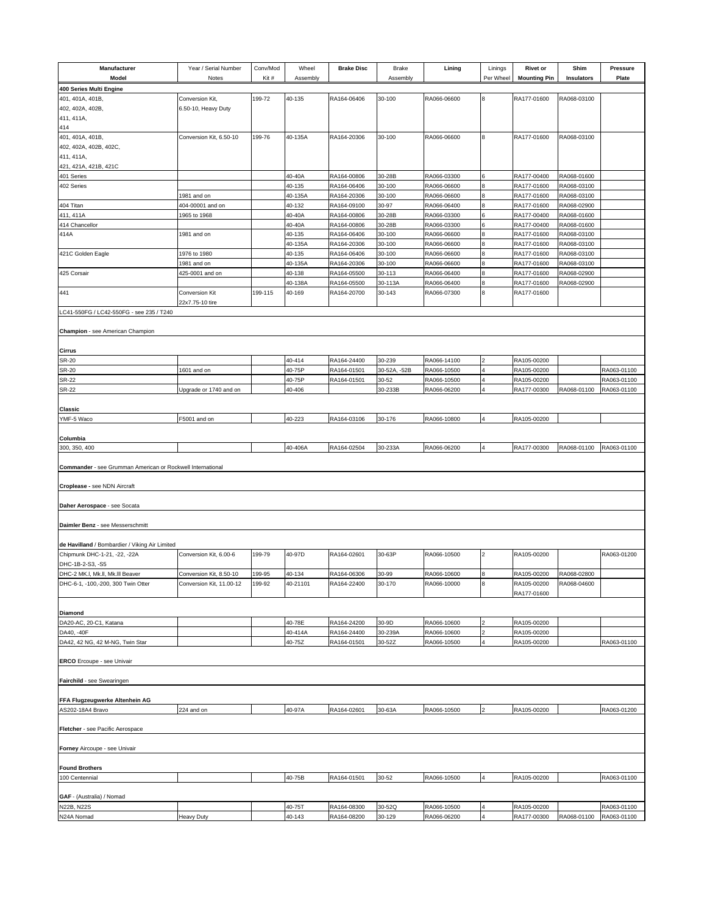| Manufacturer                                               | Year / Serial Number           | Conv/Mod | Wheel             | <b>Brake Disc</b>          | <b>Brake</b>           | Lining                     | Linings        | <b>Rivet or</b>            | Shim                       | Pressure                   |
|------------------------------------------------------------|--------------------------------|----------|-------------------|----------------------------|------------------------|----------------------------|----------------|----------------------------|----------------------------|----------------------------|
| Model                                                      | Notes                          | Kit#     | Assembly          |                            | Assembly               |                            | Per Wheel      | <b>Mounting Pin</b>        | <b>Insulators</b>          | Plate                      |
| 400 Series Multi Engine                                    |                                |          |                   |                            |                        |                            |                |                            |                            |                            |
| 401, 401A, 401B,                                           | Conversion Kit,                | 199-72   | 40-135            | RA164-06406                | 30-100                 | RA066-06600                |                | RA177-01600                | RA068-03100                |                            |
| 402, 402A, 402B,                                           | 6.50-10, Heavy Duty            |          |                   |                            |                        |                            |                |                            |                            |                            |
| 411, 411A,<br>414                                          |                                |          |                   |                            |                        |                            |                |                            |                            |                            |
| 401, 401A, 401B,                                           | Conversion Kit, 6.50-10        | 199-76   | 40-135A           | RA164-20306                | 30-100                 | RA066-06600                | 8              | RA177-01600                | RA068-03100                |                            |
| 402, 402A, 402B, 402C,                                     |                                |          |                   |                            |                        |                            |                |                            |                            |                            |
| 411, 411A,                                                 |                                |          |                   |                            |                        |                            |                |                            |                            |                            |
| 421, 421A, 421B, 421C                                      |                                |          |                   |                            |                        |                            |                |                            |                            |                            |
| 401 Series                                                 |                                |          | 40-40A            | RA164-00806                | 30-28B                 | RA066-03300                | ิค             | RA177-00400                | RA068-01600                |                            |
| 402 Series                                                 |                                |          | 40-135            | RA164-06406                | 30-100                 | RA066-06600                | 8              | RA177-01600                | RA068-03100                |                            |
| 404 Titan                                                  | 981 and on<br>404-00001 and on |          | 40-135A<br>40-132 | RA164-20306<br>RA164-09100 | 30-100<br>30-97        | RA066-06600<br>RA066-06400 |                | RA177-01600<br>RA177-01600 | RA068-03100<br>RA068-02900 |                            |
| 411, 411A                                                  | 1965 to 1968                   |          | 40-40A            | RA164-00806                | 30-28B                 | RA066-03300                |                | RA177-00400                | RA068-01600                |                            |
| 414 Chancellor                                             |                                |          | 40-40A            | RA164-00806                | 30-28B                 | RA066-03300                |                | RA177-00400                | RA068-01600                |                            |
| 414A                                                       | 1981 and on                    |          | 40-135            | RA164-06406                | 30-100                 | RA066-06600                | 8              | RA177-01600                | RA068-03100                |                            |
|                                                            |                                |          | 40-135A           | RA164-20306                | 30-100                 | RA066-06600                |                | RA177-01600                | RA068-03100                |                            |
| 421C Golden Eagle                                          | 1976 to 1980                   |          | 40-135            | RA164-06406                | 30-100                 | RA066-06600                |                | RA177-01600                | RA068-03100                |                            |
|                                                            | 1981 and on                    |          | 40-135A           | RA164-20306                | 30-100                 | RA066-06600                |                | RA177-01600                | RA068-03100                |                            |
| 425 Corsair                                                | 425-0001 and on                |          | 40-138            | RA164-05500                | 30-113                 | RA066-06400                | 8              | RA177-01600                | RA068-02900                |                            |
| 441                                                        | <b>Conversion Kit</b>          | 199-115  | 40-138A<br>40-169 | RA164-05500<br>RA164-20700 | 30-113A<br>30-143      | RA066-06400<br>RA066-07300 | 8              | RA177-01600<br>RA177-01600 | RA068-02900                |                            |
|                                                            | 22x7.75-10 tire                |          |                   |                            |                        |                            |                |                            |                            |                            |
| LC41-550FG / LC42-550FG - see 235 / T240                   |                                |          |                   |                            |                        |                            |                |                            |                            |                            |
|                                                            |                                |          |                   |                            |                        |                            |                |                            |                            |                            |
| Champion - see American Champion                           |                                |          |                   |                            |                        |                            |                |                            |                            |                            |
|                                                            |                                |          |                   |                            |                        |                            |                |                            |                            |                            |
| Cirrus                                                     |                                |          |                   |                            |                        |                            |                |                            |                            |                            |
| <b>SR-20</b><br><b>SR-20</b>                               | 1601 and on                    |          | 40-414<br>40-75P  | RA164-24400<br>RA164-01501 | 30-239<br>30-52A, -52B | RA066-14100<br>RA066-10500 |                | RA105-00200<br>RA105-00200 |                            |                            |
| <b>SR-22</b>                                               |                                |          | 40-75P            | RA164-01501                | 30-52                  | RA066-10500                | $\overline{4}$ | RA105-00200                |                            | RA063-01100<br>RA063-01100 |
| <b>SR-22</b>                                               | Upgrade or 1740 and on         |          | 40-406            |                            | 30-233B                | RA066-06200                |                | RA177-00300                | RA068-01100                | RA063-01100                |
|                                                            |                                |          |                   |                            |                        |                            |                |                            |                            |                            |
| Classic                                                    |                                |          |                   |                            |                        |                            |                |                            |                            |                            |
| YMF-5 Waco                                                 | F5001 and on                   |          | 40-223            | RA164-03106                | 30-176                 | RA066-10800                |                | RA105-00200                |                            |                            |
|                                                            |                                |          |                   |                            |                        |                            |                |                            |                            |                            |
| Columbia                                                   |                                |          |                   |                            |                        |                            |                |                            |                            |                            |
| 300, 350, 400                                              |                                |          | 40-406A           | RA164-02504                | 30-233A                | RA066-06200                |                | RA177-00300                | RA068-01100                | RA063-01100                |
| Commander - see Grumman American or Rockwell International |                                |          |                   |                            |                        |                            |                |                            |                            |                            |
|                                                            |                                |          |                   |                            |                        |                            |                |                            |                            |                            |
| Croplease - see NDN Aircraft                               |                                |          |                   |                            |                        |                            |                |                            |                            |                            |
|                                                            |                                |          |                   |                            |                        |                            |                |                            |                            |                            |
| Daher Aerospace - see Socata                               |                                |          |                   |                            |                        |                            |                |                            |                            |                            |
| Daimler Benz - see Messerschmitt                           |                                |          |                   |                            |                        |                            |                |                            |                            |                            |
|                                                            |                                |          |                   |                            |                        |                            |                |                            |                            |                            |
| de Havilland / Bombardier / Viking Air Limited             |                                |          |                   |                            |                        |                            |                |                            |                            |                            |
| Chipmunk DHC-1-21, -22, -22A                               | Conversion Kit, 6.00-6         | 199-79   | 40-97D            | RA164-02601                | 30-63P                 | RA066-10500                |                | RA105-00200                |                            | RA063-01200                |
| DHC-1B-2-S3, -S5                                           |                                |          |                   |                            |                        |                            |                |                            |                            |                            |
| DHC-2 MK.I, Mk.II, Mk.III Beaver                           | Conversion Kit, 8.50-10        | 199-95   | 40-134            | RA164-06306                | 30-99                  | RA066-10600                | 8              | RA105-00200                | RA068-02800                |                            |
| DHC-6-1, -100,-200, 300 Twin Otter                         | Conversion Kit, 11.00-12       | 199-92   | 40-21101          | RA164-22400                | 30-170                 | RA066-10000                | 8              | RA105-00200                | RA068-04600                |                            |
|                                                            |                                |          |                   |                            |                        |                            |                | RA177-01600                |                            |                            |
| Diamond                                                    |                                |          |                   |                            |                        |                            |                |                            |                            |                            |
| DA20-AC, 20-C1, Katana                                     |                                |          | 40-78E            | RA164-24200                | 30-9D                  | RA066-10600                |                | RA105-00200                |                            |                            |
| DA40, -40F                                                 |                                |          | 40-414A           | RA164-24400                | 30-239A                | RA066-10600                |                | RA105-00200                |                            |                            |
| DA42, 42 NG, 42 M-NG, Twin Star                            |                                |          | 40-75Z            | RA164-01501                | 30-52Z                 | RA066-10500                |                | RA105-00200                |                            | RA063-01100                |
|                                                            |                                |          |                   |                            |                        |                            |                |                            |                            |                            |
| ERCO Ercoupe - see Univair                                 |                                |          |                   |                            |                        |                            |                |                            |                            |                            |
| Fairchild - see Swearingen                                 |                                |          |                   |                            |                        |                            |                |                            |                            |                            |
|                                                            |                                |          |                   |                            |                        |                            |                |                            |                            |                            |
| FFA Flugzeugwerke Altenhein AG                             |                                |          |                   |                            |                        |                            |                |                            |                            |                            |
| AS202-18A4 Bravo                                           | 224 and on                     |          | 40-97A            | RA164-02601                | 30-63A                 | RA066-10500                | $\overline{2}$ | RA105-00200                |                            | RA063-01200                |
|                                                            |                                |          |                   |                            |                        |                            |                |                            |                            |                            |
| Fletcher - see Pacific Aerospace                           |                                |          |                   |                            |                        |                            |                |                            |                            |                            |
|                                                            |                                |          |                   |                            |                        |                            |                |                            |                            |                            |
| Forney Aircoupe - see Univair                              |                                |          |                   |                            |                        |                            |                |                            |                            |                            |
| <b>Found Brothers</b>                                      |                                |          |                   |                            |                        |                            |                |                            |                            |                            |
| 100 Centennial                                             |                                |          | 40-75B            | RA164-01501                | 30-52                  | RA066-10500                |                | RA105-00200                |                            | RA063-01100                |
|                                                            |                                |          |                   |                            |                        |                            |                |                            |                            |                            |
| GAF - (Australia) / Nomad                                  |                                |          |                   |                            |                        |                            |                |                            |                            |                            |
| N22B, N22S                                                 |                                |          | 40-75T            | RA164-08300                | 30-52Q                 | RA066-10500                |                | RA105-00200                |                            | RA063-01100                |
| N24A Nomad                                                 | <b>Heavy Duty</b>              |          | 40-143            | RA164-08200                | 30-129                 | RA066-06200                | 4              | RA177-00300                | RA068-01100                | RA063-01100                |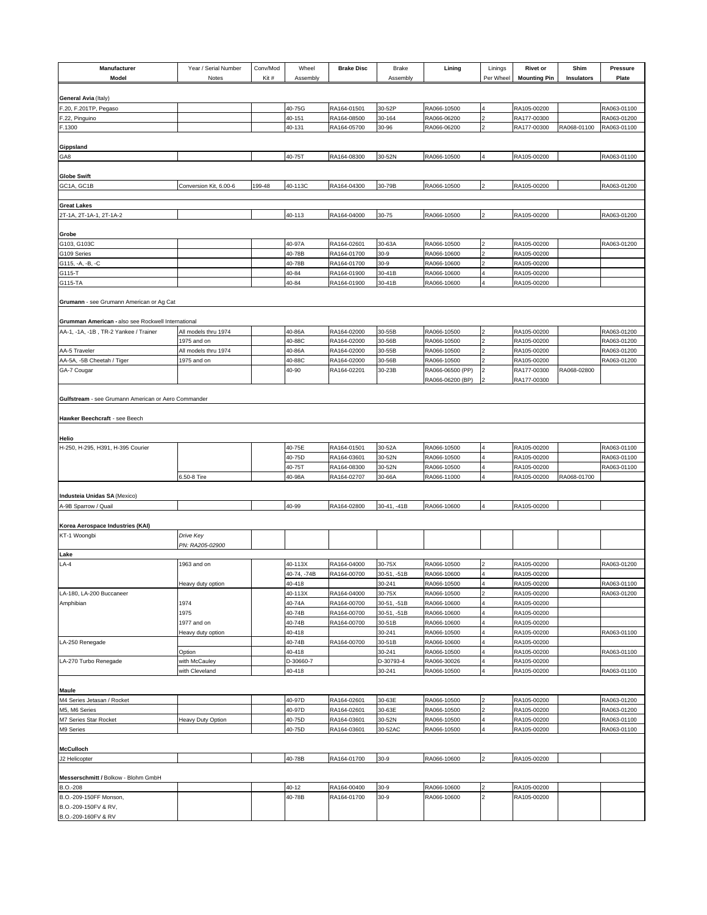| Manufacturer                                        | Year / Serial Number         | Conv/Mod | Wheel            | <b>Brake Disc</b>          | Brake            | Lining                     | Linings                 | <b>Rivet or</b>            | Shim        | <b>Pressure</b>            |
|-----------------------------------------------------|------------------------------|----------|------------------|----------------------------|------------------|----------------------------|-------------------------|----------------------------|-------------|----------------------------|
| Model                                               | Notes                        | Kit#     | Assembly         |                            | Assembly         |                            | Per Wheel               | <b>Mounting Pin</b>        | Insulators  | Plate                      |
|                                                     |                              |          |                  |                            |                  |                            |                         |                            |             |                            |
| General Avia (Italy)                                |                              |          |                  |                            |                  |                            |                         |                            |             |                            |
| F.20, F.201TP, Pegaso                               |                              |          | 40-75G           | RA164-01501                | 30-52P           | RA066-10500                | $\overline{4}$          | RA105-00200                |             | RA063-01100                |
| F.22, Pinguino                                      |                              |          | 40-151           | RA164-08500<br>RA164-05700 | 30-164           | RA066-06200<br>RA066-06200 | $\overline{2}$          | RA177-00300<br>RA177-00300 |             | RA063-01200                |
| F.1300                                              |                              |          | 40-131           |                            | 30-96            |                            |                         |                            | RA068-01100 | RA063-01100                |
| Gippsland                                           |                              |          |                  |                            |                  |                            |                         |                            |             |                            |
| GA8                                                 |                              |          | 40-75T           | RA164-08300                | 30-52N           | RA066-10500                | $\overline{4}$          | RA105-00200                |             | RA063-01100                |
|                                                     |                              |          |                  |                            |                  |                            |                         |                            |             |                            |
| <b>Globe Swift</b>                                  |                              |          |                  |                            |                  |                            |                         |                            |             |                            |
| GC1A, GC1B                                          | Conversion Kit, 6.00-6       | 199-48   | 40-113C          | RA164-04300                | 30-79B           | RA066-10500                | $\overline{2}$          | RA105-00200                |             | RA063-01200                |
| <b>Great Lakes</b>                                  |                              |          |                  |                            |                  |                            |                         |                            |             |                            |
| 2T-1A, 2T-1A-1, 2T-1A-2                             |                              |          | 40-113           | RA164-04000                | 30-75            | RA066-10500                | $\overline{a}$          | RA105-00200                |             | RA063-01200                |
|                                                     |                              |          |                  |                            |                  |                            |                         |                            |             |                            |
| Grobe                                               |                              |          |                  |                            |                  |                            |                         |                            |             |                            |
| G103, G103C                                         |                              |          | 40-97A           | RA164-02601                | 30-63A           | RA066-10500                |                         | RA105-00200                |             | RA063-01200                |
| G109 Series                                         |                              |          | 40-78B           | RA164-01700                | 30-9             | RA066-10600                |                         | RA105-00200                |             |                            |
| G115, -A, -B, -C                                    |                              |          | 40-78B           | RA164-01700                | 30-9             | RA066-10600                |                         | RA105-00200                |             |                            |
| G115-T<br>G115-TA                                   |                              |          | 40-84<br>40-84   | RA164-01900<br>RA164-01900 | 30-41B<br>30-41B | RA066-10600<br>RA066-10600 |                         | RA105-00200<br>RA105-00200 |             |                            |
|                                                     |                              |          |                  |                            |                  |                            |                         |                            |             |                            |
| Grumann - see Grumann American or Ag Cat            |                              |          |                  |                            |                  |                            |                         |                            |             |                            |
|                                                     |                              |          |                  |                            |                  |                            |                         |                            |             |                            |
| Grumman American - also see Rockwell International  |                              |          |                  |                            |                  |                            |                         |                            |             |                            |
| AA-1, -1A, -1B, TR-2 Yankee / Trainer               | All models thru 1974         |          | 40-86A           | RA164-02000                | 30-55B           | RA066-10500                |                         | RA105-00200                |             | RA063-01200                |
|                                                     | 1975 and on                  |          | 40-88C           | RA164-02000                | 30-56B           | RA066-10500                |                         | RA105-00200                |             | RA063-01200                |
| AA-5 Traveler                                       | All models thru 1974         |          | 40-86A           | RA164-02000                | 30-55B           | RA066-10500                |                         | RA105-00200                |             | RA063-01200                |
| AA-5A, -5B Cheetah / Tiger                          | 1975 and on                  |          | 40-88C           | RA164-02000                | 30-56B           | RA066-10500                |                         | RA105-00200                |             | RA063-01200                |
| GA-7 Cougar                                         |                              |          | 40-90            | RA164-02201                | 30-23B           | RA066-06500 (PP)           | 2<br>2                  | RA177-00300                | RA068-02800 |                            |
|                                                     |                              |          |                  |                            |                  | RA066-06200 (BP)           |                         | RA177-00300                |             |                            |
| Gulfstream - see Grumann American or Aero Commander |                              |          |                  |                            |                  |                            |                         |                            |             |                            |
|                                                     |                              |          |                  |                            |                  |                            |                         |                            |             |                            |
| Hawker Beechcraft - see Beech                       |                              |          |                  |                            |                  |                            |                         |                            |             |                            |
|                                                     |                              |          |                  |                            |                  |                            |                         |                            |             |                            |
| Helio                                               |                              |          |                  |                            |                  |                            |                         |                            |             |                            |
| H-250, H-295, H391, H-395 Courier                   |                              |          | 40-75E           | RA164-01501                | 30-52A           | RA066-10500                | 4                       | RA105-00200                |             | RA063-01100                |
|                                                     |                              |          | 40-75D<br>40-75T | RA164-03601<br>RA164-08300 | 30-52N<br>30-52N | RA066-10500<br>RA066-10500 | $\overline{\mathbf{4}}$ | RA105-00200<br>RA105-00200 |             | RA063-01100<br>RA063-01100 |
|                                                     | 6.50-8 Tire                  |          | 40-98A           | RA164-02707                | 30-66A           | RA066-11000                |                         | RA105-00200                | RA068-01700 |                            |
|                                                     |                              |          |                  |                            |                  |                            |                         |                            |             |                            |
| Industeia Unidas SA (Mexico)                        |                              |          |                  |                            |                  |                            |                         |                            |             |                            |
| A-9B Sparrow / Quail                                |                              |          | 40-99            | RA164-02800                | 30-41, -41B      | RA066-10600                | 4                       | RA105-00200                |             |                            |
|                                                     |                              |          |                  |                            |                  |                            |                         |                            |             |                            |
| Korea Aerospace Industries (KAI)                    |                              |          |                  |                            |                  |                            |                         |                            |             |                            |
| KT-1 Woongbi                                        | Drive Key<br>PN: RA205-02900 |          |                  |                            |                  |                            |                         |                            |             |                            |
| Lake                                                |                              |          |                  |                            |                  |                            |                         |                            |             |                            |
| $LA-4$                                              | 1963 and on                  |          | 40-113X          | RA164-04000                | 30-75X           | RA066-10500                |                         | RA105-00200                |             | RA063-01200                |
|                                                     |                              |          | 40-74. -74B      | RA164-00700                | 30-51, -51B      | RA066-10600                | $\overline{\mathbf{4}}$ | RA105-00200                |             |                            |
|                                                     | Heavy duty option            |          | 40-418           |                            | 30-241           | RA066-10500                |                         | RA105-00200                |             | RA063-01100                |
| LA-180, LA-200 Buccaneer                            |                              |          | 40-113X          | RA164-04000                | 30-75X           | RA066-10500                |                         | RA105-00200                |             | RA063-01200                |
| Amphibian                                           | 1974                         |          | 40-74A           | RA164-00700                | 30-51, -51B      | RA066-10600                |                         | RA105-00200                |             |                            |
|                                                     | 1975                         |          | 40-74B           | RA164-00700                | 30-51, -51B      | RA066-10600                |                         | RA105-00200                |             |                            |
|                                                     | 1977 and on                  |          | 40-74B           | RA164-00700                | 30-51B           | RA066-10600                |                         | RA105-00200                |             |                            |
|                                                     | Heavy duty option            |          | 40-418<br>40-74B |                            | 30-241           | RA066-10500                |                         | RA105-00200<br>RA105-00200 |             | RA063-01100                |
| LA-250 Renegade                                     | Option                       |          | 40-418           | RA164-00700                | 30-51B<br>30-241 | RA066-10600<br>RA066-10500 |                         | RA105-00200                |             | RA063-01100                |
| LA-270 Turbo Renegade                               | with McCauley                |          | D-30660-7        |                            | D-30793-4        | RA066-30026                | 4                       | RA105-00200                |             |                            |
|                                                     | with Cleveland               |          | 40-418           |                            | 30-241           | RA066-10500                | $\overline{4}$          | RA105-00200                |             | RA063-01100                |
|                                                     |                              |          |                  |                            |                  |                            |                         |                            |             |                            |
| <b>Maule</b>                                        |                              |          |                  |                            |                  |                            |                         |                            |             |                            |
| M4 Series Jetasan / Rocket                          |                              |          | 40-97D           | RA164-02601                | 30-63E           | RA066-10500                | 2                       | RA105-00200                |             | RA063-01200                |
| M5, M6 Series                                       |                              |          | 40-97D           | RA164-02601                | 30-63E           | RA066-10500                |                         | RA105-00200                |             | RA063-01200                |
| M7 Series Star Rocket                               | Heavy Duty Option            |          | 40-75D           | RA164-03601                | 30-52N           | RA066-10500                | $\overline{\mathbf{4}}$ | RA105-00200                |             | RA063-01100                |
| M9 Series                                           |                              |          | 40-75D           | RA164-03601                | 30-52AC          | RA066-10500                |                         | RA105-00200                |             | RA063-01100                |
| <b>McCulloch</b>                                    |                              |          |                  |                            |                  |                            |                         |                            |             |                            |
| J2 Helicopter                                       |                              |          | 40-78B           | RA164-01700                | $30-9$           | RA066-10600                | $\overline{2}$          | RA105-00200                |             |                            |
|                                                     |                              |          |                  |                            |                  |                            |                         |                            |             |                            |
| Messerschmitt / Bolkow - Blohm GmbH                 |                              |          |                  |                            |                  |                            |                         |                            |             |                            |
| B.O.-208                                            |                              |          | 40-12            | RA164-00400                | $30-9$           | RA066-10600                | $\overline{2}$          | RA105-00200                |             |                            |
| B.O.-209-150FF Monson,                              |                              |          | 40-78B           | RA164-01700                | $30 - 9$         | RA066-10600                | $\overline{a}$          | RA105-00200                |             |                            |
| B.O.-209-150FV & RV,                                |                              |          |                  |                            |                  |                            |                         |                            |             |                            |
| B.O.-209-160FV & RV                                 |                              |          |                  |                            |                  |                            |                         |                            |             |                            |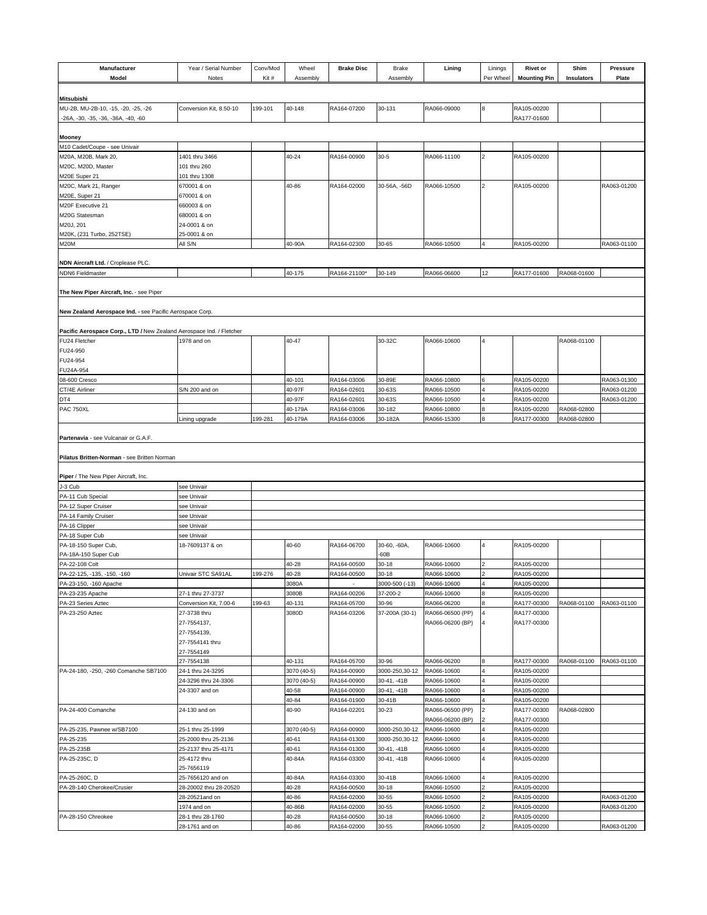| Model                                                                               | Year / Serial Number<br>Notes                                 | Conv/Mod<br>Kit# | Wheel<br>Assembly | <b>Brake Disc</b>          | <b>Brake</b><br>Assembly | Lining                                              | Linings<br>Per Wheel | <b>Rivet or</b><br><b>Mounting Pin</b>    | Shim<br>Insulators | Pressure<br>Plate          |
|-------------------------------------------------------------------------------------|---------------------------------------------------------------|------------------|-------------------|----------------------------|--------------------------|-----------------------------------------------------|----------------------|-------------------------------------------|--------------------|----------------------------|
|                                                                                     |                                                               |                  |                   |                            |                          |                                                     |                      |                                           |                    |                            |
| Mitsubishi<br>MU-2B, MU-2B-10, -15, -20, -25, -26                                   | Conversion Kit, 8.50-10                                       | 199-101          | 40-148            | RA164-07200                | 30-131                   | RA066-09000                                         | 8                    | RA105-00200                               |                    |                            |
| -26A, -30, -35, -36, -36A, -40, -60                                                 |                                                               |                  |                   |                            |                          |                                                     |                      | RA177-01600                               |                    |                            |
|                                                                                     |                                                               |                  |                   |                            |                          |                                                     |                      |                                           |                    |                            |
| <b>Mooney</b><br>M10 Cadet/Coupe - see Univair                                      |                                                               |                  |                   |                            |                          |                                                     |                      |                                           |                    |                            |
| M20A, M20B, Mark 20,                                                                | 1401 thru 3466                                                |                  | 40-24             | RA164-00900                | $30 - 5$                 | RA066-11100                                         | $\overline{2}$       | RA105-00200                               |                    |                            |
| M20C, M20D, Master                                                                  | 101 thru 260                                                  |                  |                   |                            |                          |                                                     |                      |                                           |                    |                            |
| M20E Super 21                                                                       | 101 thru 1308                                                 |                  |                   |                            |                          |                                                     |                      |                                           |                    |                            |
| M20C, Mark 21, Ranger                                                               | 670001 & on<br>670001 & on                                    |                  | 40-86             | RA164-02000                | 30-56A, -56D             | RA066-10500                                         | $\overline{2}$       | RA105-00200                               |                    | RA063-01200                |
| M20E, Super 21<br>M20F Executive 21                                                 | 660003 & on                                                   |                  |                   |                            |                          |                                                     |                      |                                           |                    |                            |
| M20G Statesman                                                                      | 680001 & on                                                   |                  |                   |                            |                          |                                                     |                      |                                           |                    |                            |
| M20J, 201                                                                           | 24-0001 & on                                                  |                  |                   |                            |                          |                                                     |                      |                                           |                    |                            |
| M20K, (231 Turbo, 252TSE)                                                           | 25-0001 & on                                                  |                  |                   |                            |                          |                                                     |                      |                                           |                    |                            |
| M20M                                                                                | All S/N                                                       |                  | 40-90A            | RA164-02300                | 30-65                    | RA066-10500                                         |                      | RA105-00200                               |                    | RA063-01100                |
| NDN Aircraft Ltd. / Croplease PLC.                                                  |                                                               |                  |                   |                            |                          |                                                     |                      |                                           |                    |                            |
| <b>NDN6 Fieldmaster</b>                                                             |                                                               |                  | 40-175            | RA164-21100*               | 30-149                   | RA066-06600                                         | 12                   | RA177-01600                               | RA068-01600        |                            |
|                                                                                     |                                                               |                  |                   |                            |                          |                                                     |                      |                                           |                    |                            |
| The New Piper Aircraft, Inc. - see Piper                                            |                                                               |                  |                   |                            |                          |                                                     |                      |                                           |                    |                            |
|                                                                                     |                                                               |                  |                   |                            |                          |                                                     |                      |                                           |                    |                            |
| New Zealand Aerospace Ind. - see Pacific Aerospace Corp.                            |                                                               |                  |                   |                            |                          |                                                     |                      |                                           |                    |                            |
| Pacific Aerospace Corp., LTD / New Zealand Aerospace Ind. / Fletcher                |                                                               |                  |                   |                            |                          |                                                     |                      |                                           |                    |                            |
| FU24 Fletcher                                                                       | 1978 and on                                                   |                  | 40-47             |                            | 30-32C                   | RA066-10600                                         |                      |                                           | RA068-01100        |                            |
| FU24-950                                                                            |                                                               |                  |                   |                            |                          |                                                     |                      |                                           |                    |                            |
| FU24-954                                                                            |                                                               |                  |                   |                            |                          |                                                     |                      |                                           |                    |                            |
| FU24A-954                                                                           |                                                               |                  |                   |                            |                          |                                                     |                      |                                           |                    |                            |
| 08-600 Cresco<br>CT/4E Airliner                                                     | S/N 200 and on                                                |                  | 40-101<br>40-97F  | RA164-03006<br>RA164-02601 | 30-89E<br>30-63S         | RA066-10800<br>RA066-10500                          |                      | RA105-00200<br>RA105-00200                |                    | RA063-01300<br>RA063-01200 |
| DT4                                                                                 |                                                               |                  | 40-97F            | RA164-02601                | 30-63S                   | RA066-10500                                         |                      | RA105-00200                               |                    | RA063-01200                |
| PAC 750XL                                                                           |                                                               |                  | 40-179A           | RA164-03006                | 30-182                   | RA066-10800                                         |                      | RA105-00200                               | RA068-02800        |                            |
|                                                                                     | Lining upgrade                                                | 199-281          | 40-179A           | RA164-03006                | 30-182A                  | RA066-15300                                         |                      | RA177-00300                               | RA068-02800        |                            |
| Partenavia - see Vulcanair or G.A.F.                                                |                                                               |                  |                   |                            |                          |                                                     |                      |                                           |                    |                            |
| Pilatus Britten-Norman - see Britten Norman<br>Piper / The New Piper Aircraft, Inc. |                                                               |                  |                   |                            |                          |                                                     |                      |                                           |                    |                            |
| J-3 Cub                                                                             | see Univair                                                   |                  |                   |                            |                          |                                                     |                      |                                           |                    |                            |
| PA-11 Cub Special                                                                   | see Univair                                                   |                  |                   |                            |                          |                                                     |                      |                                           |                    |                            |
| PA-12 Super Cruiser                                                                 |                                                               |                  |                   |                            |                          |                                                     |                      |                                           |                    |                            |
| PA-14 Family Cruiser                                                                | see Univair                                                   |                  |                   |                            |                          |                                                     |                      |                                           |                    |                            |
| PA-16 Clipper                                                                       | see Univair                                                   |                  |                   |                            |                          |                                                     |                      |                                           |                    |                            |
|                                                                                     | see Univair                                                   |                  |                   |                            |                          |                                                     |                      |                                           |                    |                            |
| PA-18 Super Cub                                                                     | see Univair                                                   |                  |                   |                            |                          |                                                     |                      |                                           |                    |                            |
| PA-18-150 Super Cub,<br>PA-18A-150 Super Cub                                        | 18-7609137 & on                                               |                  | 40-60             | RA164-06700                | 30-60, -60A,<br>$-60B$   | RA066-10600                                         | 4                    | RA105-00200                               |                    |                            |
| PA-22-108 Colt                                                                      |                                                               |                  | 40-28             | RA164-00500                | 30-18                    | RA066-10600                                         |                      | RA105-00200                               |                    |                            |
| PA-22-125, -135, -150, -160                                                         | Univair STC SA91AL                                            | 199-276          | 40-28             | RA164-00500                | $30 - 18$                | RA066-10600                                         | $\overline{2}$       | RA105-00200                               |                    |                            |
| PA-23-150, -160 Apache                                                              |                                                               |                  | 3080A             |                            | 3000-500 (-13)           | RA066-10600                                         |                      | RA105-00200                               |                    |                            |
| PA-23-235 Apache                                                                    | 27-1 thru 27-3737                                             |                  | 3080B             | RA164-00206                | 37-200-2                 | RA066-10600                                         |                      | RA105-00200                               |                    |                            |
| PA-23 Series Aztec                                                                  | Conversion Kit, 7.00-6                                        | 199-63           | 40-131            | RA164-05700                | 30-96                    | RA066-06200                                         |                      | RA177-00300                               | RA068-01100        | RA063-01100                |
| PA-23-250 Aztec                                                                     | 27-3738 thru<br>27-7554137,<br>27-7554139,<br>27-7554141 thru |                  | 3080D             | RA164-03206                | 37-200A (30-1)           | RA066-06500 (PP)<br>RA066-06200 (BP)                |                      | RA177-00300<br>RA177-00300                |                    |                            |
|                                                                                     | 27-7554149                                                    |                  |                   |                            |                          |                                                     |                      |                                           |                    |                            |
|                                                                                     | 27-7554138                                                    |                  | 40-131            | RA164-05700                | 30-96                    | RA066-06200                                         |                      | RA177-00300                               | RA068-01100        | RA063-01100                |
| PA-24-180, -250, -260 Comanche SB7100                                               | 24-1 thru 24-3295                                             |                  | 3070 (40-5)       | RA164-00900                | 3000-250,30-12           | RA066-10600                                         |                      | RA105-00200                               |                    |                            |
|                                                                                     | 24-3296 thru 24-3306                                          |                  | 3070 (40-5)       | RA164-00900                | 30-41, -41B              | RA066-10600                                         |                      | RA105-00200                               |                    |                            |
|                                                                                     | 24-3307 and on                                                |                  | 40-58             | RA164-00900                | 30-41, -41B              | RA066-10600                                         |                      | RA105-00200                               |                    |                            |
| PA-24-400 Comanche                                                                  | 24-130 and on                                                 |                  | 40-84<br>40-90    | RA164-01900<br>RA164-02201 | 30-41B<br>30-23          | RA066-10600<br>RA066-06500 (PP)<br>RA066-06200 (BP) |                      | RA105-00200<br>RA177-00300<br>RA177-00300 | RA068-02800        |                            |
| PA-25-235, Pawnee w/SB7100                                                          | 25-1 thru 25-1999                                             |                  | 3070 (40-5)       | RA164-00900                | 3000-250,30-12           | RA066-10600                                         |                      | RA105-00200                               |                    |                            |
| PA-25-235                                                                           | 25-2000 thru 25-2136                                          |                  | 40-61             | RA164-01300                | 3000-250,30-12           | RA066-10600                                         |                      | RA105-00200                               |                    |                            |
| PA-25-235B                                                                          | 25-2137 thru 25-4171                                          |                  | 40-61             | RA164-01300                | 30-41, -41B              | RA066-10600                                         |                      | RA105-00200                               |                    |                            |
| PA-25-235C, D                                                                       | 25-4172 thru                                                  |                  | 40-84A            | RA164-03300                | 30-41, -41B              | RA066-10600                                         |                      | RA105-00200                               |                    |                            |
| PA-25-260C, D                                                                       | 25-7656119<br>25-7656120 and on                               |                  | 40-84A            | RA164-03300                | 30-41B                   | RA066-10600                                         |                      | RA105-00200                               |                    |                            |
| PA-28-140 Cherokee/Crusier                                                          | 28-20002 thru 28-20520                                        |                  | 40-28             | RA164-00500                | $30 - 18$                | RA066-10500                                         |                      | RA105-00200                               |                    |                            |
|                                                                                     | 28-20521and on                                                |                  | 40-86             | RA164-02000                | 30-55                    | RA066-10500                                         |                      | RA105-00200                               |                    | RA063-01200                |
|                                                                                     | 1974 and on                                                   |                  | 40-86B            | RA164-02000                | 30-55                    | RA066-10500                                         |                      | RA105-00200                               |                    | RA063-01200                |
| PA-28-150 Chreokee                                                                  | 28-1 thru 28-1760<br>28-1761 and on                           |                  | 40-28<br>40-86    | RA164-00500<br>RA164-02000 | $30 - 18$<br>30-55       | RA066-10600<br>RA066-10500                          |                      | RA105-00200<br>RA105-00200                |                    | RA063-01200                |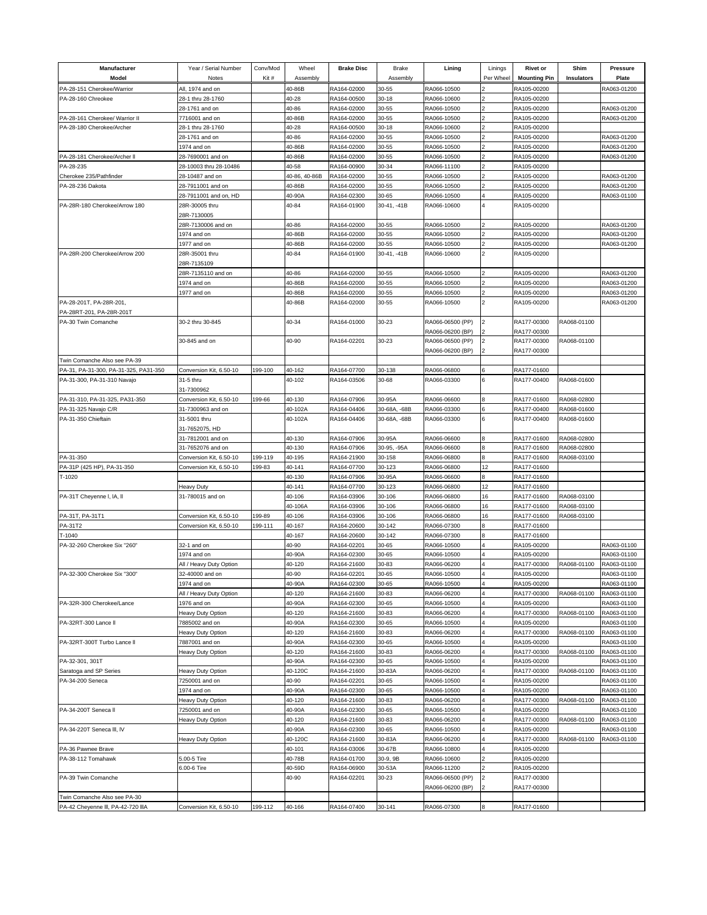| Manufacturer<br>Model                               | Year / Serial Number<br>Notes         | Conv/Mod<br>Kit# | Wheel<br>Assembly | <b>Brake Disc</b>          | <b>Brake</b><br>Assembly | Lining                     | Linings<br>Per Wheel | <b>Rivet or</b><br><b>Mounting Pin</b> | Shim<br>Insulators | <b>Pressure</b><br>Plate   |
|-----------------------------------------------------|---------------------------------------|------------------|-------------------|----------------------------|--------------------------|----------------------------|----------------------|----------------------------------------|--------------------|----------------------------|
| PA-28-151 Cherokee/Warrior                          | All, 1974 and on                      |                  | 40-86B            | RA164-02000                | 30-55                    | RA066-10500                |                      | RA105-00200                            |                    | RA063-01200                |
| PA-28-160 Chreokee                                  | 28-1 thru 28-1760                     |                  | 40-28             | RA164-00500                | 30-18                    | RA066-10600                |                      | RA105-00200                            |                    |                            |
|                                                     | 28-1761 and on                        |                  | 40-86             | RA164-02000                | 30-55                    | RA066-10500                |                      | RA105-00200                            |                    | RA063-01200                |
| PA-28-161 Cherokee/ Warrior II                      | 7716001 and on                        |                  | 40-86B            | RA164-02000                | 30-55                    | RA066-10500                |                      | RA105-00200                            |                    | RA063-01200                |
| PA-28-180 Cherokee/Archer                           | 28-1 thru 28-1760                     |                  | 40-28             | RA164-00500                | $30 - 18$                | RA066-10600                |                      | RA105-00200                            |                    |                            |
|                                                     | 28-1761 and on                        |                  | 40-86             | RA164-02000                | 30-55                    | RA066-10500                |                      | RA105-00200                            |                    | RA063-01200                |
|                                                     | 1974 and on                           |                  | 40-86B            | RA164-02000                | 30-55                    | RA066-10500                |                      | RA105-00200                            |                    | RA063-01200                |
| PA-28-181 Cherokee/Archer II                        | 28-7690001 and on                     |                  | 40-86B            | RA164-02000                | 30-55                    | RA066-10500                |                      | RA105-00200                            |                    | RA063-01200                |
| PA-28-235                                           | 28-10003 thru 28-10486                |                  | 40-58             | RA164-00900                | 30-34                    | RA066-11100                |                      | RA105-00200                            |                    |                            |
| Cherokee 235/Pathfinder                             | 28-10487 and on                       |                  | 40-86, 40-86B     | RA164-02000                | 30-55                    | RA066-10500                |                      | RA105-00200                            |                    | RA063-01200                |
| PA-28-236 Dakota                                    | 28-7911001 and on                     |                  | 40-86B            | RA164-02000                | 30-55                    | RA066-10500                |                      | RA105-00200                            |                    | RA063-01200                |
|                                                     | 28-7911001 and on, HD                 |                  | 40-90A            | RA164-02300                | 30-65                    | RA066-10500                |                      | RA105-00200                            |                    | RA063-01100                |
| PA-28R-180 Cherokee/Arrow 180                       | 28R-30005 thru<br>28R-7130005         |                  | 40-84             | RA164-01900                | 30-41. -41B              | RA066-10600                |                      | RA105-00200                            |                    |                            |
|                                                     | 28R-7130006 and on                    |                  | 40-86             | RA164-02000                | 30-55                    | RA066-10500                |                      | RA105-00200                            |                    | RA063-01200                |
|                                                     | 1974 and on                           |                  | 40-86B            | RA164-02000                | 30-55                    | RA066-10500                |                      | RA105-00200                            |                    | RA063-01200                |
|                                                     | 1977 and on                           |                  | 40-86B            | RA164-02000                | 30-55                    | RA066-10500                |                      | RA105-00200                            |                    | RA063-01200                |
| PA-28R-200 Cherokee/Arrow 200                       | 28R-35001 thru                        |                  | 40-84             | RA164-01900                | 30-41, -41B              | RA066-10600                |                      | RA105-00200                            |                    |                            |
|                                                     | 28R-7135109                           |                  |                   |                            |                          |                            |                      |                                        |                    |                            |
|                                                     | 28R-7135110 and on                    |                  | 40-86             | RA164-02000                | 30-55                    | RA066-10500                |                      | RA105-00200                            |                    | RA063-01200                |
|                                                     | 1974 and on                           |                  | 40-86B            | RA164-02000                | 30-55                    | RA066-10500                |                      | RA105-00200                            |                    | RA063-01200                |
|                                                     | 1977 and on                           |                  | 40-86B            | RA164-02000                | 30-55                    | RA066-10500                |                      | RA105-00200                            |                    | RA063-01200                |
| PA-28-201T. PA-28R-201.<br>PA-28RT-201, PA-28R-201T |                                       |                  | 40-86B            | RA164-02000                | 30-55                    | RA066-10500                |                      | RA105-00200                            |                    | RA063-01200                |
| PA-30 Twin Comanche                                 | 30-2 thru 30-845                      |                  | 40-34             | RA164-01000                | 30-23                    | RA066-06500 (PP)           |                      | RA177-00300                            | RA068-01100        |                            |
|                                                     |                                       |                  |                   |                            |                          | RA066-06200 (BP)           |                      | RA177-00300                            |                    |                            |
|                                                     | 30-845 and on                         |                  | 40-90             | RA164-02201                | 30-23                    | RA066-06500 (PP)           |                      | RA177-00300                            | RA068-01100        |                            |
|                                                     |                                       |                  |                   |                            |                          | RA066-06200 (BP)           |                      | RA177-00300                            |                    |                            |
| Twin Comanche Also see PA-39                        |                                       |                  |                   |                            |                          |                            |                      |                                        |                    |                            |
| PA-31, PA-31-300, PA-31-325, PA31-350               | Conversion Kit, 6.50-10               | 199-100          | 40-162            | RA164-07700                | 30-138                   | RA066-06800                |                      | RA177-01600                            |                    |                            |
| PA-31-300, PA-31-310 Navajo                         | 31-5 thru                             |                  | 40-102            | RA164-03506                | 30-68                    | RA066-03300                |                      | RA177-00400                            | RA068-01600        |                            |
| PA-31-310, PA-31-325, PA31-350                      | 31-7300962<br>Conversion Kit, 6.50-10 | 199-66           | 40-130            | RA164-07906                | 30-95A                   | RA066-06600                |                      | RA177-01600                            | RA068-02800        |                            |
| PA-31-325 Navajo C/R                                | 31-7300963 and on                     |                  | 40-102A           | RA164-04406                | 30-68A, -68B             | RA066-03300                |                      | RA177-00400                            | RA068-01600        |                            |
| PA-31-350 Chieftain                                 | 31-5001 thru                          |                  | 40-102A           | RA164-04406                | 30-68A, -68B             | RA066-03300                |                      | RA177-00400                            | RA068-01600        |                            |
|                                                     | 31-7652075, HD                        |                  |                   |                            |                          |                            |                      |                                        |                    |                            |
|                                                     | 31-7812001 and on                     |                  | 40-130            | RA164-07906                | 30-95A                   | RA066-06600                |                      | RA177-01600                            | RA068-02800        |                            |
|                                                     | 31-7652076 and on                     |                  | 40-130            | RA164-07906                | 30-95, -95A              | RA066-06600                |                      | RA177-01600                            | RA068-02800        |                            |
| PA-31-350                                           | Conversion Kit, 6.50-10               | 199-119          | 40-195            | RA164-21900                | 30-158                   | RA066-06800                |                      | RA177-01600                            | RA068-03100        |                            |
| PA-31P (425 HP), PA-31-350                          | Conversion Kit, 6.50-10               | 199-83           | 40-141            | RA164-07700                | 30-123                   | RA066-06800                | 12                   | RA177-01600                            |                    |                            |
| T-1020                                              |                                       |                  | 40-130            | RA164-07906                | 30-95A                   | RA066-06600                |                      | RA177-01600                            |                    |                            |
|                                                     | Heavy Duty                            |                  | 40-141            | RA164-07700                | 30-123                   | RA066-06800                | 12                   | RA177-01600                            |                    |                            |
| PA-31T Cheyenne I, IA, II                           | 31-780015 and on                      |                  | 40-106            | RA164-03906                | 30-106                   | RA066-06800                | 16                   | RA177-01600                            | RA068-03100        |                            |
|                                                     |                                       |                  | 40-106A           | RA164-03906                | 30-106                   | RA066-06800                | 16                   | RA177-01600                            | RA068-03100        |                            |
| PA-31T, PA-31T1                                     | Conversion Kit, 6.50-10               | 199-89           | 40-106            | RA164-03906                | 30-106                   | RA066-06800                | 16                   | RA177-01600                            | RA068-03100        |                            |
| PA-31T2                                             | Conversion Kit, 6.50-10               | 199-111          | 40-167            | RA164-20600                | 30-142                   | RA066-07300                |                      | RA177-01600                            |                    |                            |
| T-1040                                              |                                       |                  | 40-167            | RA164-20600                | 30-142                   | RA066-07300                |                      | RA177-01600                            |                    |                            |
| PA-32-260 Cherokee Six "260"                        | 32-1 and on                           |                  | 40-90             | RA164-02201                | 30-65                    | RA066-10500                |                      | RA105-00200                            |                    | RA063-01100                |
|                                                     | 1974 and on                           |                  | 40-90A            | RA164-02300                | 30-65                    | RA066-10500                |                      | RA105-00200                            |                    | RA063-01100                |
|                                                     | All / Heavy Duty Option               |                  | 40-120            | RA164-21600                | 30-83                    | RA066-06200                |                      | RA177-00300                            | RA068-01100        | RA063-01100                |
| PA-32-300 Cherokee Six "300"                        | 32-40000 and on                       |                  | 40-90             | RA164-02201                | 30-65                    | RA066-10500                |                      | RA105-00200                            |                    | RA063-01100                |
|                                                     | 1974 and on                           |                  | 40-90A            | RA164-02300                | 30-65                    | RA066-10500                |                      | RA105-00200                            |                    | RA063-01100                |
|                                                     | All / Heavy Duty Option               |                  | 40-120            | RA164-21600                | 30-83                    | RA066-06200                |                      | RA177-00300                            | RA068-01100        | RA063-01100                |
| PA-32R-300 Cherokee/Lance                           | 1976 and on                           |                  | 40-90A            | RA164-02300                | 30-65                    | RA066-10500                |                      | RA105-00200                            |                    | RA063-01100                |
|                                                     | leavy Duty Option                     |                  | 40-120            | RA164-21600                | 30-83                    | RA066-06200                |                      | RA177-00300                            | RA068-01100        | RA063-01100                |
| PA-32RT-300 Lance II                                | 7885002 and on                        |                  | 40-90A            | RA164-02300                | 30-65                    | RA066-10500                |                      | RA105-00200                            |                    | RA063-01100                |
|                                                     | <b>Heavy Duty Option</b>              |                  | 40-120            | RA164-21600                | 30-83                    | RA066-06200                |                      | RA177-00300                            | RA068-01100        | RA063-01100                |
| PA-32RT-300T Turbo Lance II                         | 7887001 and on                        |                  | 40-90A            | RA164-02300                | 30-65                    | RA066-10500                |                      | RA105-00200                            |                    | RA063-01100                |
|                                                     | <b>Heavy Duty Option</b>              |                  | 40-120            | RA164-21600                | 30-83                    | RA066-06200                |                      | RA177-00300                            | RA068-01100        | RA063-01100                |
| PA-32-301, 301T                                     |                                       |                  | 40-90A            | RA164-02300                | 30-65                    | RA066-10500                |                      | RA105-00200                            |                    | RA063-01100                |
| Saratoga and SP Series                              | Heavy Duty Option                     |                  | 40-120C           | RA164-21600                | 30-83A                   | RA066-06200                |                      | RA177-00300<br>RA105-00200             | RA068-01100        | RA063-01100                |
| PA-34-200 Seneca                                    | 7250001 and on                        |                  | 40-90             | RA164-02201                | 30-65                    | RA066-10500                |                      |                                        |                    | RA063-01100                |
|                                                     | 974 and on                            |                  | 40-90A<br>40-120  | RA164-02300<br>RA164-21600 | 30-65                    | RA066-10500<br>RA066-06200 |                      | RA105-00200<br>RA177-00300             | RA068-01100        | RA063-01100                |
|                                                     | Heavy Duty Option                     |                  |                   |                            | 30-83                    |                            |                      | RA105-00200                            |                    | RA063-01100                |
| PA-34-200T Seneca II                                | 7250001 and on                        |                  | 40-90A<br>40-120  | RA164-02300<br>RA164-21600 | 30-65<br>30-83           | RA066-10500<br>RA066-06200 |                      | RA177-00300                            | RA068-01100        | RA063-01100<br>RA063-01100 |
| PA-34-220T Seneca III, IV                           | Heavy Duty Option                     |                  | 40-90A            | RA164-02300                | 30-65                    | RA066-10500                |                      | RA105-00200                            |                    | RA063-01100                |
|                                                     | <b>Heavy Duty Option</b>              |                  | 40-120C           | RA164-21600                | 30-83A                   | RA066-06200                |                      | RA177-00300                            | RA068-01100        | RA063-01100                |
| PA-36 Pawnee Brave                                  |                                       |                  | 40-101            | RA164-03006                | 30-67B                   | RA066-10800                |                      | RA105-00200                            |                    |                            |
| PA-38-112 Tomahawk                                  | 5.00-5 Tire                           |                  | 40-78B            | RA164-01700                | 30-9, 9B                 | RA066-10600                |                      | RA105-00200                            |                    |                            |
|                                                     | 5.00-6 Tire                           |                  | 40-59D            | RA164-06900                | 30-53A                   | RA066-11200                |                      | RA105-00200                            |                    |                            |
| PA-39 Twin Comanche                                 |                                       |                  | 40-90             | RA164-02201                | 30-23                    | RA066-06500 (PP)           |                      | RA177-00300                            |                    |                            |
|                                                     |                                       |                  |                   |                            |                          | RA066-06200 (BP)           |                      | RA177-00300                            |                    |                            |
| Twin Comanche Also see PA-30                        |                                       |                  |                   |                            |                          |                            |                      |                                        |                    |                            |
| PA-42 Cheyenne III, PA-42-720 IIIA                  | Conversion Kit, 6.50-10               | 199-112          | 40-166            | RA164-07400                | 30-141                   | RA066-07300                |                      | RA177-01600                            |                    |                            |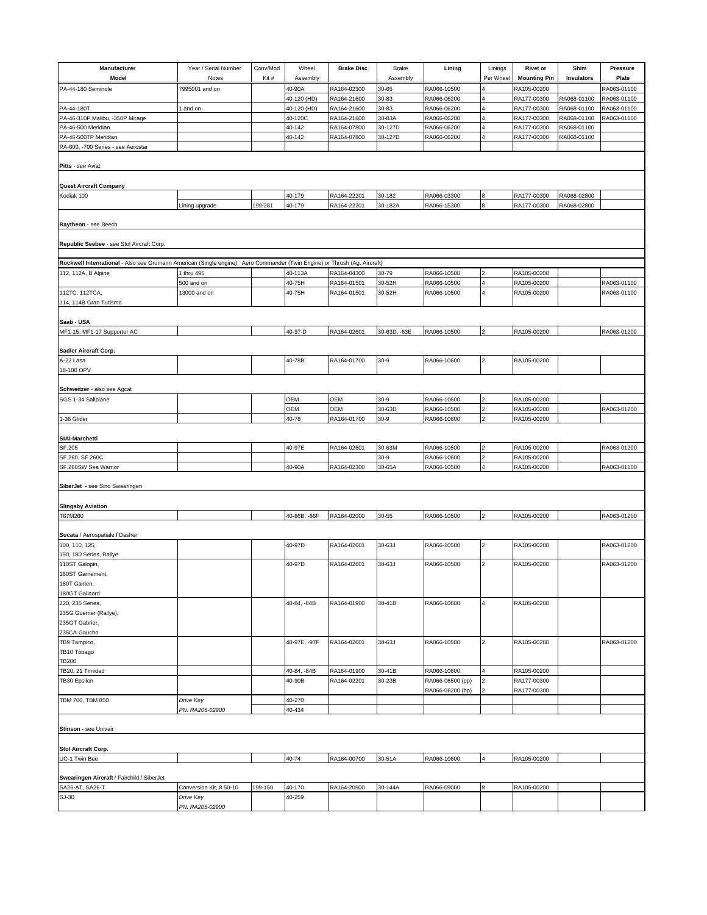| Manufacturer                                                                                                              | Year / Serial Number    | Conv/Mod | Wheel        | <b>Brake Disc</b> | Brake        | Lining           | Linings                 | <b>Rivet or</b>     | Shim        | <b>Pressure</b> |
|---------------------------------------------------------------------------------------------------------------------------|-------------------------|----------|--------------|-------------------|--------------|------------------|-------------------------|---------------------|-------------|-----------------|
| Model                                                                                                                     | Notes                   | Kit#     | Assembly     |                   | Assembly     |                  | Per Wheel               | <b>Mounting Pin</b> | Insulators  | Plate           |
| PA-44-180 Seminole                                                                                                        | 7995001 and on          |          | 40-90A       | RA164-02300       | 30-65        | RA066-10500      |                         | RA105-00200         |             | RA063-01100     |
|                                                                                                                           |                         |          | 40-120 (HD)  | RA164-21600       | 30-83        | RA066-06200      |                         | RA177-00300         | RA068-01100 | RA063-01100     |
| PA-44-180T                                                                                                                |                         |          |              |                   | 30-83        | RA066-06200      |                         | RA177-00300         | RA068-01100 | RA063-01100     |
|                                                                                                                           | and on                  |          | 40-120 (HD)  | RA164-21600       |              |                  |                         |                     |             |                 |
| PA-46-310P Malibu, -350P Mirage                                                                                           |                         |          | 40-120C      | RA164-21600       | 30-83A       | RA066-06200      |                         | RA177-00300         | RA068-01100 | RA063-01100     |
| PA-46-500 Meridian                                                                                                        |                         |          | 40-142       | RA164-07800       | 30-127D      | RA066-06200      |                         | RA177-00300         | RA068-01100 |                 |
| PA-46-500TP Meridian                                                                                                      |                         |          | 40-142       | RA164-07800       | 30-127D      | RA066-06200      |                         | RA177-00300         | RA068-01100 |                 |
| PA-600, -700 Series - see Aerostar                                                                                        |                         |          |              |                   |              |                  |                         |                     |             |                 |
|                                                                                                                           |                         |          |              |                   |              |                  |                         |                     |             |                 |
| Pitts - see Aviat                                                                                                         |                         |          |              |                   |              |                  |                         |                     |             |                 |
|                                                                                                                           |                         |          |              |                   |              |                  |                         |                     |             |                 |
|                                                                                                                           |                         |          |              |                   |              |                  |                         |                     |             |                 |
| <b>Quest Aircraft Company</b>                                                                                             |                         |          |              |                   |              |                  |                         |                     |             |                 |
| Kodiak 100                                                                                                                |                         |          | 40-179       | RA164-22201       | 30-182       | RA066-03300      | 8                       | RA177-00300         | RA068-02800 |                 |
|                                                                                                                           | ining upgrade.          | 199-281  | 40-179       | RA164-22201       | 30-182A      | RA066-15300      | 8                       | RA177-00300         | RA068-02800 |                 |
|                                                                                                                           |                         |          |              |                   |              |                  |                         |                     |             |                 |
| Raytheon - see Beech                                                                                                      |                         |          |              |                   |              |                  |                         |                     |             |                 |
|                                                                                                                           |                         |          |              |                   |              |                  |                         |                     |             |                 |
|                                                                                                                           |                         |          |              |                   |              |                  |                         |                     |             |                 |
| Republic Seebee - see Stol Aircraft Corp.                                                                                 |                         |          |              |                   |              |                  |                         |                     |             |                 |
|                                                                                                                           |                         |          |              |                   |              |                  |                         |                     |             |                 |
| Rockwell International - Also see Grumann American (Single engine), Aero Commander (Twin Engine) or Thrush (Ag. Aircraft) |                         |          |              |                   |              |                  |                         |                     |             |                 |
| 112, 112A, B Alpine                                                                                                       | thru 495                |          | 40-113A      | RA164-04300       | 30-79        | RA066-10500      |                         | RA105-00200         |             |                 |
|                                                                                                                           | 500 and on              |          | 40-75H       | RA164-01501       | 30-52H       | RA066-10500      |                         | RA105-00200         |             | RA063-01100     |
|                                                                                                                           |                         |          |              |                   |              |                  | $\overline{\mathbf{4}}$ | RA105-00200         |             |                 |
| 112TC, 112TCA,                                                                                                            | 13000 and on            |          | 40-75H       | RA164-01501       | 30-52H       | RA066-10500      |                         |                     |             | RA063-01100     |
| 114, 114B Gran Turismo                                                                                                    |                         |          |              |                   |              |                  |                         |                     |             |                 |
|                                                                                                                           |                         |          |              |                   |              |                  |                         |                     |             |                 |
| Saab - USA                                                                                                                |                         |          |              |                   |              |                  |                         |                     |             |                 |
| MF1-15, MF1-17 Supporter AC                                                                                               |                         |          | 40-97-D      | RA164-02601       | 30-63D, -63E | RA066-10500      | $\overline{\mathbf{c}}$ | RA105-00200         |             | RA063-01200     |
|                                                                                                                           |                         |          |              |                   |              |                  |                         |                     |             |                 |
|                                                                                                                           |                         |          |              |                   |              |                  |                         |                     |             |                 |
| Sadler Aircraft Corp.                                                                                                     |                         |          |              |                   |              |                  |                         |                     |             |                 |
| A-22 Lasa                                                                                                                 |                         |          | 40-78B       | RA164-01700       | $30-9$       | RA066-10600      | 2                       | RA105-00200         |             |                 |
| 18-100 OPV                                                                                                                |                         |          |              |                   |              |                  |                         |                     |             |                 |
|                                                                                                                           |                         |          |              |                   |              |                  |                         |                     |             |                 |
| Schweitzer - also see Agcat                                                                                               |                         |          |              |                   |              |                  |                         |                     |             |                 |
| SGS 1-34 Sailplane                                                                                                        |                         |          | OEM          | OEM               | $30-9$       | RA066-10600      |                         | RA105-00200         |             |                 |
|                                                                                                                           |                         |          |              |                   |              |                  |                         |                     |             |                 |
|                                                                                                                           |                         |          | OEM          | OEM               | 30-63D       | RA066-10500      |                         | RA105-00200         |             | RA063-01200     |
| 1-36 Glider                                                                                                               |                         |          | 40-78        | RA164-01700       | $30-9$       | RA066-10600      |                         | RA105-00200         |             |                 |
|                                                                                                                           |                         |          |              |                   |              |                  |                         |                     |             |                 |
| <b>SIAI-Marchetti</b>                                                                                                     |                         |          |              |                   |              |                  |                         |                     |             |                 |
| SF.205                                                                                                                    |                         |          | 40-97E       | RA164-02601       | 30-63M       | RA066-10500      |                         | RA105-00200         |             | RA063-01200     |
| SF.260, SF.260C                                                                                                           |                         |          |              |                   | $30-9$       | RA066-10600      |                         | RA105-00200         |             |                 |
|                                                                                                                           |                         |          |              |                   |              |                  |                         |                     |             |                 |
| SF.260SW Sea Warrior                                                                                                      |                         |          | 40-90A       | RA164-02300       | 30-65A       | RA066-10500      |                         | RA105-00200         |             | RA063-01100     |
|                                                                                                                           |                         |          |              |                   |              |                  |                         |                     |             |                 |
| SiberJet - see Sino Swearingen                                                                                            |                         |          |              |                   |              |                  |                         |                     |             |                 |
|                                                                                                                           |                         |          |              |                   |              |                  |                         |                     |             |                 |
| <b>Slingsby Aviation</b>                                                                                                  |                         |          |              |                   |              |                  |                         |                     |             |                 |
| T67M260                                                                                                                   |                         |          | 40-86B, -86F | RA164-02000       | 30-55        | RA066-10500      |                         | RA105-00200         |             | RA063-01200     |
|                                                                                                                           |                         |          |              |                   |              |                  |                         |                     |             |                 |
|                                                                                                                           |                         |          |              |                   |              |                  |                         |                     |             |                 |
| Socata / Aerospatiale / Dasher                                                                                            |                         |          |              |                   |              |                  |                         |                     |             |                 |
| 100, 110, 125,                                                                                                            |                         |          | 40-97D       | RA164-02601       | 30-63J       | RA066-10500      | 2                       | RA105-00200         |             | RA063-01200     |
| 150, 180 Series, Rallye                                                                                                   |                         |          |              |                   |              |                  |                         |                     |             |                 |
| 110ST Galopin,                                                                                                            |                         |          | 40-97D       | RA164-02601       | 30-63J       | RA066-10500      | $\overline{2}$          | RA105-00200         |             | RA063-01200     |
| 160ST Garnement,                                                                                                          |                         |          |              |                   |              |                  |                         |                     |             |                 |
| 180T Gairien,                                                                                                             |                         |          |              |                   |              |                  |                         |                     |             |                 |
|                                                                                                                           |                         |          |              |                   |              |                  |                         |                     |             |                 |
| 180GT Gailaard                                                                                                            |                         |          |              |                   |              |                  |                         |                     |             |                 |
| 220, 235 Series,                                                                                                          |                         |          | 40-84, -84B  | RA164-01900       | 30-41B       | RA066-10600      | 4                       | RA105-00200         |             |                 |
| 235G Guerrier (Rallye),                                                                                                   |                         |          |              |                   |              |                  |                         |                     |             |                 |
| 235GT Gabrier,                                                                                                            |                         |          |              |                   |              |                  |                         |                     |             |                 |
| 235CA Gaucho                                                                                                              |                         |          |              |                   |              |                  |                         |                     |             |                 |
| TB9 Tampico,                                                                                                              |                         |          | 40-97E, -97F | RA164-02601       | 30-63J       | RA066-10500      | $\overline{a}$          | RA105-00200         |             | RA063-01200     |
| TB10 Tobago                                                                                                               |                         |          |              |                   |              |                  |                         |                     |             |                 |
|                                                                                                                           |                         |          |              |                   |              |                  |                         |                     |             |                 |
| <b>TB200</b>                                                                                                              |                         |          |              |                   |              |                  |                         |                     |             |                 |
| TB20, 21 Trinidad                                                                                                         |                         |          | 40-84, -84B  | RA164-01900       | 30-41B       | RA066-10600      |                         | RA105-00200         |             |                 |
| TB30 Epsilon                                                                                                              |                         |          | 40-90B       | RA164-02201       | 30-23B       | RA066-06500 (pp) | $\overline{2}$          | RA177-00300         |             |                 |
|                                                                                                                           |                         |          |              |                   |              | RA066-06200 (bp) |                         | RA177-00300         |             |                 |
| TBM 700, TBM 850                                                                                                          | Drive Key               |          | 40-270       |                   |              |                  |                         |                     |             |                 |
|                                                                                                                           |                         |          | 40-434       |                   |              |                  |                         |                     |             |                 |
|                                                                                                                           | PN: RA205-02900         |          |              |                   |              |                  |                         |                     |             |                 |
|                                                                                                                           |                         |          |              |                   |              |                  |                         |                     |             |                 |
| Stinson - see Univair                                                                                                     |                         |          |              |                   |              |                  |                         |                     |             |                 |
|                                                                                                                           |                         |          |              |                   |              |                  |                         |                     |             |                 |
| Stol Aircraft Corp.                                                                                                       |                         |          |              |                   |              |                  |                         |                     |             |                 |
| UC-1 Twin Bee                                                                                                             |                         |          | 40-74        | RA164-00700       | 30-51A       | RA066-10600      |                         | RA105-00200         |             |                 |
|                                                                                                                           |                         |          |              |                   |              |                  |                         |                     |             |                 |
|                                                                                                                           |                         |          |              |                   |              |                  |                         |                     |             |                 |
| Swearingen Aircraft / Fairchild / SiberJet                                                                                |                         |          |              |                   |              |                  |                         |                     |             |                 |
| SA26-AT, SA26-T                                                                                                           | Conversion Kit, 8.50-10 | 199-150  | 40-170       | RA164-20900       | 30-144A      | RA066-09000      | 8                       | RA105-00200         |             |                 |
| SJ-30                                                                                                                     | Drive Key               |          | 40-259       |                   |              |                  |                         |                     |             |                 |
|                                                                                                                           | PN: RA205-02900         |          |              |                   |              |                  |                         |                     |             |                 |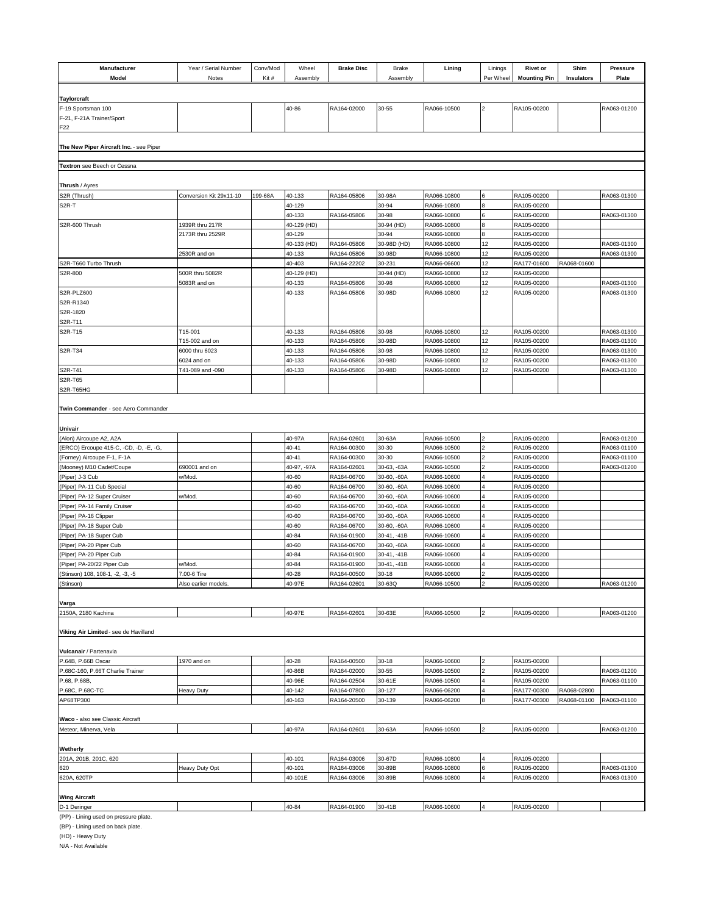| Manufacturer<br>Model                                    | Year / Serial Number<br>Notes   | Conv/Mod<br>Kit# | Wheel<br>Assembly     | <b>Brake Disc</b>          | Brake<br>Assembly          | Lining                     | Linings<br>Per Wheel | <b>Rivet or</b><br><b>Mounting Pin</b> | Shim<br>Insulators | <b>Pressure</b><br>Plate   |
|----------------------------------------------------------|---------------------------------|------------------|-----------------------|----------------------------|----------------------------|----------------------------|----------------------|----------------------------------------|--------------------|----------------------------|
|                                                          |                                 |                  |                       |                            |                            |                            |                      |                                        |                    |                            |
| <b>Taylorcraft</b>                                       |                                 |                  |                       |                            |                            |                            |                      |                                        |                    |                            |
| F-19 Sportsman 100                                       |                                 |                  | 40-86                 | RA164-02000                | 30-55                      | RA066-10500                | $\overline{2}$       | RA105-00200                            |                    | RA063-01200                |
| F-21, F-21A Trainer/Sport                                |                                 |                  |                       |                            |                            |                            |                      |                                        |                    |                            |
| F <sub>22</sub>                                          |                                 |                  |                       |                            |                            |                            |                      |                                        |                    |                            |
| The New Piper Aircraft Inc. - see Piper                  |                                 |                  |                       |                            |                            |                            |                      |                                        |                    |                            |
|                                                          |                                 |                  |                       |                            |                            |                            |                      |                                        |                    |                            |
| Textron see Beech or Cessna                              |                                 |                  |                       |                            |                            |                            |                      |                                        |                    |                            |
|                                                          |                                 |                  |                       |                            |                            |                            |                      |                                        |                    |                            |
| Thrush / Ayres                                           |                                 |                  |                       |                            |                            |                            |                      |                                        |                    |                            |
| S2R (Thrush)<br>S <sub>2R</sub> -T                       | Conversion Kit 29x11-10         | 199-68A          | 40-133<br>40-129      | RA164-05806                | 30-98A<br>30-94            | RA066-10800<br>RA066-10800 | l6                   | RA105-00200<br>RA105-00200             |                    | RA063-01300                |
|                                                          |                                 |                  | 40-133                | RA164-05806                | 30-98                      | RA066-10800                | 6                    | RA105-00200                            |                    | RA063-01300                |
| S2R-600 Thrush                                           | 1939R thru 217R                 |                  | 40-129 (HD)           |                            | 30-94 (HD)                 | RA066-10800                |                      | RA105-00200                            |                    |                            |
|                                                          | 2173R thru 2529R                |                  | 40-129                |                            | 30-94                      | RA066-10800                |                      | RA105-00200                            |                    |                            |
|                                                          |                                 |                  | 40-133 (HD)           | RA164-05806                | 30-98D (HD)                | RA066-10800                | 12                   | RA105-00200                            |                    | RA063-01300                |
|                                                          | 2530R and on                    |                  | 40-133                | RA164-05806                | 30-98D                     | RA066-10800                | 12                   | RA105-00200                            |                    | RA063-01300                |
| S2R-T660 Turbo Thrush                                    |                                 |                  | 40-403                | RA164-22202                | 30-231                     | RA066-06600                | 12                   | RA177-01600                            | RA068-01600        |                            |
| S2R-800                                                  | 500R thru 5082R<br>5083R and on |                  | 40-129 (HD)<br>40-133 | RA164-05806                | 30-94 (HD)<br>30-98        | RA066-10800<br>RA066-10800 | 12<br>12             | RA105-00200<br>RA105-00200             |                    | RA063-01300                |
| S2R-PLZ600                                               |                                 |                  | 40-133                | RA164-05806                | 30-98D                     | RA066-10800                | 12                   | RA105-00200                            |                    | RA063-01300                |
| S2R-R1340                                                |                                 |                  |                       |                            |                            |                            |                      |                                        |                    |                            |
| S2R-1820                                                 |                                 |                  |                       |                            |                            |                            |                      |                                        |                    |                            |
| S2R-T11                                                  |                                 |                  |                       |                            |                            |                            |                      |                                        |                    |                            |
| S2R-T15                                                  | T15-001                         |                  | 40-133                | RA164-05806                | 30-98                      | RA066-10800                | 12                   | RA105-00200                            |                    | RA063-01300                |
|                                                          | T15-002 and on                  |                  | 40-133                | RA164-05806                | 30-98D                     | RA066-10800                | 12                   | RA105-00200                            |                    | RA063-01300                |
| S2R-T34                                                  | 6000 thru 6023                  |                  | 40-133                | RA164-05806                | 30-98                      | RA066-10800<br>RA066-10800 | 12<br>12             | RA105-00200                            |                    | RA063-01300                |
| S2R-T41                                                  | 6024 and on<br>T41-089 and -090 |                  | 40-133<br>40-133      | RA164-05806<br>RA164-05806 | 30-98D<br>30-98D           | RA066-10800                | 12                   | RA105-00200<br>RA105-00200             |                    | RA063-01300<br>RA063-01300 |
| S2R-T65                                                  |                                 |                  |                       |                            |                            |                            |                      |                                        |                    |                            |
| S2R-T65HG                                                |                                 |                  |                       |                            |                            |                            |                      |                                        |                    |                            |
| Twin Commander - see Aero Commander                      |                                 |                  |                       |                            |                            |                            |                      |                                        |                    |                            |
|                                                          |                                 |                  |                       |                            |                            |                            |                      |                                        |                    |                            |
| Univair                                                  |                                 |                  |                       |                            |                            |                            |                      |                                        |                    |                            |
| (Alon) Aircoupe A2, A2A                                  |                                 |                  | 40-97A                | RA164-02601                | 30-63A                     | RA066-10500                |                      | RA105-00200                            |                    | RA063-01200                |
| (ERCO) Ercoupe 415-C, -CD, -D, -E, -G,                   |                                 |                  | 40-41                 | RA164-00300                | 30-30                      | RA066-10500                |                      | RA105-00200                            |                    | RA063-01100                |
| (Forney) Aircoupe F-1, F-1A                              |                                 |                  | 40-41                 | RA164-00300                | 30-30                      | RA066-10500                |                      | RA105-00200                            |                    | RA063-01100                |
| (Mooney) M10 Cadet/Coupe                                 | 690001 and on                   |                  | 40-97, -97A           | RA164-02601                | 30-63, -63A                | RA066-10500                |                      | RA105-00200                            |                    | RA063-01200                |
| (Piper) J-3 Cub                                          | w/Mod.                          |                  | 40-60<br>40-60        | RA164-06700<br>RA164-06700 | 30-60, -60A<br>30-60, -60A | RA066-10600<br>RA066-10600 |                      | RA105-00200<br>RA105-00200             |                    |                            |
| (Piper) PA-11 Cub Special<br>(Piper) PA-12 Super Cruiser | w/Mod.                          |                  | 40-60                 | RA164-06700                | 30-60, -60A                | RA066-10600                |                      | RA105-00200                            |                    |                            |
| (Piper) PA-14 Family Cruiser                             |                                 |                  | 40-60                 | RA164-06700                | 30-60, -60A                | RA066-10600                |                      | RA105-00200                            |                    |                            |
| (Piper) PA-16 Clipper                                    |                                 |                  | 40-60                 | RA164-06700                | 30-60, -60A                | RA066-10600                |                      | RA105-00200                            |                    |                            |
| (Piper) PA-18 Super Cub                                  |                                 |                  | 40-60                 | RA164-06700                | 30-60, -60A                | RA066-10600                |                      | RA105-00200                            |                    |                            |
| (Piper) PA-18 Super Cub                                  |                                 |                  | 40-84                 | RA164-01900                | 30-41, -41B                | RA066-10600                |                      | RA105-00200                            |                    |                            |
| (Piper) PA-20 Piper Cub                                  |                                 |                  | 40-60                 | RA164-06700                | 30-60, -60A                | RA066-10600                |                      | RA105-00200                            |                    |                            |
| (Piper) PA-20 Piper Cub<br>(Piper) PA-20/22 Piper Cub    | w/Mod.                          |                  | 40-84<br>40-84        | RA164-01900                | 30-41, -41B                | RA066-10600<br>RA066-10600 |                      | RA105-00200<br>RA105-00200             |                    |                            |
| (Stinson) 108, 108-1, -2, -3, -5                         | 7.00-6 Tire                     |                  | 40-28                 | RA164-01900<br>RA164-00500 | 30-41, -41B<br>$30 - 18$   | RA066-10600                |                      | RA105-00200                            |                    |                            |
| (Stinson)                                                | Also earlier models.            |                  | 40-97E                | RA164-02601                | 30-63Q                     | RA066-10500                |                      | RA105-00200                            |                    | RA063-01200                |
|                                                          |                                 |                  |                       |                            |                            |                            |                      |                                        |                    |                            |
| Varga                                                    |                                 |                  |                       |                            |                            |                            |                      |                                        |                    |                            |
| 2150A, 2180 Kachina                                      |                                 |                  | 40-97E                | RA164-02601                | 30-63E                     | RA066-10500                | 2                    | RA105-00200                            |                    | RA063-01200                |
| Viking Air Limited - see de Havilland                    |                                 |                  |                       |                            |                            |                            |                      |                                        |                    |                            |
| Vulcanair / Partenavia                                   |                                 |                  |                       |                            |                            |                            |                      |                                        |                    |                            |
| P.64B, P.66B Oscar                                       | 1970 and on                     |                  | 40-28                 | RA164-00500                | 30-18                      | RA066-10600                |                      | RA105-00200                            |                    |                            |
| P.68C-160, P.66T Charlie Trainer                         |                                 |                  | 40-86B                | RA164-02000                | 30-55                      | RA066-10500                |                      | RA105-00200                            |                    | RA063-01200                |
| P.68, P.68B,                                             |                                 |                  | 40-96E                | RA164-02504                | 30-61E                     | RA066-10500                |                      | RA105-00200                            |                    | RA063-01100                |
| P.68C, P.68C-TC                                          | Heavy Duty                      |                  | 40-142                | RA164-07800                | 30-127                     | RA066-06200                | 4                    | RA177-00300                            | RA068-02800        |                            |
| AP68TP300                                                |                                 |                  | 40-163                | RA164-20500                | 30-139                     | RA066-06200                |                      | RA177-00300                            | RA068-01100        | RA063-01100                |
|                                                          |                                 |                  |                       |                            |                            |                            |                      |                                        |                    |                            |
| Waco - also see Classic Aircraft                         |                                 |                  |                       |                            |                            |                            |                      |                                        |                    |                            |
| Meteor, Minerva, Vela                                    |                                 |                  | 40-97A                | RA164-02601                | 30-63A                     | RA066-10500                |                      | RA105-00200                            |                    | RA063-01200                |
| Wetherly                                                 |                                 |                  |                       |                            |                            |                            |                      |                                        |                    |                            |
| 201A, 201B, 201C, 620                                    |                                 |                  | 40-101                | RA164-03006                | 30-67D                     | RA066-10800                |                      | RA105-00200                            |                    |                            |
| 620                                                      | Heavy Duty Opt                  |                  | 40-101                | RA164-03006                | 30-89B                     | RA066-10800                | 6                    | RA105-00200                            |                    | RA063-01300                |
| 620A, 620TP                                              |                                 |                  | 40-101E               | RA164-03006                | 30-89B                     | RA066-10800                |                      | RA105-00200                            |                    | RA063-01300                |
|                                                          |                                 |                  |                       |                            |                            |                            |                      |                                        |                    |                            |
| <b>Wing Aircraft</b>                                     |                                 |                  | 40-84                 |                            | 30-41B                     | RA066-10600                |                      | RA105-00200                            |                    |                            |
| D-1 Deringer<br>(PP) - Lining used on pressure plate.    |                                 |                  |                       | RA164-01900                |                            |                            |                      |                                        |                    |                            |
|                                                          |                                 |                  |                       |                            |                            |                            |                      |                                        |                    |                            |

(BP) - Lining used on back plate.

(HD) - Heavy Duty

N/A - Not Available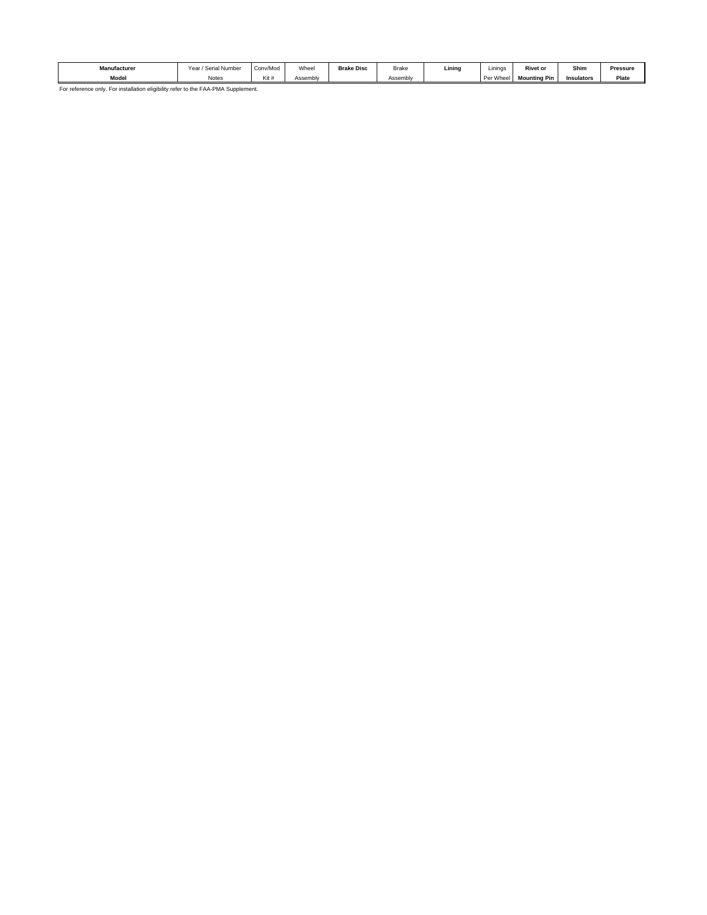| <b>Manufacturer</b> | / Serial Number<br>Year. | Conv/Moo | Wheel    | <b>Brake Disc</b> | Brake    | Lining | .<br>Linings | <b>Rivet or</b>     | Shim       | Pressure |
|---------------------|--------------------------|----------|----------|-------------------|----------|--------|--------------|---------------------|------------|----------|
| Model               | Notes                    | Kit      | Assemblv |                   | Assembly |        | Whee<br>Pe   | <b>Mounting Pin</b> | Insulators | Plate    |

For reference only. For installation eligibility refer to the FAA-PMA Supplement.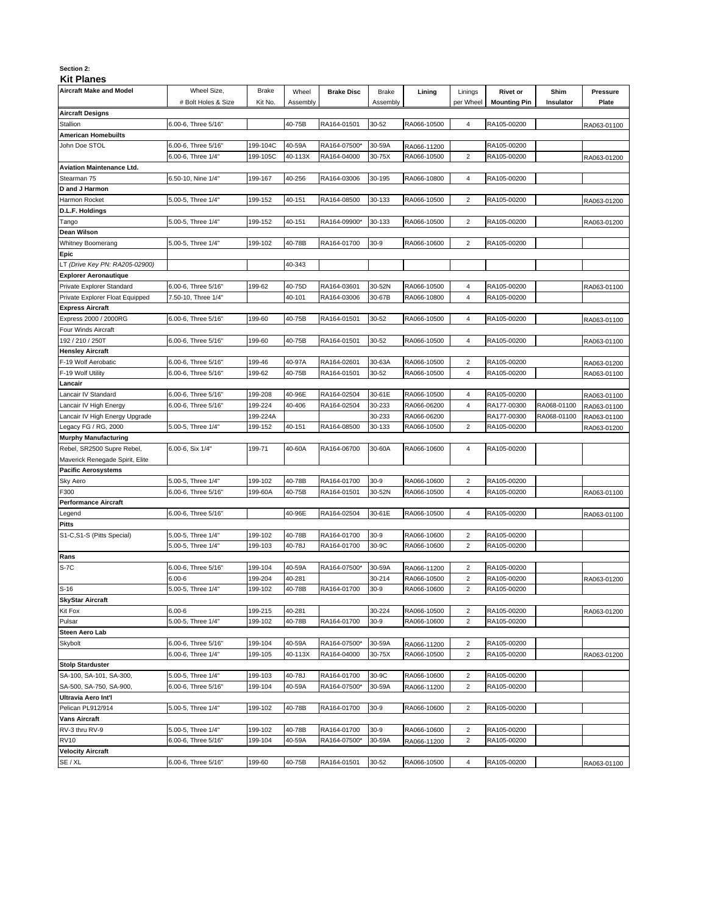#### **Section 2:**

### **Kit Planes**

| <b>Aircraft Designs</b><br>Stallion<br><b>American Homebuilts</b><br>John Doe STOL<br>Aviation Maintenance Ltd. | # Bolt Holes & Size<br>6.00-6, Three 5/16" | Kit No.  | Assembly |              | Assembly |             | per Wheel      | <b>Mounting Pin</b> | Insulator   | Plate       |
|-----------------------------------------------------------------------------------------------------------------|--------------------------------------------|----------|----------|--------------|----------|-------------|----------------|---------------------|-------------|-------------|
|                                                                                                                 |                                            |          |          |              |          |             |                |                     |             |             |
|                                                                                                                 |                                            |          |          |              |          |             |                |                     |             |             |
|                                                                                                                 |                                            |          | 40-75B   | RA164-01501  | 30-52    | RA066-10500 | 4              | RA105-00200         |             | RA063-01100 |
|                                                                                                                 |                                            |          |          |              |          |             |                |                     |             |             |
|                                                                                                                 | 6.00-6, Three 5/16"                        | 199-104C | 40-59A   | RA164-07500* | 30-59A   | RA066-11200 |                | RA105-00200         |             |             |
|                                                                                                                 | 6.00-6, Three 1/4"                         | 199-105C | 40-113X  | RA164-04000  | 30-75X   | RA066-10500 | $\overline{c}$ | RA105-00200         |             | RA063-01200 |
|                                                                                                                 |                                            |          |          |              |          |             |                |                     |             |             |
| Stearman 75                                                                                                     | 6.50-10, Nine 1/4"                         | 199-167  | 40-256   | RA164-03006  | 30-195   | RA066-10800 | 4              | RA105-00200         |             |             |
| D and J Harmon                                                                                                  |                                            |          |          |              |          |             |                |                     |             |             |
| Harmon Rocket                                                                                                   | 5.00-5, Three 1/4"                         | 199-152  | 40-151   | RA164-08500  | 30-133   | RA066-10500 | $\overline{2}$ | RA105-00200         |             | RA063-01200 |
| D.L.F. Holdings                                                                                                 |                                            |          |          |              |          |             |                |                     |             |             |
| Tango                                                                                                           | 5.00-5, Three 1/4"                         | 199-152  | 40-151   | RA164-09900* | 30-133   | RA066-10500 | $\overline{2}$ | RA105-00200         |             | RA063-01200 |
| Dean Wilson                                                                                                     |                                            |          |          |              |          |             |                |                     |             |             |
| Whitney Boomerang                                                                                               | 5.00-5, Three 1/4"                         | 199-102  | 40-78B   | RA164-01700  | 30-9     | RA066-10600 | $\overline{2}$ | RA105-00200         |             |             |
| Epic                                                                                                            |                                            |          |          |              |          |             |                |                     |             |             |
| T (Drive Key PN: RA205-02900)                                                                                   |                                            |          | 40-343   |              |          |             |                |                     |             |             |
| <b>Explorer Aeronautique</b>                                                                                    |                                            |          |          |              |          |             |                |                     |             |             |
| Private Explorer Standard                                                                                       | 6.00-6, Three 5/16"                        | 199-62   | 40-75D   | RA164-03601  | 30-52N   | RA066-10500 | 4              | RA105-00200         |             |             |
| Private Explorer Float Equipped                                                                                 | 7.50-10, Three 1/4"                        |          | 40-101   | RA164-03006  | 30-67B   | RA066-10800 | 4              | RA105-00200         |             | RA063-01100 |
| Express Aircraft                                                                                                |                                            |          |          |              |          |             |                |                     |             |             |
| Express 2000 / 2000RG                                                                                           | 6.00-6, Three 5/16"                        | 199-60   | 40-75B   | RA164-01501  | 30-52    | RA066-10500 | 4              | RA105-00200         |             |             |
|                                                                                                                 |                                            |          |          |              |          |             |                |                     |             | RA063-01100 |
| our Winds Aircraft                                                                                              | 6.00-6, Three 5/16"                        |          |          |              |          | RA066-10500 |                |                     |             |             |
| 92 / 210 / 250T                                                                                                 |                                            | 199-60   | 40-75B   | RA164-01501  | 30-52    |             | 4              | RA105-00200         |             | RA063-01100 |
| Hensley Aircraft                                                                                                |                                            |          |          |              |          |             |                |                     |             |             |
| -19 Wolf Aerobatic                                                                                              | 6.00-6, Three 5/16"                        | 199-46   | 40-97A   | RA164-02601  | 30-63A   | RA066-10500 | $\overline{2}$ | RA105-00200         |             | RA063-01200 |
| -19 Wolf Utility                                                                                                | 6.00-6, Three 5/16"                        | 199-62   | 40-75B   | RA164-01501  | 30-52    | RA066-10500 | 4              | RA105-00200         |             | RA063-01100 |
| .ancair                                                                                                         |                                            |          |          |              |          |             |                |                     |             |             |
| ancair IV Standard                                                                                              | 6.00-6, Three 5/16"                        | 199-208  | 40-96E   | RA164-02504  | 30-61E   | RA066-10500 | 4              | RA105-00200         |             | RA063-01100 |
| ancair IV High Energy.                                                                                          | 6.00-6, Three 5/16"                        | 199-224  | 40-406   | RA164-02504  | 30-233   | RA066-06200 | 4              | RA177-00300         | RA068-01100 | RA063-01100 |
| ancair IV High Energy Upgrade                                                                                   |                                            | 199-224A |          |              | 30-233   | RA066-06200 |                | RA177-00300         | RA068-01100 | RA063-01100 |
| egacy FG / RG, 2000                                                                                             | 5.00-5, Three 1/4"                         | 199-152  | 40-151   | RA164-08500  | 30-133   | RA066-10500 | $\overline{2}$ | RA105-00200         |             | RA063-01200 |
| <b>Murphy Manufacturing</b>                                                                                     |                                            |          |          |              |          |             |                |                     |             |             |
| Rebel, SR2500 Supre Rebel,                                                                                      | 6.00-6, Six 1/4"                           | 199-71   | 40-60A   | RA164-06700  | 30-60A   | RA066-10600 | $\overline{4}$ | RA105-00200         |             |             |
| Maverick Renegade Spirit, Elite                                                                                 |                                            |          |          |              |          |             |                |                     |             |             |
| <b>Pacific Aerosystems</b>                                                                                      |                                            |          |          |              |          |             |                |                     |             |             |
| Sky Aero                                                                                                        | 5.00-5, Three 1/4"                         | 199-102  | 40-78B   | RA164-01700  | $30 - 9$ | RA066-10600 | 2              | RA105-00200         |             |             |
| F300                                                                                                            | 6.00-6, Three 5/16"                        | 199-60A  | 40-75B   | RA164-01501  | 30-52N   | RA066-10500 | 4              | RA105-00200         |             | RA063-01100 |
| Performance Aircraft                                                                                            |                                            |          |          |              |          |             |                |                     |             |             |
| egend.                                                                                                          | 6.00-6, Three 5/16"                        |          | 40-96E   | RA164-02504  | 30-61E   | RA066-10500 | 4              | RA105-00200         |             | RA063-01100 |
| Pitts                                                                                                           |                                            |          |          |              |          |             |                |                     |             |             |
| S1-C,S1-S (Pitts Special)                                                                                       | 5.00-5, Three 1/4"                         | 199-102  | 40-78B   | RA164-01700  | 30-9     | RA066-10600 | $\overline{c}$ | RA105-00200         |             |             |
|                                                                                                                 | 5.00-5, Three 1/4"                         | 199-103  | 40-78J   | RA164-01700  | 30-9C    | RA066-10600 | $\overline{c}$ | RA105-00200         |             |             |
| Rans                                                                                                            |                                            |          |          |              |          |             |                |                     |             |             |
| S-7C                                                                                                            | 6.00-6, Three 5/16"                        | 199-104  | 40-59A   | RA164-07500* | 30-59A   | RA066-11200 | 2              | RA105-00200         |             |             |
|                                                                                                                 | $6.00 - 6$                                 | 199-204  | 40-281   |              | 30-214   | RA066-10500 | $\overline{c}$ | RA105-00200         |             | RA063-01200 |
| S-16                                                                                                            | 5.00-5, Three 1/4"                         | 199-102  | 40-78B   | RA164-01700  | $30-9$   | RA066-10600 | $\overline{2}$ | RA105-00200         |             |             |
| SkyStar Aircraft                                                                                                |                                            |          |          |              |          |             |                |                     |             |             |
| Kit Fox                                                                                                         | $6.00 - 6$                                 | 199-215  | 40-281   |              | 30-224   | RA066-10500 | 2              | RA105-00200         |             | RA063-01200 |
| Pulsar                                                                                                          | 5.00-5, Three 1/4"                         | 199-102  | 40-78B   | RA164-01700  | 30-9     | RA066-10600 | $\overline{2}$ | RA105-00200         |             |             |
| Steen Aero Lab                                                                                                  |                                            |          |          |              |          |             |                |                     |             |             |
| Skybolt                                                                                                         | 6.00-6, Three 5/16"                        | 199-104  | 40-59A   | RA164-07500* | 30-59A   | RA066-11200 | 2              | RA105-00200         |             |             |
|                                                                                                                 | 6.00-6. Three 1/4"                         | 199-105  | 40-113X  | RA164-04000  | 30-75X   | RA066-10500 | $\overline{2}$ | RA105-00200         |             | RA063-01200 |
| <b>Stolp Starduster</b>                                                                                         |                                            |          |          |              |          |             |                |                     |             |             |
| SA-100, SA-101, SA-300,                                                                                         | 5.00-5, Three 1/4"                         | 199-103  | 40-78J   | RA164-01700  | 30-9C    | RA066-10600 | $\overline{2}$ | RA105-00200         |             |             |
| SA-500, SA-750, SA-900,                                                                                         | 6.00-6, Three 5/16"                        | 199-104  | 40-59A   | RA164-07500* | 30-59A   | RA066-11200 | $\overline{2}$ | RA105-00200         |             |             |
| Ultravia Aero Int'l                                                                                             |                                            |          |          |              |          |             |                |                     |             |             |
| Pelican PL912/914                                                                                               | 5.00-5, Three 1/4"                         | 199-102  | 40-78B   | RA164-01700  | $30-9$   | RA066-10600 | 2              | RA105-00200         |             |             |
| Vans Aircraft                                                                                                   |                                            |          |          |              |          |             |                |                     |             |             |
| RV-3 thru RV-9                                                                                                  | 5.00-5, Three 1/4"                         | 199-102  | 40-78B   | RA164-01700  | 30-9     | RA066-10600 | $\overline{2}$ | RA105-00200         |             |             |
|                                                                                                                 |                                            |          |          | RA164-07500* |          |             | $\overline{2}$ |                     |             |             |
|                                                                                                                 | 6.00-6, Three 5/16"                        | 199-104  | 40-59A   |              | 30-59A   | RA066-11200 |                | RA105-00200         |             |             |
| <b>RV10</b><br><b>Velocity Aircraft</b>                                                                         |                                            |          |          |              |          |             |                |                     |             |             |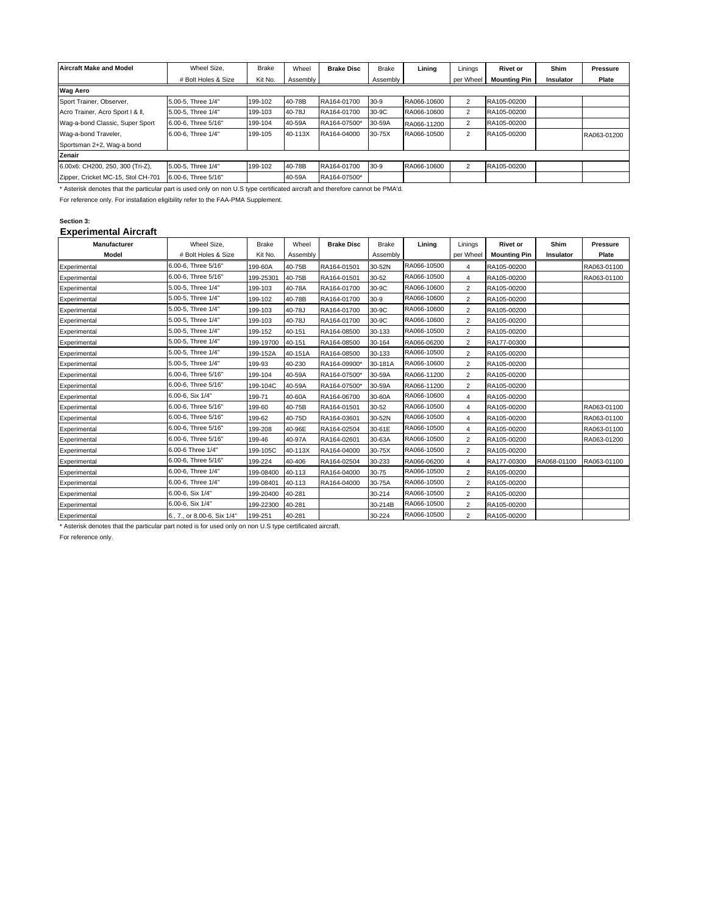| <b>Aircraft Make and Model</b>     | Wheel Size.         | <b>Brake</b> | Wheel    | <b>Brake Disc</b> | <b>Brake</b> | Lining      | Linings        | <b>Rivet or</b>     | Shim      | <b>Pressure</b> |  |
|------------------------------------|---------------------|--------------|----------|-------------------|--------------|-------------|----------------|---------------------|-----------|-----------------|--|
|                                    | # Bolt Holes & Size | Kit No.      | Assembly |                   | Assembly     |             | per Wheel      | <b>Mounting Pin</b> | Insulator | Plate           |  |
| <b>Wag Aero</b>                    |                     |              |          |                   |              |             |                |                     |           |                 |  |
| Sport Trainer, Observer,           | 5.00-5. Three 1/4"  | 199-102      | 40-78B   | RA164-01700       | $30-9$       | RA066-10600 | 2              | RA105-00200         |           |                 |  |
| Acro Trainer, Acro Sport I & II,   | 5.00-5. Three 1/4"  | 199-103      | 40-78J   | RA164-01700       | 30-9C        | RA066-10600 | $\overline{2}$ | RA105-00200         |           |                 |  |
| Wag-a-bond Classic, Super Sport    | 6.00-6. Three 5/16" | 199-104      | 40-59A   | RA164-07500*      | 30-59A       | RA066-11200 | 2              | RA105-00200         |           |                 |  |
| Wag-a-bond Traveler,               | 6.00-6. Three 1/4"  | 199-105      | 40-113X  | RA164-04000       | 30-75X       | RA066-10500 | 2              | RA105-00200         |           | RA063-01200     |  |
| Sportsman 2+2, Waq-a bond          |                     |              |          |                   |              |             |                |                     |           |                 |  |
| Zenair                             |                     |              |          |                   |              |             |                |                     |           |                 |  |
| 6.00x6: CH200, 250, 300 (Tri-Z),   | 5.00-5, Three 1/4"  | 199-102      | 40-78B   | RA164-01700       | $30-9$       | RA066-10600 | 2              | RA105-00200         |           |                 |  |
| Zipper, Cricket MC-15, Stol CH-701 | 6.00-6. Three 5/16" |              | 40-59A   | RA164-07500*      |              |             |                |                     |           |                 |  |

\* Asterisk denotes that the particular part is used only on non U.S type certificated aircraft and therefore cannot be PMA'd.

For reference only. For installation eligibility refer to the FAA-PMA Supplement.

#### **Section 3:**

#### **Experimental Aircraft**

| Manufacturer | Wheel Size,                 | <b>Brake</b> | Wheel    | <b>Brake Disc</b> | <b>Brake</b> | Lining      | Linings        | <b>Rivet or</b>     | Shim        | <b>Pressure</b> |
|--------------|-----------------------------|--------------|----------|-------------------|--------------|-------------|----------------|---------------------|-------------|-----------------|
| Model        | # Bolt Holes & Size         | Kit No.      | Assembly |                   | Assembly     |             | per Wheel      | <b>Mounting Pin</b> | Insulator   | Plate           |
| Experimental | 6.00-6, Three 5/16"         | 199-60A      | 40-75B   | RA164-01501       | 30-52N       | RA066-10500 | 4              | RA105-00200         |             | RA063-01100     |
| Experimental | 6.00-6, Three 5/16"         | 199-25301    | 40-75B   | RA164-01501       | 30-52        | RA066-10500 | 4              | RA105-00200         |             | RA063-01100     |
| Experimental | 5.00-5, Three 1/4"          | 199-103      | 40-78A   | RA164-01700       | 30-9C        | RA066-10600 | 2              | RA105-00200         |             |                 |
| Experimental | 5.00-5, Three 1/4"          | 199-102      | 40-78B   | RA164-01700       | $30-9$       | RA066-10600 | 2              | RA105-00200         |             |                 |
| Experimental | 5.00-5, Three 1/4"          | 199-103      | 40-78J   | RA164-01700       | 30-9C        | RA066-10600 | $\overline{c}$ | RA105-00200         |             |                 |
| Experimental | 5.00-5, Three 1/4"          | 199-103      | 40-78J   | RA164-01700       | 30-9C        | RA066-10600 | $\overline{2}$ | RA105-00200         |             |                 |
| Experimental | 5.00-5, Three 1/4"          | 199-152      | 40-151   | RA164-08500       | 30-133       | RA066-10500 | 2              | RA105-00200         |             |                 |
| Experimental | 5.00-5, Three 1/4"          | 199-19700    | 40-151   | RA164-08500       | 30-164       | RA066-06200 | 2              | RA177-00300         |             |                 |
| Experimental | 5.00-5, Three 1/4"          | 199-152A     | 40-151A  | RA164-08500       | 30-133       | RA066-10500 | $\overline{2}$ | RA105-00200         |             |                 |
| Experimental | 5.00-5, Three 1/4"          | 199-93       | 40-230   | RA164-09900*      | 30-181A      | RA066-10600 | $\overline{2}$ | RA105-00200         |             |                 |
| Experimental | 6.00-6, Three 5/16"         | 199-104      | 40-59A   | RA164-07500*      | 30-59A       | RA066-11200 | 2              | RA105-00200         |             |                 |
| Experimental | 6.00-6. Three 5/16"         | 199-104C     | 40-59A   | RA164-07500*      | 30-59A       | RA066-11200 | 2              | RA105-00200         |             |                 |
| Experimental | 6.00-6, Six 1/4"            | 199-71       | 40-60A   | RA164-06700       | 30-60A       | RA066-10600 | $\overline{4}$ | RA105-00200         |             |                 |
| Experimental | 6.00-6, Three 5/16"         | 199-60       | 40-75B   | RA164-01501       | 30-52        | RA066-10500 | 4              | RA105-00200         |             | RA063-01100     |
| Experimental | 6.00-6, Three 5/16"         | 199-62       | 40-75D   | RA164-03601       | 30-52N       | RA066-10500 | $\overline{4}$ | RA105-00200         |             | RA063-01100     |
| Experimental | 6.00-6, Three 5/16"         | 199-208      | 40-96E   | RA164-02504       | 30-61E       | RA066-10500 | $\overline{4}$ | RA105-00200         |             | RA063-01100     |
| Experimental | 6.00-6, Three 5/16"         | 199-46       | 40-97A   | RA164-02601       | 30-63A       | RA066-10500 | 2              | RA105-00200         |             | RA063-01200     |
| Experimental | 6.00-6 Three 1/4"           | 199-105C     | 40-113X  | RA164-04000       | 30-75X       | RA066-10500 | $\overline{2}$ | RA105-00200         |             |                 |
| Experimental | 6.00-6, Three 5/16"         | 199-224      | 40-406   | RA164-02504       | 30-233       | RA066-06200 | 4              | RA177-00300         | RA068-01100 | RA063-01100     |
| Experimental | 6.00-6, Three 1/4"          | 199-08400    | 40-113   | RA164-04000       | 30-75        | RA066-10500 | 2              | RA105-00200         |             |                 |
| Experimental | 6.00-6, Three 1/4"          | 199-08401    | 40-113   | RA164-04000       | 30-75A       | RA066-10500 | 2              | RA105-00200         |             |                 |
| Experimental | 6.00-6, Six 1/4"            | 199-20400    | 40-281   |                   | 30-214       | RA066-10500 | 2              | RA105-00200         |             |                 |
| Experimental | 6.00-6, Six 1/4"            | 199-22300    | 40-281   |                   | 30-214B      | RA066-10500 | 2              | RA105-00200         |             |                 |
| Experimental | 6., 7., or 8.00-6, Six 1/4" | 199-251      | 40-281   |                   | 30-224       | RA066-10500 | $\overline{2}$ | RA105-00200         |             |                 |

\* Asterisk denotes that the particular part noted is for used only on non U.S type certificated aircraft.

For reference only.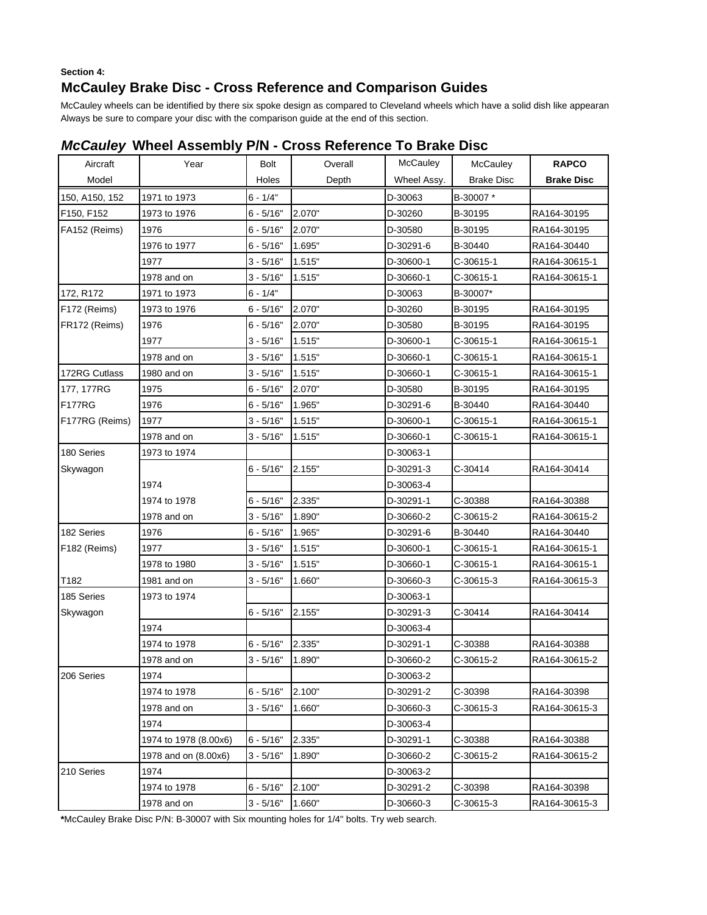## **Section 4: McCauley Brake Disc - Cross Reference and Comparison Guides**

McCauley wheels can be identified by there six spoke design as compared to Cleveland wheels which have a solid dish like appearan Always be sure to compare your disc with the comparison guide at the end of this section.

| Aircraft       | Year                  | <b>Bolt</b>  | Overall | McCauley    | McCauley          | <b>RAPCO</b>      |
|----------------|-----------------------|--------------|---------|-------------|-------------------|-------------------|
| Model          |                       | Holes        | Depth   | Wheel Assy. | <b>Brake Disc</b> | <b>Brake Disc</b> |
| 150, A150, 152 | 1971 to 1973          | $6 - 1/4"$   |         | D-30063     | B-30007*          |                   |
| F150, F152     | 1973 to 1976          | $6 - 5/16"$  | 2.070"  | D-30260     | B-30195           | RA164-30195       |
| FA152 (Reims)  | 1976                  | $6 - 5/16"$  | 2.070"  | D-30580     | B-30195           | RA164-30195       |
|                | 1976 to 1977          | $6 - 5/16"$  | 1.695"  | D-30291-6   | B-30440           | RA164-30440       |
|                | 1977                  | $3 - 5/16"$  | 1.515"  | D-30600-1   | C-30615-1         | RA164-30615-1     |
|                | 1978 and on           | $3 - 5/16"$  | 1.515"  | D-30660-1   | C-30615-1         | RA164-30615-1     |
| 172, R172      | 1971 to 1973          | $6 - 1/4"$   |         | D-30063     | B-30007*          |                   |
| F172 (Reims)   | 1973 to 1976          | $6 - 5/16"$  | 2.070"  | D-30260     | B-30195           | RA164-30195       |
| FR172 (Reims)  | 1976                  | $6 - 5/16"$  | 2.070"  | D-30580     | B-30195           | RA164-30195       |
|                | 1977                  | $3 - 5/16"$  | 1.515"  | D-30600-1   | C-30615-1         | RA164-30615-1     |
|                | 1978 and on           | $3 - 5/16"$  | 1.515"  | D-30660-1   | C-30615-1         | RA164-30615-1     |
| 172RG Cutlass  | 1980 and on           | $3 - 5/16"$  | 1.515"  | D-30660-1   | C-30615-1         | RA164-30615-1     |
| 177, 177RG     | 1975                  | $6 - 5/16"$  | 2.070"  | D-30580     | B-30195           | RA164-30195       |
| <b>F177RG</b>  | 1976                  | $6 - 5/16"$  | 1.965"  | D-30291-6   | B-30440           | RA164-30440       |
| F177RG (Reims) | 1977                  | $3 - 5/16"$  | 1.515"  | D-30600-1   | C-30615-1         | RA164-30615-1     |
|                | 1978 and on           | $3 - 5/16"$  | 1.515"  | D-30660-1   | C-30615-1         | RA164-30615-1     |
| 180 Series     | 1973 to 1974          |              |         | D-30063-1   |                   |                   |
| Skywagon       |                       | $6 - 5/16"$  | 2.155"  | D-30291-3   | C-30414           | RA164-30414       |
|                | 1974                  |              |         | D-30063-4   |                   |                   |
|                | 1974 to 1978          | $6 - 5/16"$  | 2.335"  | D-30291-1   | C-30388           | RA164-30388       |
|                | 1978 and on           | $3 - 5/16"$  | 1.890"  | D-30660-2   | C-30615-2         | RA164-30615-2     |
| 182 Series     | 1976                  | $6 - 5/16"$  | 1.965"  | D-30291-6   | B-30440           | RA164-30440       |
| F182 (Reims)   | 1977                  | $3 - 5/16"$  | 1.515"  | D-30600-1   | C-30615-1         | RA164-30615-1     |
|                | 1978 to 1980          | $3 - 5/16"$  | 1.515"  | D-30660-1   | C-30615-1         | RA164-30615-1     |
| T182           | 1981 and on           | $3 - 5/16$ " | 1.660"  | D-30660-3   | C-30615-3         | RA164-30615-3     |
| 185 Series     | 1973 to 1974          |              |         | D-30063-1   |                   |                   |
| Skywagon       |                       | $6 - 5/16"$  | 2.155"  | D-30291-3   | C-30414           | RA164-30414       |
|                | 1974                  |              |         | D-30063-4   |                   |                   |
|                | 1974 to 1978          | $6 - 5/16"$  | 2.335"  | D-30291-1   | C-30388           | RA164-30388       |
|                | 1978 and on           | $3 - 5/16"$  | 1.890"  | D-30660-2   | C-30615-2         | RA164-30615-2     |
| 206 Series     | 1974                  |              |         | D-30063-2   |                   |                   |
|                | 1974 to 1978          | $6 - 5/16"$  | 2.100"  | D-30291-2   | C-30398           | RA164-30398       |
|                | 1978 and on           | $3 - 5/16"$  | 1.660"  | D-30660-3   | C-30615-3         | RA164-30615-3     |
|                | 1974                  |              |         | D-30063-4   |                   |                   |
|                | 1974 to 1978 (8.00x6) | $6 - 5/16"$  | 2.335"  | D-30291-1   | C-30388           | RA164-30388       |
|                | 1978 and on (8.00x6)  | $3 - 5/16"$  | 1.890"  | D-30660-2   | C-30615-2         | RA164-30615-2     |
| 210 Series     | 1974                  |              |         | D-30063-2   |                   |                   |
|                | 1974 to 1978          | $6 - 5/16"$  | 2.100"  | D-30291-2   | C-30398           | RA164-30398       |
|                | 1978 and on           | $3 - 5/16"$  | 1.660"  | D-30660-3   | C-30615-3         | RA164-30615-3     |

## *McCauley* **Wheel Assembly P/N - Cross Reference To Brake Disc**

**\***McCauley Brake Disc P/N: B-30007 with Six mounting holes for 1/4" bolts. Try web search.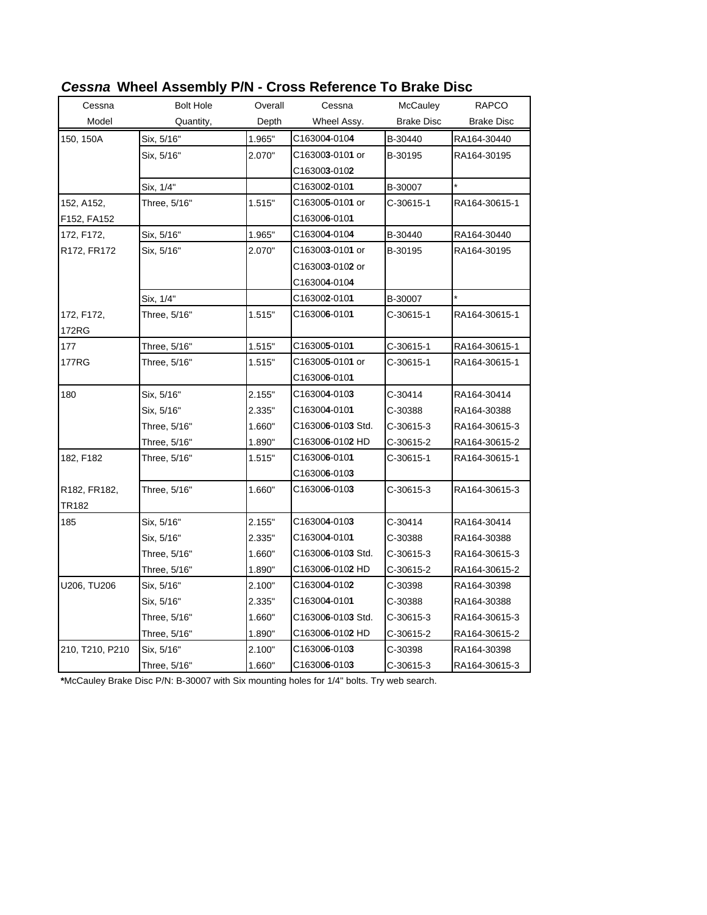| Cessna              | <b>Bolt Hole</b> | Overall | Cessna                           | McCauley          | <b>RAPCO</b>      |
|---------------------|------------------|---------|----------------------------------|-------------------|-------------------|
| Model               | Quantity,        | Depth   | Wheel Assy.                      | <b>Brake Disc</b> | <b>Brake Disc</b> |
| 150, 150A           | Six, 5/16"       | 1.965"  | C163004-0104                     | B-30440           | RA164-30440       |
|                     | Six, 5/16"       | 2.070"  | C163003-0101 or                  | B-30195           | RA164-30195       |
|                     |                  |         | C163003-0102                     |                   |                   |
|                     | Six, 1/4"        |         | C163002-0101                     | B-30007           | $\star$           |
| 152, A152,          | Three, 5/16"     | 1.515"  | C163005-0101 or                  | C-30615-1         | RA164-30615-1     |
| F152, FA152         |                  |         | C16300 <b>6</b> -010 <b>1</b>    |                   |                   |
| 172, F172,          | Six, 5/16"       | 1.965"  | C163004-0104                     | B-30440           | RA164-30440       |
| R172, FR172         | Six, 5/16"       | 2.070"  | C163003-0101 or                  | B-30195           | RA164-30195       |
|                     |                  |         | C163003-0102 or                  |                   |                   |
|                     |                  |         | C163004-0104                     |                   |                   |
|                     | Six, 1/4"        |         | C163002-0101                     | B-30007           |                   |
| 172, F172,<br>172RG | Three, 5/16"     | 1.515"  | C163006-0101                     | C-30615-1         | RA164-30615-1     |
| 177                 | Three, 5/16"     | 1.515"  | C163005-0101                     | C-30615-1         | RA164-30615-1     |
| 177RG               | Three, 5/16"     | 1.515"  | C163005-0101 or                  | C-30615-1         | RA164-30615-1     |
|                     |                  |         | C163006-0101                     |                   |                   |
| 180                 | Six, 5/16"       | 2.155"  | C163004-0103                     | C-30414           | RA164-30414       |
|                     | Six, 5/16"       | 2.335"  | C163004-0101                     | C-30388           | RA164-30388       |
|                     | Three, 5/16"     | 1.660"  | C163006-0103 Std.                | C-30615-3         | RA164-30615-3     |
|                     | Three, 5/16"     | 1.890"  | C16300 <b>6</b> -010 <b>2</b> HD | C-30615-2         | RA164-30615-2     |
| 182, F182           | Three, 5/16"     | 1.515"  | C163006-0101                     | C-30615-1         | RA164-30615-1     |
|                     |                  |         | C163006-0103                     |                   |                   |
| R182, FR182,        | Three, 5/16"     | 1.660"  | C163006-0103                     | C-30615-3         | RA164-30615-3     |
| TR182               |                  |         |                                  |                   |                   |
| 185                 | Six, 5/16"       | 2.155"  | C163004-0103                     | C-30414           | RA164-30414       |
|                     | Six, 5/16"       | 2.335"  | C163004-0101                     | C-30388           | RA164-30388       |
|                     | Three, 5/16"     | 1.660"  | C163006-0103 Std.                | C-30615-3         | RA164-30615-3     |
|                     | Three, 5/16"     | 1.890"  | C163006-0102 HD                  | C-30615-2         | RA164-30615-2     |
| U206, TU206         | Six, 5/16"       | 2.100"  | C163004-0102                     | C-30398           | RA164-30398       |
|                     | Six, 5/16"       | 2.335"  | C163004-0101                     | C-30388           | RA164-30388       |
|                     | Three, 5/16"     | 1.660"  | C163006-0103 Std.                | C-30615-3         | RA164-30615-3     |
|                     | Three, 5/16"     | 1.890"  | C163006-0102 HD                  | C-30615-2         | RA164-30615-2     |
| 210, T210, P210     | Six, 5/16"       | 2.100"  | C163006-0103                     | C-30398           | RA164-30398       |
|                     | Three, 5/16"     | 1.660"  | C163006-0103                     | C-30615-3         | RA164-30615-3     |

# *Cessna* **Wheel Assembly P/N - Cross Reference To Brake Disc**

**\***McCauley Brake Disc P/N: B-30007 with Six mounting holes for 1/4" bolts. Try web search.